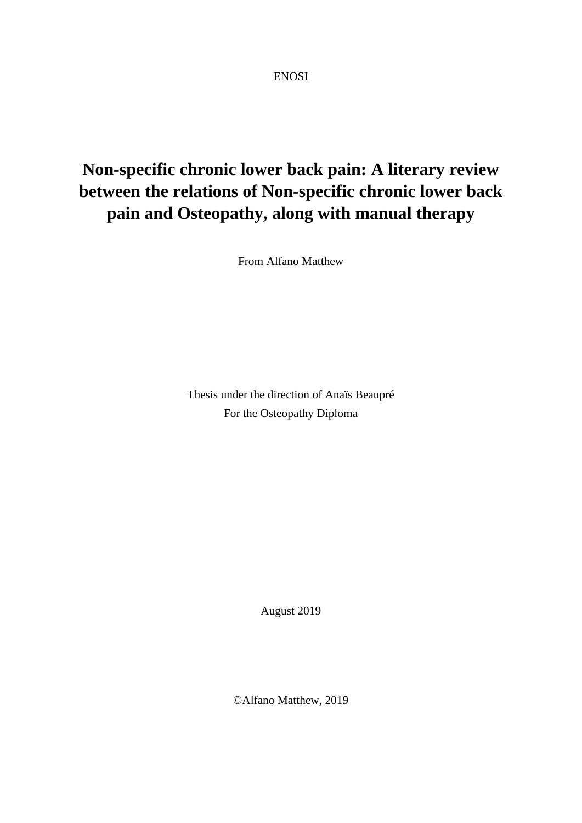ENOSI

## **Non-specific chronic lower back pain: A literary review between the relations of Non-specific chronic lower back pain and Osteopathy, along with manual therapy**

From Alfano Matthew

Thesis under the direction of Anaïs Beaupré For the Osteopathy Diploma

August 2019

©Alfano Matthew, 2019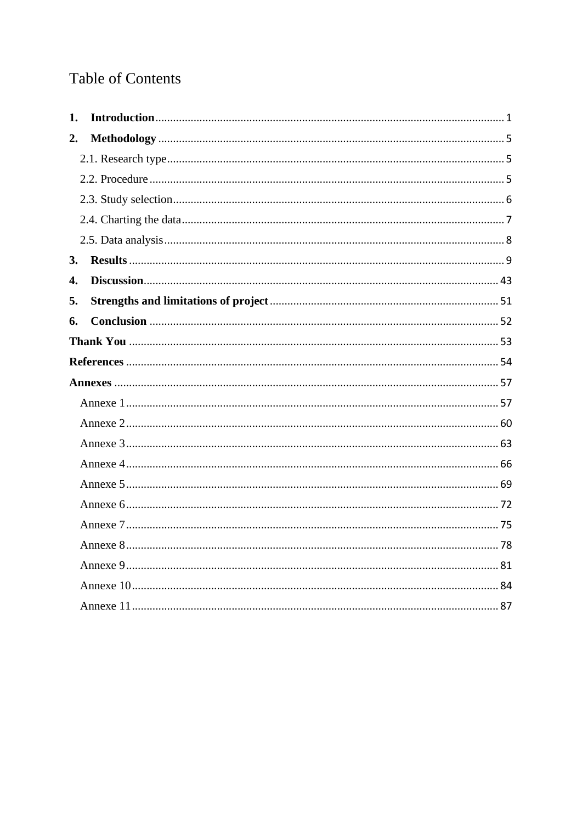## **Table of Contents**

| 1. |  |
|----|--|
| 2. |  |
|    |  |
|    |  |
|    |  |
|    |  |
|    |  |
| 3. |  |
| 4. |  |
| 5. |  |
| 6. |  |
|    |  |
|    |  |
|    |  |
|    |  |
|    |  |
|    |  |
|    |  |
|    |  |
|    |  |
|    |  |
|    |  |
|    |  |
|    |  |
|    |  |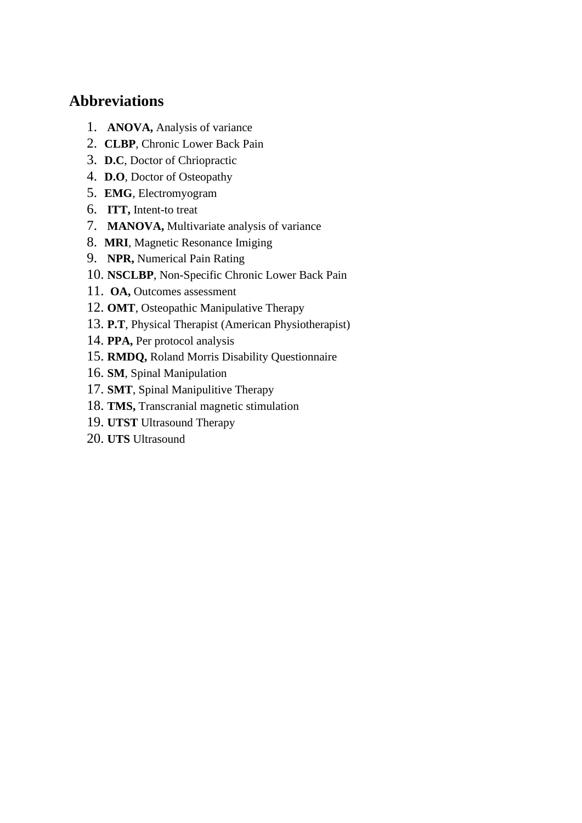## **Abbreviations**

- 1. **ANOVA,** Analysis of variance
- 2. **CLBP**, Chronic Lower Back Pain
- 3. **D.C**, Doctor of Chriopractic
- 4. **D.O**, Doctor of Osteopathy
- 5. **EMG**, Electromyogram
- 6. **ITT,** Intent-to treat
- 7. **MANOVA,** Multivariate analysis of variance
- 8. **MRI**, Magnetic Resonance Imiging
- 9. **NPR,** Numerical Pain Rating
- 10. **NSCLBP**, Non-Specific Chronic Lower Back Pain
- 11. **OA,** Outcomes assessment
- 12. **OMT**, Osteopathic Manipulative Therapy
- 13. **P.T**, Physical Therapist (American Physiotherapist)
- 14. **PPA,** Per protocol analysis
- 15. **RMDQ,** Roland Morris Disability Questionnaire
- 16. **SM**, Spinal Manipulation
- 17. **SMT**, Spinal Manipulitive Therapy
- 18. **TMS,** Transcranial magnetic stimulation
- 19. **UTST** Ultrasound Therapy
- 20. **UTS** Ultrasound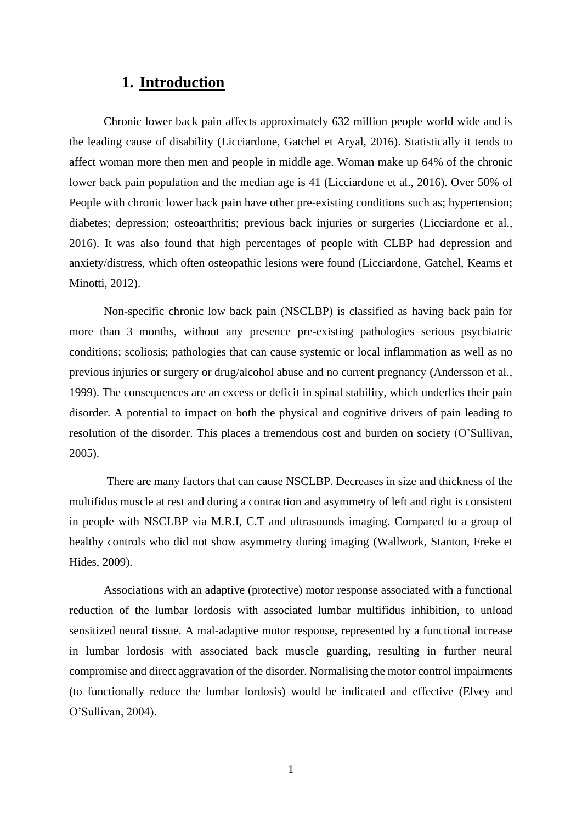### **1. Introduction**

<span id="page-3-0"></span>Chronic lower back pain affects approximately 632 million people world wide and is the leading cause of disability (Licciardone, Gatchel et Aryal, 2016). Statistically it tends to affect woman more then men and people in middle age. Woman make up 64% of the chronic lower back pain population and the median age is 41 (Licciardone et al., 2016). Over 50% of People with chronic lower back pain have other pre-existing conditions such as; hypertension; diabetes; depression; osteoarthritis; previous back injuries or surgeries (Licciardone et al., 2016). It was also found that high percentages of people with CLBP had depression and anxiety/distress, which often osteopathic lesions were found (Licciardone, Gatchel, Kearns et Minotti, 2012).

Non-specific chronic low back pain (NSCLBP) is classified as having back pain for more than 3 months, without any presence pre-existing pathologies serious psychiatric conditions; scoliosis; pathologies that can cause systemic or local inflammation as well as no previous injuries or surgery or drug/alcohol abuse and no current pregnancy (Andersson et al., 1999). The consequences are an excess or deficit in spinal stability, which underlies their pain disorder. A potential to impact on both the physical and cognitive drivers of pain leading to resolution of the disorder. This places a tremendous cost and burden on society (O'Sullivan, 2005).

There are many factors that can cause NSCLBP. Decreases in size and thickness of the multifidus muscle at rest and during a contraction and asymmetry of left and right is consistent in people with NSCLBP via M.R.I, C.T and ultrasounds imaging. Compared to a group of healthy controls who did not show asymmetry during imaging (Wallwork, Stanton, Freke et Hides, 2009).

Associations with an adaptive (protective) motor response associated with a functional reduction of the lumbar lordosis with associated lumbar multifidus inhibition, to unload sensitized neural tissue. A mal-adaptive motor response, represented by a functional increase in lumbar lordosis with associated back muscle guarding, resulting in further neural compromise and direct aggravation of the disorder. Normalising the motor control impairments (to functionally reduce the lumbar lordosis) would be indicated and effective (Elvey and O'Sullivan, 2004).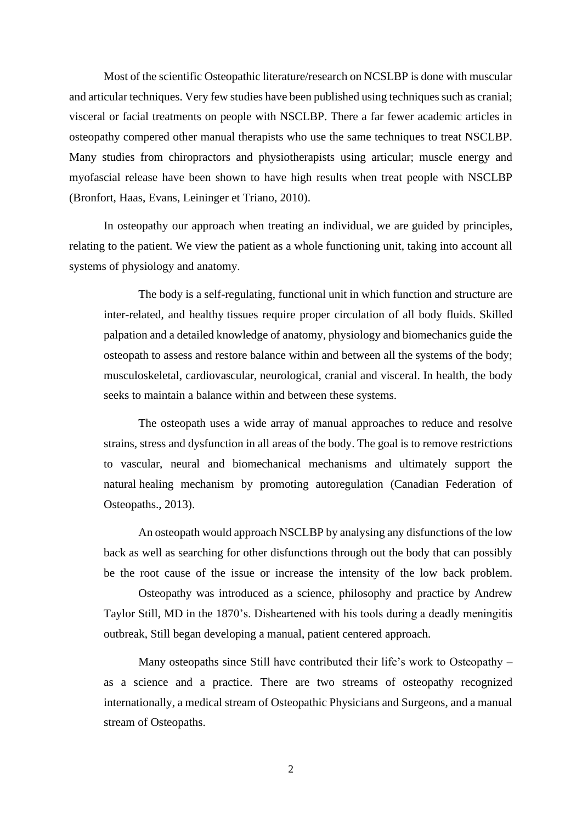Most of the scientific Osteopathic literature/research on NCSLBP is done with muscular and articular techniques. Very few studies have been published using techniques such as cranial; visceral or facial treatments on people with NSCLBP. There a far fewer academic articles in osteopathy compered other manual therapists who use the same techniques to treat NSCLBP. Many studies from chiropractors and physiotherapists using articular; muscle energy and myofascial release have been shown to have high results when treat people with NSCLBP (Bronfort, Haas, Evans, Leininger et Triano, 2010).

In osteopathy our approach when treating an individual, we are guided by principles, relating to the patient. We view the patient as a whole functioning unit, taking into account all systems of physiology and anatomy.

The body is a self-regulating, functional unit in which function and structure are inter-related, and healthy tissues require proper circulation of all body fluids. Skilled palpation and a detailed knowledge of anatomy, physiology and biomechanics guide the osteopath to assess and restore balance within and between all the systems of the body; musculoskeletal, cardiovascular, neurological, cranial and visceral. In health, the body seeks to maintain a balance within and between these systems.

The osteopath uses a wide array of manual approaches to reduce and resolve strains, stress and dysfunction in all areas of the body. The goal is to remove restrictions to vascular, neural and biomechanical mechanisms and ultimately support the natural healing mechanism by promoting autoregulation (Canadian Federation of Osteopaths., 2013).

An osteopath would approach NSCLBP by analysing any disfunctions of the low back as well as searching for other disfunctions through out the body that can possibly be the root cause of the issue or increase the intensity of the low back problem.

Osteopathy was introduced as a science, philosophy and practice by Andrew Taylor Still, MD in the 1870's. Disheartened with his tools during a deadly meningitis outbreak, Still began developing a manual, patient centered approach.

Many osteopaths since Still have contributed their life's work to Osteopathy – as a science and a practice. There are two streams of osteopathy recognized internationally, a medical stream of Osteopathic Physicians and Surgeons, and a manual stream of Osteopaths.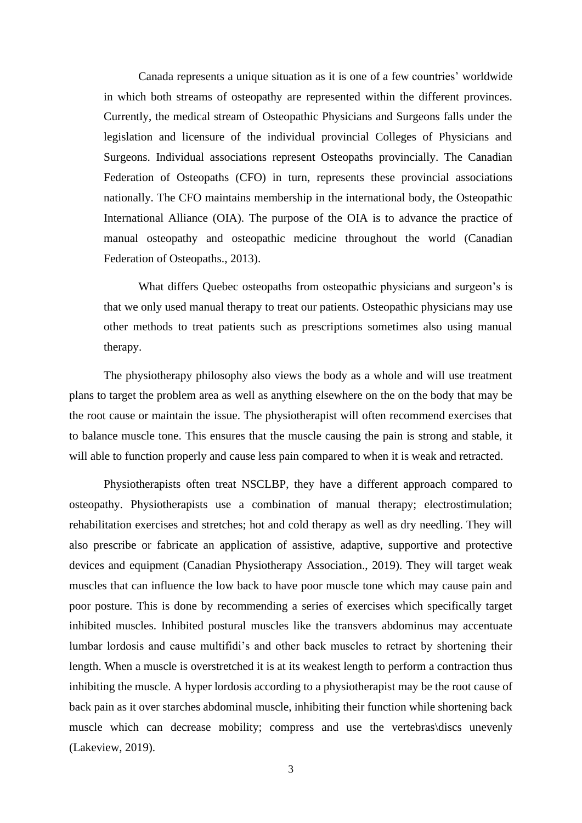Canada represents a unique situation as it is one of a few countries' worldwide in which both streams of osteopathy are represented within the different provinces. Currently, the medical stream of Osteopathic Physicians and Surgeons falls under the legislation and licensure of the individual provincial Colleges of Physicians and Surgeons. Individual associations represent Osteopaths provincially. The Canadian Federation of Osteopaths (CFO) in turn, represents these provincial associations nationally. The CFO maintains membership in the international body, the Osteopathic International Alliance (OIA). The purpose of the OIA is to advance the practice of manual osteopathy and osteopathic medicine throughout the world (Canadian Federation of Osteopaths., 2013).

What differs Quebec osteopaths from osteopathic physicians and surgeon's is that we only used manual therapy to treat our patients. Osteopathic physicians may use other methods to treat patients such as prescriptions sometimes also using manual therapy.

The physiotherapy philosophy also views the body as a whole and will use treatment plans to target the problem area as well as anything elsewhere on the on the body that may be the root cause or maintain the issue. The physiotherapist will often recommend exercises that to balance muscle tone. This ensures that the muscle causing the pain is strong and stable, it will able to function properly and cause less pain compared to when it is weak and retracted.

Physiotherapists often treat NSCLBP, they have a different approach compared to osteopathy. Physiotherapists use a combination of manual therapy; electrostimulation; rehabilitation exercises and stretches; hot and cold therapy as well as dry needling. They will also prescribe or fabricate an application of assistive, adaptive, supportive and protective devices and equipment (Canadian Physiotherapy Association., 2019). They will target weak muscles that can influence the low back to have poor muscle tone which may cause pain and poor posture. This is done by recommending a series of exercises which specifically target inhibited muscles. Inhibited postural muscles like the transvers abdominus may accentuate lumbar lordosis and cause multifidi's and other back muscles to retract by shortening their length. When a muscle is overstretched it is at its weakest length to perform a contraction thus inhibiting the muscle. A hyper lordosis according to a physiotherapist may be the root cause of back pain as it over starches abdominal muscle, inhibiting their function while shortening back muscle which can decrease mobility; compress and use the vertebras\discs unevenly (Lakeview, 2019).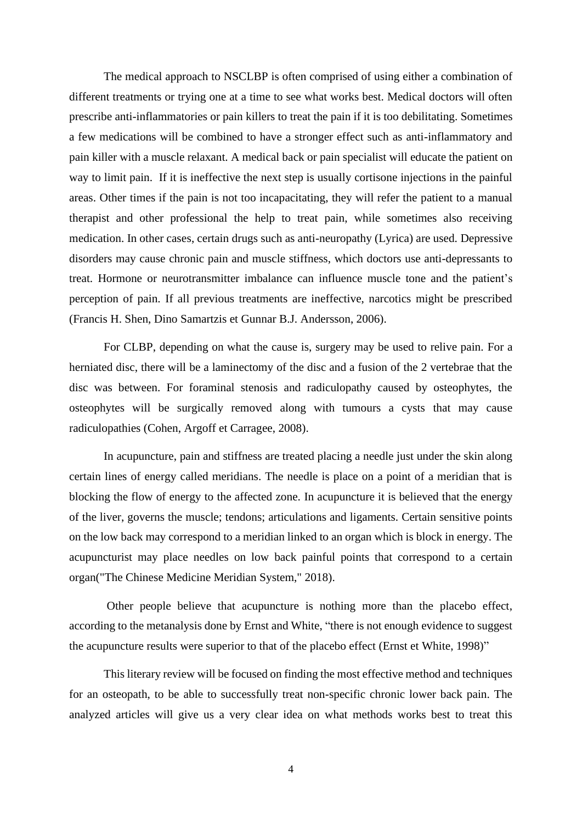The medical approach to NSCLBP is often comprised of using either a combination of different treatments or trying one at a time to see what works best. Medical doctors will often prescribe anti-inflammatories or pain killers to treat the pain if it is too debilitating. Sometimes a few medications will be combined to have a stronger effect such as anti-inflammatory and pain killer with a muscle relaxant. A medical back or pain specialist will educate the patient on way to limit pain. If it is ineffective the next step is usually cortisone injections in the painful areas. Other times if the pain is not too incapacitating, they will refer the patient to a manual therapist and other professional the help to treat pain, while sometimes also receiving medication. In other cases, certain drugs such as anti-neuropathy (Lyrica) are used. Depressive disorders may cause chronic pain and muscle stiffness, which doctors use anti-depressants to treat. Hormone or neurotransmitter imbalance can influence muscle tone and the patient's perception of pain. If all previous treatments are ineffective, narcotics might be prescribed (Francis H. Shen, Dino Samartzis et Gunnar B.J. Andersson, 2006).

For CLBP, depending on what the cause is, surgery may be used to relive pain. For a herniated disc, there will be a laminectomy of the disc and a fusion of the 2 vertebrae that the disc was between. For foraminal stenosis and radiculopathy caused by osteophytes, the osteophytes will be surgically removed along with tumours a cysts that may cause radiculopathies (Cohen, Argoff et Carragee, 2008).

In acupuncture, pain and stiffness are treated placing a needle just under the skin along certain lines of energy called meridians. The needle is place on a point of a meridian that is blocking the flow of energy to the affected zone. In acupuncture it is believed that the energy of the liver, governs the muscle; tendons; articulations and ligaments. Certain sensitive points on the low back may correspond to a meridian linked to an organ which is block in energy. The acupuncturist may place needles on low back painful points that correspond to a certain organ("The Chinese Medicine Meridian System," 2018).

Other people believe that acupuncture is nothing more than the placebo effect, according to the metanalysis done by Ernst and White, "there is not enough evidence to suggest the acupuncture results were superior to that of the placebo effect (Ernst et White, 1998)"

This literary review will be focused on finding the most effective method and techniques for an osteopath, to be able to successfully treat non-specific chronic lower back pain. The analyzed articles will give us a very clear idea on what methods works best to treat this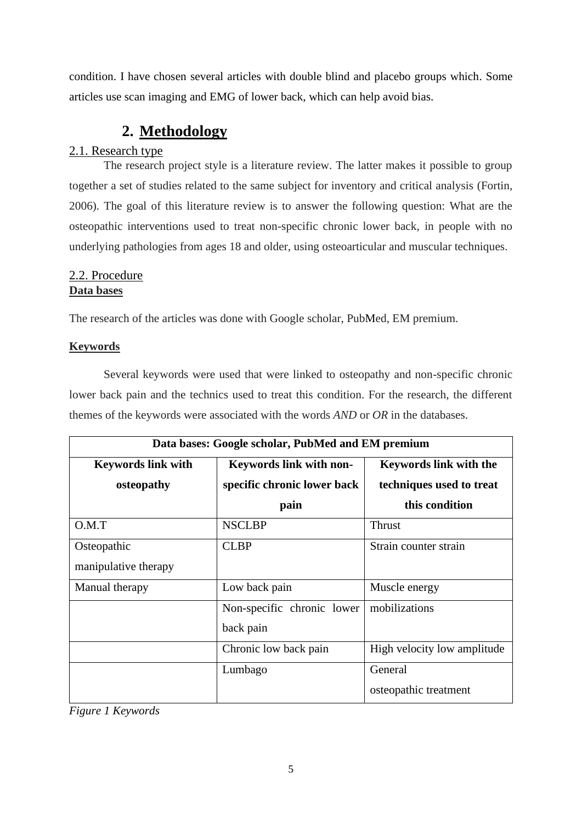condition. I have chosen several articles with double blind and placebo groups which. Some articles use scan imaging and EMG of lower back, which can help avoid bias.

## **2. Methodology**

#### <span id="page-7-1"></span><span id="page-7-0"></span>2.1. Research type

The research project style is a literature review. The latter makes it possible to group together a set of studies related to the same subject for inventory and critical analysis (Fortin, 2006). The goal of this literature review is to answer the following question: What are the osteopathic interventions used to treat non-specific chronic lower back, in people with no underlying pathologies from ages 18 and older, using osteoarticular and muscular techniques.

#### <span id="page-7-2"></span>2.2. Procedure **Data bases**

The research of the articles was done with Google scholar, PubMed, EM premium.

#### **Keywords**

Several keywords were used that were linked to osteopathy and non-specific chronic lower back pain and the technics used to treat this condition. For the research, the different themes of the keywords were associated with the words *AND* or *OR* in the databases.

|                           | Data bases: Google scholar, PubMed and EM premium |                               |
|---------------------------|---------------------------------------------------|-------------------------------|
| <b>Keywords link with</b> | <b>Keywords link with non-</b>                    | <b>Keywords link with the</b> |
| osteopathy                | specific chronic lower back                       | techniques used to treat      |
|                           | pain                                              | this condition                |
| O.M.T                     | <b>NSCLBP</b>                                     | <b>Thrust</b>                 |
| Osteopathic               | <b>CLBP</b>                                       | Strain counter strain         |
| manipulative therapy      |                                                   |                               |
| Manual therapy            | Low back pain                                     | Muscle energy                 |
|                           | Non-specific chronic lower                        | mobilizations                 |
|                           | back pain                                         |                               |
|                           | Chronic low back pain                             | High velocity low amplitude   |
|                           | Lumbago                                           | General                       |
|                           |                                                   | osteopathic treatment         |

*Figure 1 Keywords*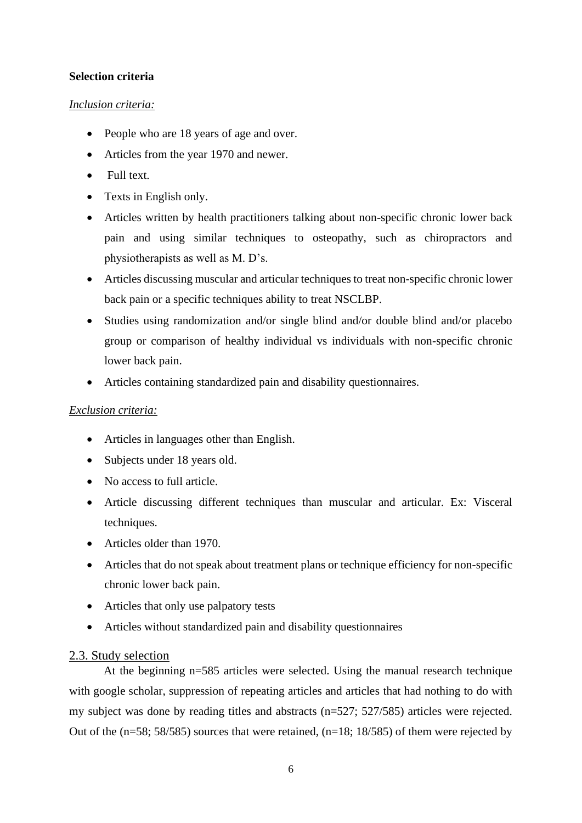#### **Selection criteria**

#### *Inclusion criteria:*

- People who are 18 years of age and over.
- Articles from the year 1970 and newer.
- Full text.
- Texts in English only.
- Articles written by health practitioners talking about non-specific chronic lower back pain and using similar techniques to osteopathy, such as chiropractors and physiotherapists as well as M. D's.
- Articles discussing muscular and articular techniques to treat non-specific chronic lower back pain or a specific techniques ability to treat NSCLBP.
- Studies using randomization and/or single blind and/or double blind and/or placebo group or comparison of healthy individual vs individuals with non-specific chronic lower back pain.
- Articles containing standardized pain and disability questionnaires.

#### *Exclusion criteria:*

- Articles in languages other than English.
- Subjects under 18 years old.
- No access to full article.
- Article discussing different techniques than muscular and articular. Ex: Visceral techniques.
- Articles older than 1970.
- Articles that do not speak about treatment plans or technique efficiency for non-specific chronic lower back pain.
- Articles that only use palpatory tests
- Articles without standardized pain and disability questionnaires

#### <span id="page-8-0"></span>2.3. Study selection

At the beginning n=585 articles were selected. Using the manual research technique with google scholar, suppression of repeating articles and articles that had nothing to do with my subject was done by reading titles and abstracts (n=527; 527/585) articles were rejected. Out of the (n=58; 58/585) sources that were retained, (n=18; 18/585) of them were rejected by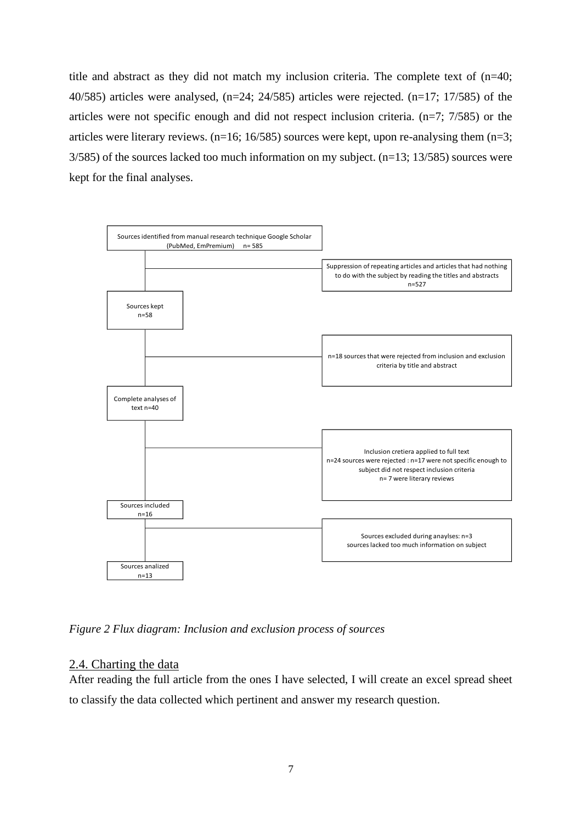title and abstract as they did not match my inclusion criteria. The complete text of (n=40; 40/585) articles were analysed,  $(n=24; 24/585)$  articles were rejected.  $(n=17; 17/585)$  of the articles were not specific enough and did not respect inclusion criteria. (n=7; 7/585) or the articles were literary reviews.  $(n=16; 16/585)$  sources were kept, upon re-analysing them  $(n=3;$ 3/585) of the sources lacked too much information on my subject. (n=13; 13/585) sources were kept for the final analyses.



*Figure 2 Flux diagram: Inclusion and exclusion process of sources*

#### <span id="page-9-0"></span>2.4. Charting the data

After reading the full article from the ones I have selected, I will create an excel spread sheet to classify the data collected which pertinent and answer my research question.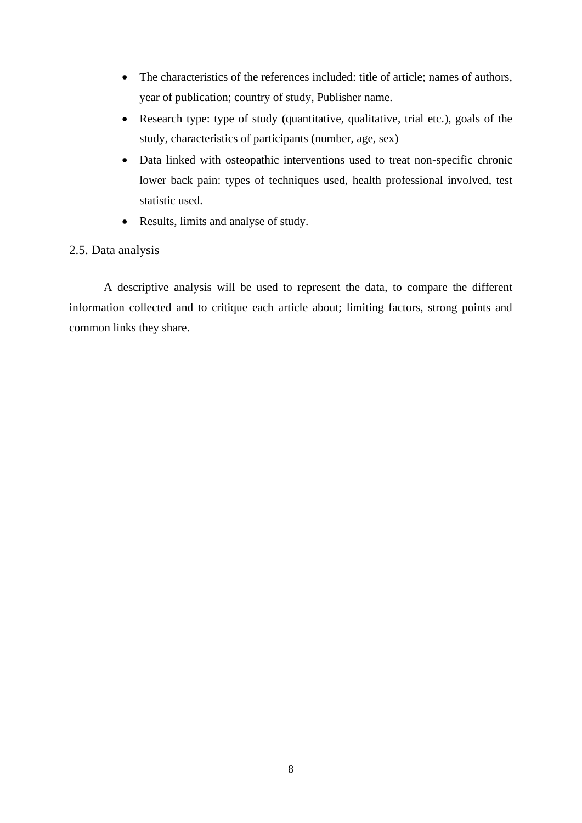- The characteristics of the references included: title of article; names of authors, year of publication; country of study, Publisher name.
- Research type: type of study (quantitative, qualitative, trial etc.), goals of the study, characteristics of participants (number, age, sex)
- Data linked with osteopathic interventions used to treat non-specific chronic lower back pain: types of techniques used, health professional involved, test statistic used.
- Results, limits and analyse of study.

#### <span id="page-10-0"></span>2.5. Data analysis

A descriptive analysis will be used to represent the data, to compare the different information collected and to critique each article about; limiting factors, strong points and common links they share.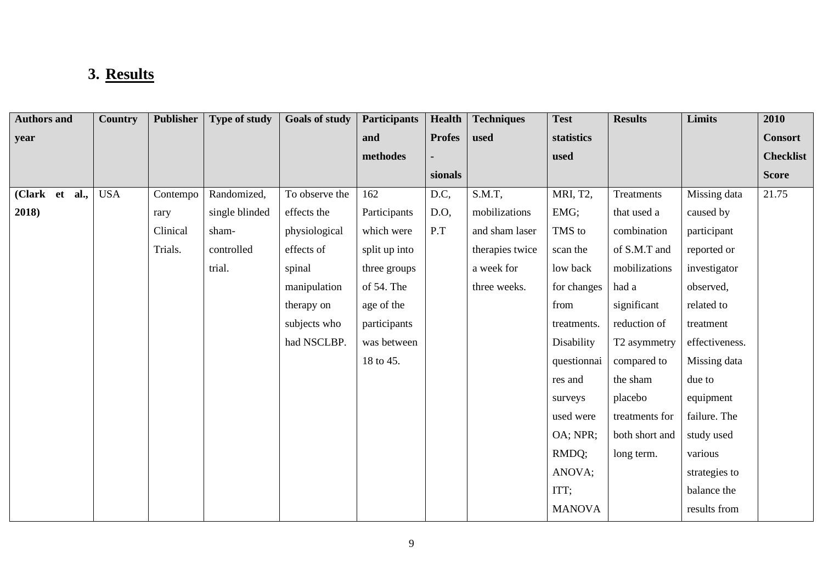# **3. Results**

<span id="page-11-0"></span>

| <b>Authors and</b> | Country    | <b>Publisher</b> | Type of study  | <b>Goals of study</b> | <b>Participants</b> | <b>Health</b> | <b>Techniques</b> | <b>Test</b>   | <b>Results</b> | <b>Limits</b>  | 2010             |
|--------------------|------------|------------------|----------------|-----------------------|---------------------|---------------|-------------------|---------------|----------------|----------------|------------------|
| year               |            |                  |                |                       | and                 | <b>Profes</b> | used              | statistics    |                |                | <b>Consort</b>   |
|                    |            |                  |                |                       | methodes            |               |                   | used          |                |                | <b>Checklist</b> |
|                    |            |                  |                |                       |                     | sionals       |                   |               |                |                | <b>Score</b>     |
| (Clark et<br>al.,  | <b>USA</b> | Contempo         | Randomized,    | To observe the        | 162                 | D.C,          | $S.M.T$ ,         | MRI, T2,      | Treatments     | Missing data   | 21.75            |
| 2018)              |            | rary             | single blinded | effects the           | Participants        | $D.O$ ,       | mobilizations     | EMG;          | that used a    | caused by      |                  |
|                    |            | Clinical         | sham-          | physiological         | which were          | P.T           | and sham laser    | TMS to        | combination    | participant    |                  |
|                    |            | Trials.          | controlled     | effects of            | split up into       |               | therapies twice   | scan the      | of S.M.T and   | reported or    |                  |
|                    |            |                  | trial.         | spinal                | three groups        |               | a week for        | low back      | mobilizations  | investigator   |                  |
|                    |            |                  |                | manipulation          | of 54. The          |               | three weeks.      | for changes   | had a          | observed,      |                  |
|                    |            |                  |                | therapy on            | age of the          |               |                   | from          | significant    | related to     |                  |
|                    |            |                  |                | subjects who          | participants        |               |                   | treatments.   | reduction of   | treatment      |                  |
|                    |            |                  |                | had NSCLBP.           | was between         |               |                   | Disability    | T2 asymmetry   | effectiveness. |                  |
|                    |            |                  |                |                       | 18 to 45.           |               |                   | questionnai   | compared to    | Missing data   |                  |
|                    |            |                  |                |                       |                     |               |                   | res and       | the sham       | due to         |                  |
|                    |            |                  |                |                       |                     |               |                   | surveys       | placebo        | equipment      |                  |
|                    |            |                  |                |                       |                     |               |                   | used were     | treatments for | failure. The   |                  |
|                    |            |                  |                |                       |                     |               |                   | OA; NPR;      | both short and | study used     |                  |
|                    |            |                  |                |                       |                     |               |                   | RMDQ;         | long term.     | various        |                  |
|                    |            |                  |                |                       |                     |               |                   | ANOVA;        |                | strategies to  |                  |
|                    |            |                  |                |                       |                     |               |                   | ITT;          |                | balance the    |                  |
|                    |            |                  |                |                       |                     |               |                   | <b>MANOVA</b> |                | results from   |                  |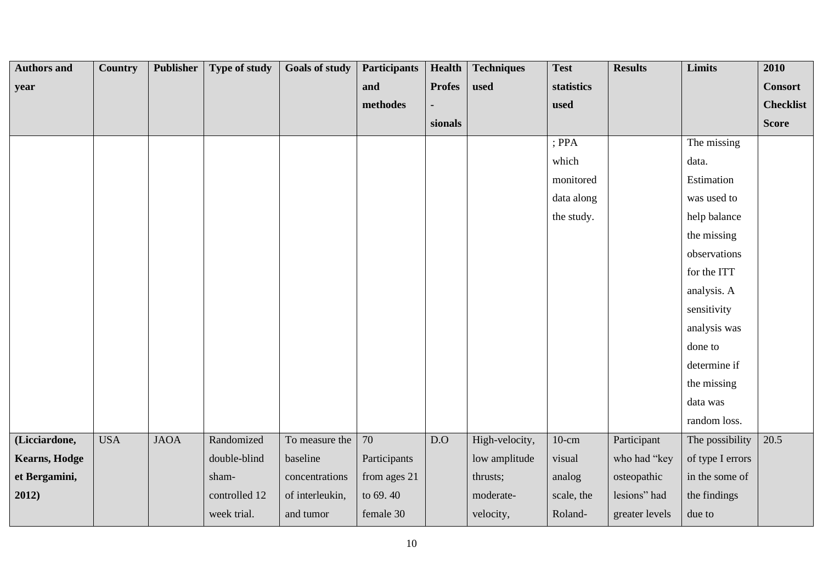| <b>Authors and</b>   | Country    | <b>Publisher</b> | Type of study | <b>Goals of study</b> | <b>Participants</b> | <b>Health</b>    | <b>Techniques</b> | <b>Test</b> | <b>Results</b> | Limits           | 2010             |
|----------------------|------------|------------------|---------------|-----------------------|---------------------|------------------|-------------------|-------------|----------------|------------------|------------------|
| year                 |            |                  |               |                       | and                 | <b>Profes</b>    | used              | statistics  |                |                  | <b>Consort</b>   |
|                      |            |                  |               |                       | methodes            |                  |                   | used        |                |                  | <b>Checklist</b> |
|                      |            |                  |               |                       |                     | sionals          |                   |             |                |                  | <b>Score</b>     |
|                      |            |                  |               |                       |                     |                  |                   | $;$ PPA     |                | The missing      |                  |
|                      |            |                  |               |                       |                     |                  |                   | which       |                | data.            |                  |
|                      |            |                  |               |                       |                     |                  |                   | monitored   |                | Estimation       |                  |
|                      |            |                  |               |                       |                     |                  |                   | data along  |                | was used to      |                  |
|                      |            |                  |               |                       |                     |                  |                   | the study.  |                | help balance     |                  |
|                      |            |                  |               |                       |                     |                  |                   |             |                | the missing      |                  |
|                      |            |                  |               |                       |                     |                  |                   |             |                | observations     |                  |
|                      |            |                  |               |                       |                     |                  |                   |             |                | for the ITT      |                  |
|                      |            |                  |               |                       |                     |                  |                   |             |                | analysis. A      |                  |
|                      |            |                  |               |                       |                     |                  |                   |             |                | sensitivity      |                  |
|                      |            |                  |               |                       |                     |                  |                   |             |                | analysis was     |                  |
|                      |            |                  |               |                       |                     |                  |                   |             |                | done to          |                  |
|                      |            |                  |               |                       |                     |                  |                   |             |                | determine if     |                  |
|                      |            |                  |               |                       |                     |                  |                   |             |                | the missing      |                  |
|                      |            |                  |               |                       |                     |                  |                   |             |                | data was         |                  |
|                      |            |                  |               |                       |                     |                  |                   |             |                | random loss.     |                  |
| (Licciardone,        | <b>USA</b> | <b>JAOA</b>      | Randomized    | To measure the        | 70                  | $\overline{D.0}$ | High-velocity,    | $10$ -cm    | Participant    | The possibility  | 20.5             |
| <b>Kearns, Hodge</b> |            |                  | double-blind  | baseline              | Participants        |                  | low amplitude     | visual      | who had "key   | of type I errors |                  |
| et Bergamini,        |            |                  | sham-         | concentrations        | from ages 21        |                  | thrusts;          | analog      | osteopathic    | in the some of   |                  |
| 2012)                |            |                  | controlled 12 | of interleukin,       | to 69.40            |                  | moderate-         | scale, the  | lesions" had   | the findings     |                  |
|                      |            |                  | week trial.   | and tumor             | female 30           |                  | velocity,         | Roland-     | greater levels | due to           |                  |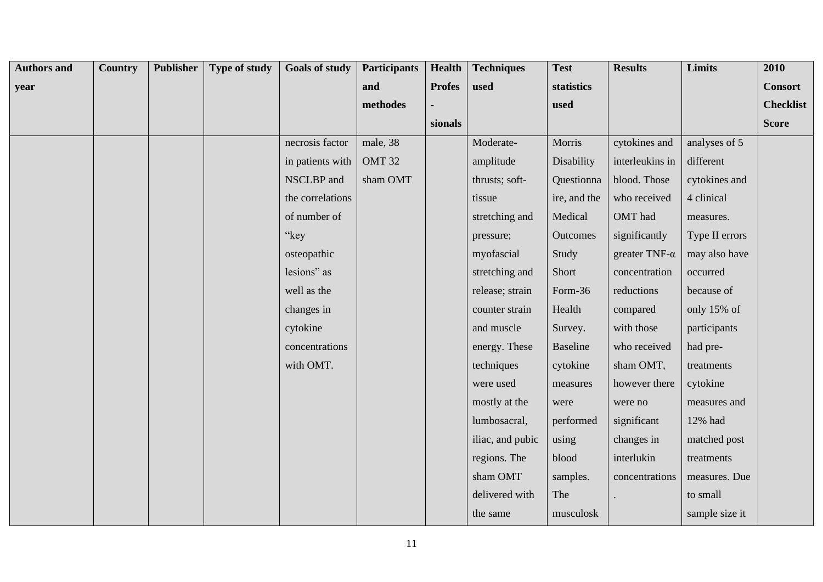| <b>Authors and</b> | Country | <b>Publisher</b> | <b>Type of study</b> | <b>Goals of study</b> | <b>Participants</b> | Health        | <b>Techniques</b> | <b>Test</b>     | <b>Results</b>        | Limits         | 2010             |
|--------------------|---------|------------------|----------------------|-----------------------|---------------------|---------------|-------------------|-----------------|-----------------------|----------------|------------------|
| year               |         |                  |                      |                       | and                 | <b>Profes</b> | used              | statistics      |                       |                | <b>Consort</b>   |
|                    |         |                  |                      |                       | methodes            |               |                   | used            |                       |                | <b>Checklist</b> |
|                    |         |                  |                      |                       |                     | sionals       |                   |                 |                       |                | <b>Score</b>     |
|                    |         |                  |                      | necrosis factor       | male, 38            |               | Moderate-         | Morris          | cytokines and         | analyses of 5  |                  |
|                    |         |                  |                      | in patients with      | OMT <sub>32</sub>   |               | amplitude         | Disability      | interleukins in       | different      |                  |
|                    |         |                  |                      | NSCLBP and            | sham OMT            |               | thrusts; soft-    | Questionna      | blood. Those          | cytokines and  |                  |
|                    |         |                  |                      | the correlations      |                     |               | tissue            | ire, and the    | who received          | 4 clinical     |                  |
|                    |         |                  |                      | of number of          |                     |               | stretching and    | Medical         | OMT had               | measures.      |                  |
|                    |         |                  |                      | "key                  |                     |               | pressure;         | Outcomes        | significantly         | Type II errors |                  |
|                    |         |                  |                      | osteopathic           |                     |               | myofascial        | Study           | greater TNF- $\alpha$ | may also have  |                  |
|                    |         |                  |                      | lesions" as           |                     |               | stretching and    | Short           | concentration         | occurred       |                  |
|                    |         |                  |                      | well as the           |                     |               | release; strain   | Form-36         | reductions            | because of     |                  |
|                    |         |                  |                      | changes in            |                     |               | counter strain    | Health          | compared              | only 15% of    |                  |
|                    |         |                  |                      | cytokine              |                     |               | and muscle        | Survey.         | with those            | participants   |                  |
|                    |         |                  |                      | concentrations        |                     |               | energy. These     | <b>Baseline</b> | who received          | had pre-       |                  |
|                    |         |                  |                      | with OMT.             |                     |               | techniques        | cytokine        | sham OMT,             | treatments     |                  |
|                    |         |                  |                      |                       |                     |               | were used         | measures        | however there         | cytokine       |                  |
|                    |         |                  |                      |                       |                     |               | mostly at the     | were            | were no               | measures and   |                  |
|                    |         |                  |                      |                       |                     |               | lumbosacral,      | performed       | significant           | 12% had        |                  |
|                    |         |                  |                      |                       |                     |               | iliac, and pubic  | using           | changes in            | matched post   |                  |
|                    |         |                  |                      |                       |                     |               | regions. The      | blood           | interlukin            | treatments     |                  |
|                    |         |                  |                      |                       |                     |               | sham OMT          | samples.        | concentrations        | measures. Due  |                  |
|                    |         |                  |                      |                       |                     |               | delivered with    | The             |                       | to small       |                  |
|                    |         |                  |                      |                       |                     |               | the same          | musculosk       |                       | sample size it |                  |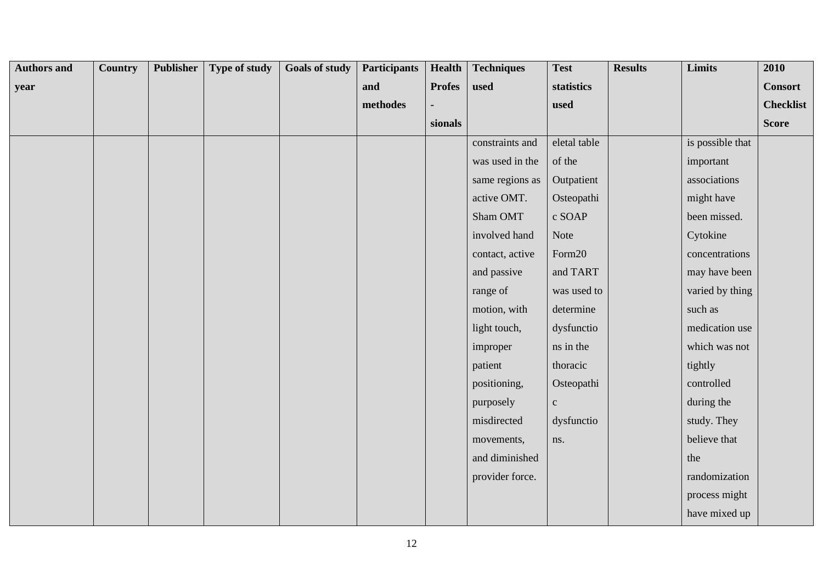| <b>Authors and</b> | Country | <b>Publisher</b> | Type of study | <b>Goals of study</b> | <b>Participants</b> | Health        | <b>Techniques</b> | <b>Test</b>  | <b>Results</b> | Limits           | 2010             |
|--------------------|---------|------------------|---------------|-----------------------|---------------------|---------------|-------------------|--------------|----------------|------------------|------------------|
| year               |         |                  |               |                       | and                 | <b>Profes</b> | used              | statistics   |                |                  | <b>Consort</b>   |
|                    |         |                  |               |                       | methodes            |               |                   | used         |                |                  | <b>Checklist</b> |
|                    |         |                  |               |                       |                     | sionals       |                   |              |                |                  | <b>Score</b>     |
|                    |         |                  |               |                       |                     |               | constraints and   | eletal table |                | is possible that |                  |
|                    |         |                  |               |                       |                     |               | was used in the   | of the       |                | important        |                  |
|                    |         |                  |               |                       |                     |               | same regions as   | Outpatient   |                | associations     |                  |
|                    |         |                  |               |                       |                     |               | active OMT.       | Osteopathi   |                | might have       |                  |
|                    |         |                  |               |                       |                     |               | Sham OMT          | c SOAP       |                | been missed.     |                  |
|                    |         |                  |               |                       |                     |               | involved hand     | Note         |                | Cytokine         |                  |
|                    |         |                  |               |                       |                     |               | contact, active   | Form20       |                | concentrations   |                  |
|                    |         |                  |               |                       |                     |               | and passive       | and TART     |                | may have been    |                  |
|                    |         |                  |               |                       |                     |               | range of          | was used to  |                | varied by thing  |                  |
|                    |         |                  |               |                       |                     |               | motion, with      | determine    |                | such as          |                  |
|                    |         |                  |               |                       |                     |               | light touch,      | dysfunctio   |                | medication use   |                  |
|                    |         |                  |               |                       |                     |               | improper          | ns in the    |                | which was not    |                  |
|                    |         |                  |               |                       |                     |               | patient           | thoracic     |                | tightly          |                  |
|                    |         |                  |               |                       |                     |               | positioning,      | Osteopathi   |                | controlled       |                  |
|                    |         |                  |               |                       |                     |               | purposely         | $\mathbf{c}$ |                | during the       |                  |
|                    |         |                  |               |                       |                     |               | misdirected       | dysfunctio   |                | study. They      |                  |
|                    |         |                  |               |                       |                     |               | movements,        | ns.          |                | believe that     |                  |
|                    |         |                  |               |                       |                     |               | and diminished    |              |                | the              |                  |
|                    |         |                  |               |                       |                     |               | provider force.   |              |                | randomization    |                  |
|                    |         |                  |               |                       |                     |               |                   |              |                | process might    |                  |
|                    |         |                  |               |                       |                     |               |                   |              |                | have mixed up    |                  |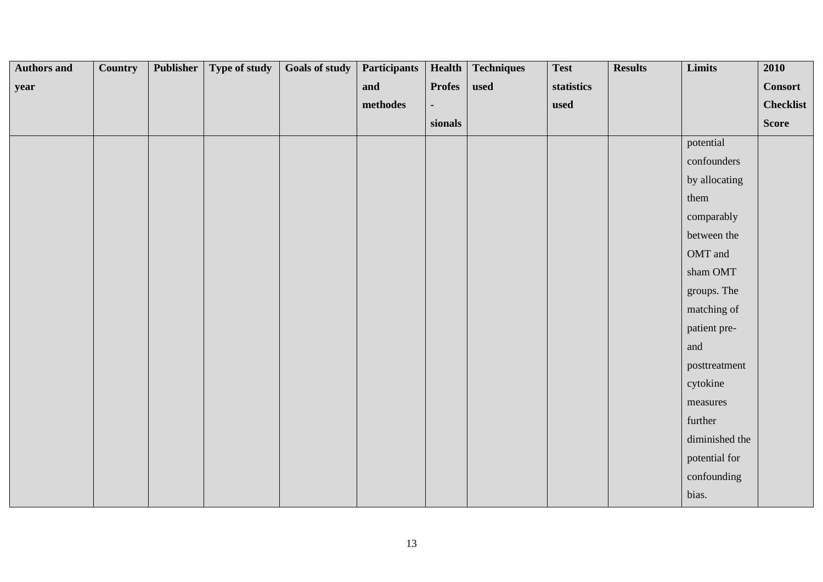| <b>Authors and</b> | <b>Country</b> | Publisher | Type of study | <b>Goals of study</b> | <b>Participants</b> | Health        | <b>Techniques</b> | <b>Test</b> | <b>Results</b> | Limits             | 2010             |
|--------------------|----------------|-----------|---------------|-----------------------|---------------------|---------------|-------------------|-------------|----------------|--------------------|------------------|
| year               |                |           |               |                       | and                 | <b>Profes</b> | used              | statistics  |                |                    | <b>Consort</b>   |
|                    |                |           |               |                       | methodes            |               |                   | used        |                |                    | <b>Checklist</b> |
|                    |                |           |               |                       |                     | sionals       |                   |             |                |                    | <b>Score</b>     |
|                    |                |           |               |                       |                     |               |                   |             |                | potential          |                  |
|                    |                |           |               |                       |                     |               |                   |             |                | confounders        |                  |
|                    |                |           |               |                       |                     |               |                   |             |                | by allocating      |                  |
|                    |                |           |               |                       |                     |               |                   |             |                | them               |                  |
|                    |                |           |               |                       |                     |               |                   |             |                | comparably         |                  |
|                    |                |           |               |                       |                     |               |                   |             |                | between the        |                  |
|                    |                |           |               |                       |                     |               |                   |             |                | OMT and            |                  |
|                    |                |           |               |                       |                     |               |                   |             |                | $\,$ sham OMT $\,$ |                  |
|                    |                |           |               |                       |                     |               |                   |             |                | groups. The        |                  |
|                    |                |           |               |                       |                     |               |                   |             |                | matching of        |                  |
|                    |                |           |               |                       |                     |               |                   |             |                | patient pre-       |                  |
|                    |                |           |               |                       |                     |               |                   |             |                | and                |                  |
|                    |                |           |               |                       |                     |               |                   |             |                | posttreatment      |                  |
|                    |                |           |               |                       |                     |               |                   |             |                | cytokine           |                  |
|                    |                |           |               |                       |                     |               |                   |             |                | measures           |                  |
|                    |                |           |               |                       |                     |               |                   |             |                | further            |                  |
|                    |                |           |               |                       |                     |               |                   |             |                | diminished the     |                  |
|                    |                |           |               |                       |                     |               |                   |             |                | potential for      |                  |
|                    |                |           |               |                       |                     |               |                   |             |                | confounding        |                  |
|                    |                |           |               |                       |                     |               |                   |             |                | bias.              |                  |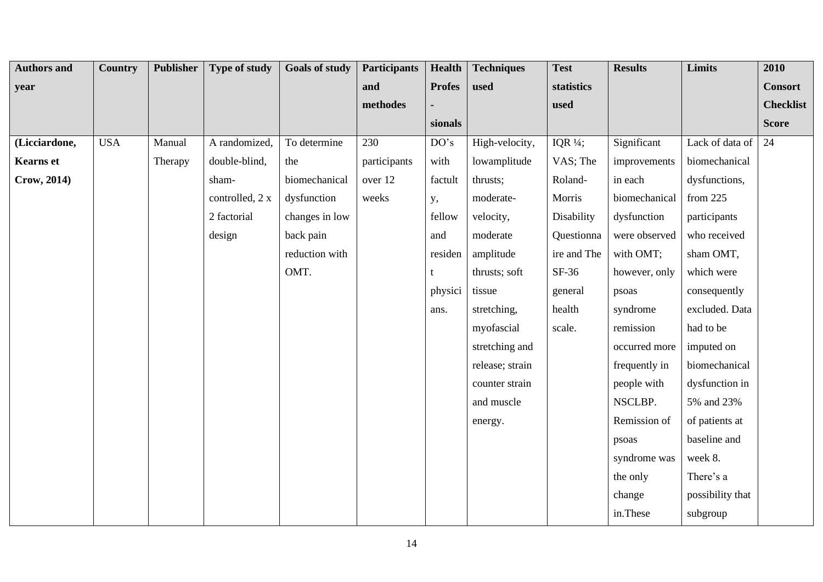| <b>Authors and</b> | Country    | Publisher | <b>Type of study</b> | <b>Goals of study</b> | <b>Participants</b> | <b>Health</b> | <b>Techniques</b> | <b>Test</b>         | <b>Results</b> | <b>Limits</b>    | 2010             |
|--------------------|------------|-----------|----------------------|-----------------------|---------------------|---------------|-------------------|---------------------|----------------|------------------|------------------|
| year               |            |           |                      |                       | and                 | <b>Profes</b> | used              | statistics          |                |                  | <b>Consort</b>   |
|                    |            |           |                      |                       | methodes            |               |                   | used                |                |                  | <b>Checklist</b> |
|                    |            |           |                      |                       |                     | sionals       |                   |                     |                |                  | <b>Score</b>     |
| (Licciardone,      | <b>USA</b> | Manual    | A randomized,        | To determine          | 230                 | DO's          | High-velocity,    | IQR $\frac{1}{4}$ ; | Significant    | Lack of data of  | 24               |
| <b>Kearns</b> et   |            | Therapy   | double-blind,        | the                   | participants        | with          | lowamplitude      | VAS; The            | improvements   | biomechanical    |                  |
| Crow, 2014)        |            |           | sham-                | biomechanical         | over 12             | factult       | thrusts;          | Roland-             | in each        | dysfunctions,    |                  |
|                    |            |           | controlled, 2 x      | dysfunction           | weeks               | у,            | moderate-         | Morris              | biomechanical  | from $225$       |                  |
|                    |            |           | 2 factorial          | changes in low        |                     | fellow        | velocity,         | Disability          | dysfunction    | participants     |                  |
|                    |            |           | design               | back pain             |                     | and           | moderate          | Questionna          | were observed  | who received     |                  |
|                    |            |           |                      | reduction with        |                     | residen       | amplitude         | ire and The         | with OMT;      | sham OMT,        |                  |
|                    |            |           |                      | OMT.                  |                     |               | thrusts; soft     | $SF-36$             | however, only  | which were       |                  |
|                    |            |           |                      |                       |                     | physici       | tissue            | general             | psoas          | consequently     |                  |
|                    |            |           |                      |                       |                     | ans.          | stretching,       | health              | syndrome       | excluded. Data   |                  |
|                    |            |           |                      |                       |                     |               | myofascial        | scale.              | remission      | had to be        |                  |
|                    |            |           |                      |                       |                     |               | stretching and    |                     | occurred more  | imputed on       |                  |
|                    |            |           |                      |                       |                     |               | release; strain   |                     | frequently in  | biomechanical    |                  |
|                    |            |           |                      |                       |                     |               | counter strain    |                     | people with    | dysfunction in   |                  |
|                    |            |           |                      |                       |                     |               | and muscle        |                     | NSCLBP.        | 5% and 23%       |                  |
|                    |            |           |                      |                       |                     |               | energy.           |                     | Remission of   | of patients at   |                  |
|                    |            |           |                      |                       |                     |               |                   |                     | psoas          | baseline and     |                  |
|                    |            |           |                      |                       |                     |               |                   |                     | syndrome was   | week 8.          |                  |
|                    |            |           |                      |                       |                     |               |                   |                     | the only       | There's a        |                  |
|                    |            |           |                      |                       |                     |               |                   |                     | change         | possibility that |                  |
|                    |            |           |                      |                       |                     |               |                   |                     | in.These       | subgroup         |                  |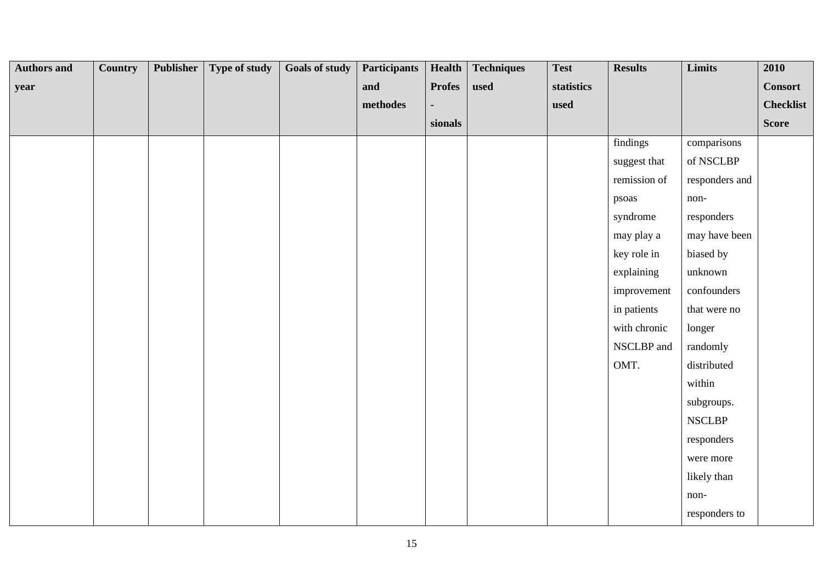| <b>Authors and</b> | <b>Country</b> | Publisher | Type of study | <b>Goals of study</b> | <b>Participants</b> | Health        | <b>Techniques</b> | <b>Test</b> | <b>Results</b> | Limits         | 2010             |
|--------------------|----------------|-----------|---------------|-----------------------|---------------------|---------------|-------------------|-------------|----------------|----------------|------------------|
| year               |                |           |               |                       | and                 | <b>Profes</b> | used              | statistics  |                |                | <b>Consort</b>   |
|                    |                |           |               |                       | methodes            |               |                   | used        |                |                | <b>Checklist</b> |
|                    |                |           |               |                       |                     | sionals       |                   |             |                |                | <b>Score</b>     |
|                    |                |           |               |                       |                     |               |                   |             | findings       | comparisons    |                  |
|                    |                |           |               |                       |                     |               |                   |             | suggest that   | of NSCLBP      |                  |
|                    |                |           |               |                       |                     |               |                   |             | remission of   | responders and |                  |
|                    |                |           |               |                       |                     |               |                   |             | psoas          | non-           |                  |
|                    |                |           |               |                       |                     |               |                   |             | syndrome       | responders     |                  |
|                    |                |           |               |                       |                     |               |                   |             | may play a     | may have been  |                  |
|                    |                |           |               |                       |                     |               |                   |             | key role in    | biased by      |                  |
|                    |                |           |               |                       |                     |               |                   |             | explaining     | unknown        |                  |
|                    |                |           |               |                       |                     |               |                   |             | improvement    | confounders    |                  |
|                    |                |           |               |                       |                     |               |                   |             | in patients    | that were no   |                  |
|                    |                |           |               |                       |                     |               |                   |             | with chronic   | longer         |                  |
|                    |                |           |               |                       |                     |               |                   |             | NSCLBP and     | randomly       |                  |
|                    |                |           |               |                       |                     |               |                   |             | OMT.           | distributed    |                  |
|                    |                |           |               |                       |                     |               |                   |             |                | within         |                  |
|                    |                |           |               |                       |                     |               |                   |             |                | subgroups.     |                  |
|                    |                |           |               |                       |                     |               |                   |             |                | <b>NSCLBP</b>  |                  |
|                    |                |           |               |                       |                     |               |                   |             |                | responders     |                  |
|                    |                |           |               |                       |                     |               |                   |             |                | were more      |                  |
|                    |                |           |               |                       |                     |               |                   |             |                | likely than    |                  |
|                    |                |           |               |                       |                     |               |                   |             |                | non-           |                  |
|                    |                |           |               |                       |                     |               |                   |             |                | responders to  |                  |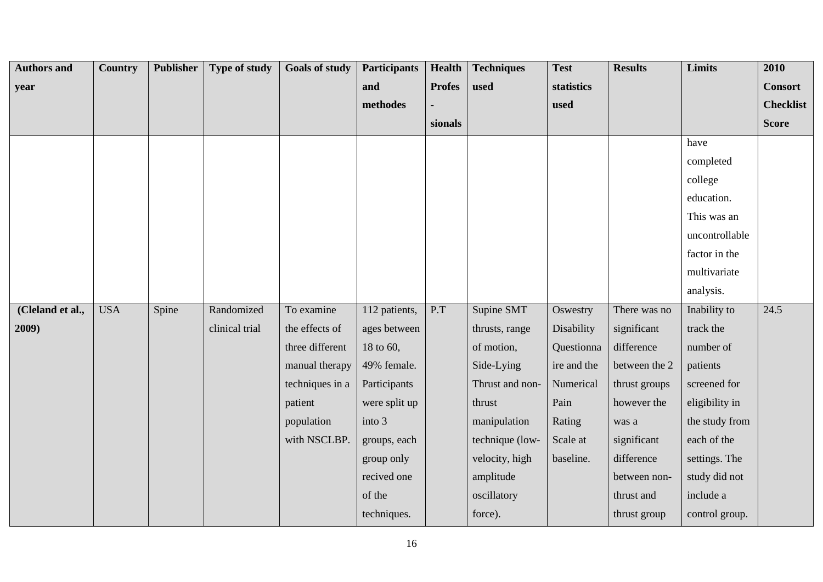| <b>Authors and</b> | Country    | <b>Publisher</b> | <b>Type of study</b> | <b>Goals of study</b> | <b>Participants</b> | Health        | <b>Techniques</b> | <b>Test</b> | <b>Results</b> | Limits         | 2010             |
|--------------------|------------|------------------|----------------------|-----------------------|---------------------|---------------|-------------------|-------------|----------------|----------------|------------------|
| year               |            |                  |                      |                       | and                 | <b>Profes</b> | used              | statistics  |                |                | <b>Consort</b>   |
|                    |            |                  |                      |                       | methodes            |               |                   | used        |                |                | <b>Checklist</b> |
|                    |            |                  |                      |                       |                     | sionals       |                   |             |                |                | <b>Score</b>     |
|                    |            |                  |                      |                       |                     |               |                   |             |                | have           |                  |
|                    |            |                  |                      |                       |                     |               |                   |             |                | completed      |                  |
|                    |            |                  |                      |                       |                     |               |                   |             |                | college        |                  |
|                    |            |                  |                      |                       |                     |               |                   |             |                | education.     |                  |
|                    |            |                  |                      |                       |                     |               |                   |             |                | This was an    |                  |
|                    |            |                  |                      |                       |                     |               |                   |             |                | uncontrollable |                  |
|                    |            |                  |                      |                       |                     |               |                   |             |                | factor in the  |                  |
|                    |            |                  |                      |                       |                     |               |                   |             |                | multivariate   |                  |
|                    |            |                  |                      |                       |                     |               |                   |             |                | analysis.      |                  |
| (Cleland et al.,   | <b>USA</b> | Spine            | Randomized           | To examine            | 112 patients,       | P.T           | Supine SMT        | Oswestry    | There was no   | Inability to   | 24.5             |
| 2009)              |            |                  | clinical trial       | the effects of        | ages between        |               | thrusts, range    | Disability  | significant    | track the      |                  |
|                    |            |                  |                      | three different       | 18 to 60,           |               | of motion,        | Questionna  | difference     | number of      |                  |
|                    |            |                  |                      | manual therapy        | 49% female.         |               | Side-Lying        | ire and the | between the 2  | patients       |                  |
|                    |            |                  |                      | techniques in a       | Participants        |               | Thrust and non-   | Numerical   | thrust groups  | screened for   |                  |
|                    |            |                  |                      | patient               | were split up       |               | thrust            | Pain        | however the    | eligibility in |                  |
|                    |            |                  |                      | population            | into 3              |               | manipulation      | Rating      | was a          | the study from |                  |
|                    |            |                  |                      | with NSCLBP.          | groups, each        |               | technique (low-   | Scale at    | significant    | each of the    |                  |
|                    |            |                  |                      |                       | group only          |               | velocity, high    | baseline.   | difference     | settings. The  |                  |
|                    |            |                  |                      |                       | recived one         |               | amplitude         |             | between non-   | study did not  |                  |
|                    |            |                  |                      |                       | of the              |               | oscillatory       |             | thrust and     | include a      |                  |
|                    |            |                  |                      |                       | techniques.         |               | force).           |             | thrust group   | control group. |                  |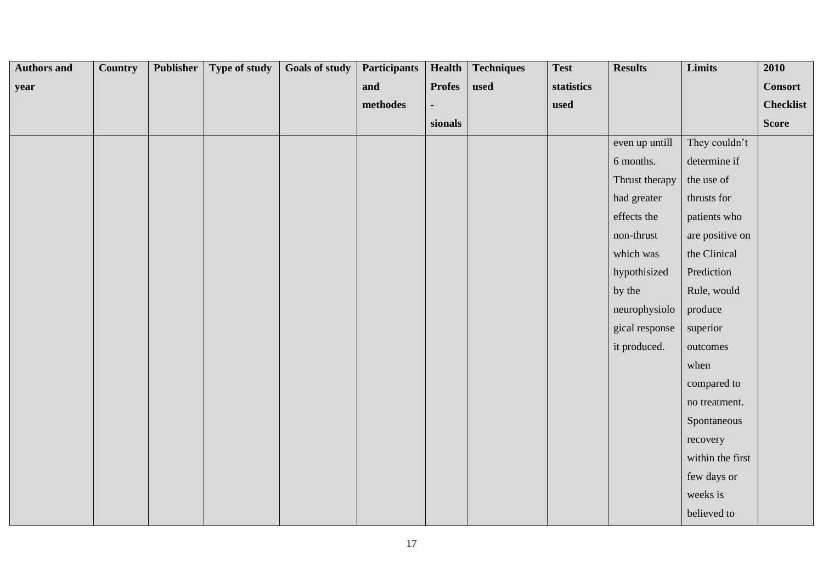| <b>Authors and</b> | <b>Country</b> | <b>Publisher</b> | Type of study | <b>Goals of study</b> | <b>Participants</b> | <b>Health</b> | <b>Techniques</b> | <b>Test</b> | <b>Results</b> | Limits           | 2010             |
|--------------------|----------------|------------------|---------------|-----------------------|---------------------|---------------|-------------------|-------------|----------------|------------------|------------------|
| year               |                |                  |               |                       | and                 | <b>Profes</b> | used              | statistics  |                |                  | <b>Consort</b>   |
|                    |                |                  |               |                       | $\bf{methods}$      |               |                   | used        |                |                  | <b>Checklist</b> |
|                    |                |                  |               |                       |                     | sionals       |                   |             |                |                  | <b>Score</b>     |
|                    |                |                  |               |                       |                     |               |                   |             | even up untill | They couldn't    |                  |
|                    |                |                  |               |                       |                     |               |                   |             | 6 months.      | determine if     |                  |
|                    |                |                  |               |                       |                     |               |                   |             | Thrust therapy | the use of       |                  |
|                    |                |                  |               |                       |                     |               |                   |             | had greater    | thrusts for      |                  |
|                    |                |                  |               |                       |                     |               |                   |             | effects the    | patients who     |                  |
|                    |                |                  |               |                       |                     |               |                   |             | non-thrust     | are positive on  |                  |
|                    |                |                  |               |                       |                     |               |                   |             | which was      | the Clinical     |                  |
|                    |                |                  |               |                       |                     |               |                   |             | hypothisized   | Prediction       |                  |
|                    |                |                  |               |                       |                     |               |                   |             | by the         | Rule, would      |                  |
|                    |                |                  |               |                       |                     |               |                   |             | neurophysiolo  | produce          |                  |
|                    |                |                  |               |                       |                     |               |                   |             | gical response | superior         |                  |
|                    |                |                  |               |                       |                     |               |                   |             | it produced.   | outcomes         |                  |
|                    |                |                  |               |                       |                     |               |                   |             |                | when             |                  |
|                    |                |                  |               |                       |                     |               |                   |             |                | compared to      |                  |
|                    |                |                  |               |                       |                     |               |                   |             |                | no treatment.    |                  |
|                    |                |                  |               |                       |                     |               |                   |             |                | Spontaneous      |                  |
|                    |                |                  |               |                       |                     |               |                   |             |                | recovery         |                  |
|                    |                |                  |               |                       |                     |               |                   |             |                | within the first |                  |
|                    |                |                  |               |                       |                     |               |                   |             |                | few days or      |                  |
|                    |                |                  |               |                       |                     |               |                   |             |                | weeks is         |                  |
|                    |                |                  |               |                       |                     |               |                   |             |                | believed to      |                  |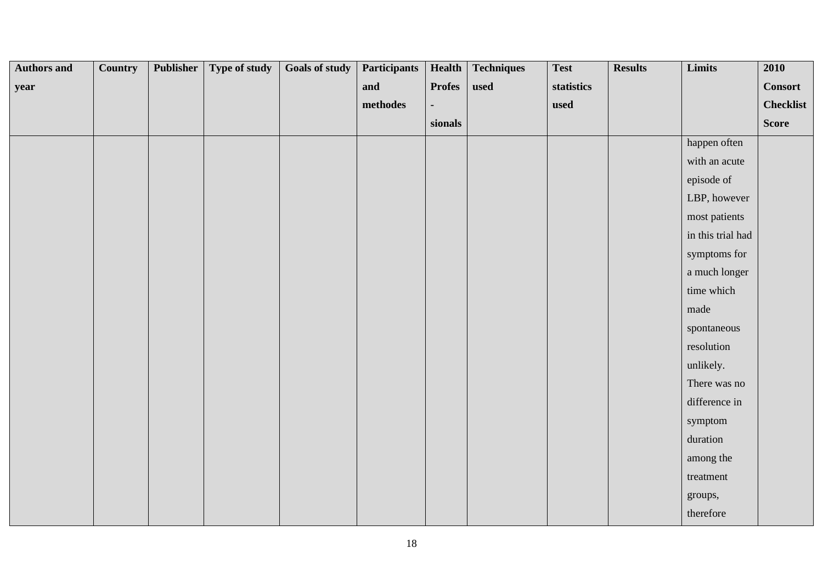| <b>Authors and</b> | <b>Country</b> | Publisher | Type of study | <b>Goals of study</b> | <b>Participants</b> | <b>Health</b> | <b>Techniques</b> | <b>Test</b> | <b>Results</b> | Limits            | 2010             |
|--------------------|----------------|-----------|---------------|-----------------------|---------------------|---------------|-------------------|-------------|----------------|-------------------|------------------|
| year               |                |           |               |                       | and                 | <b>Profes</b> | used              | statistics  |                |                   | <b>Consort</b>   |
|                    |                |           |               |                       | $\bf{methods}$      |               |                   | used        |                |                   | <b>Checklist</b> |
|                    |                |           |               |                       |                     | sionals       |                   |             |                |                   | Score            |
|                    |                |           |               |                       |                     |               |                   |             |                | happen often      |                  |
|                    |                |           |               |                       |                     |               |                   |             |                | with an acute     |                  |
|                    |                |           |               |                       |                     |               |                   |             |                | episode of        |                  |
|                    |                |           |               |                       |                     |               |                   |             |                | LBP, however      |                  |
|                    |                |           |               |                       |                     |               |                   |             |                | most patients     |                  |
|                    |                |           |               |                       |                     |               |                   |             |                | in this trial had |                  |
|                    |                |           |               |                       |                     |               |                   |             |                | symptoms for      |                  |
|                    |                |           |               |                       |                     |               |                   |             |                | a much longer     |                  |
|                    |                |           |               |                       |                     |               |                   |             |                | time which        |                  |
|                    |                |           |               |                       |                     |               |                   |             |                | made              |                  |
|                    |                |           |               |                       |                     |               |                   |             |                | spontaneous       |                  |
|                    |                |           |               |                       |                     |               |                   |             |                | resolution        |                  |
|                    |                |           |               |                       |                     |               |                   |             |                | unlikely.         |                  |
|                    |                |           |               |                       |                     |               |                   |             |                | There was no      |                  |
|                    |                |           |               |                       |                     |               |                   |             |                | difference in     |                  |
|                    |                |           |               |                       |                     |               |                   |             |                | symptom           |                  |
|                    |                |           |               |                       |                     |               |                   |             |                | duration          |                  |
|                    |                |           |               |                       |                     |               |                   |             |                | among the         |                  |
|                    |                |           |               |                       |                     |               |                   |             |                | treatment         |                  |
|                    |                |           |               |                       |                     |               |                   |             |                | groups,           |                  |
|                    |                |           |               |                       |                     |               |                   |             |                | therefore         |                  |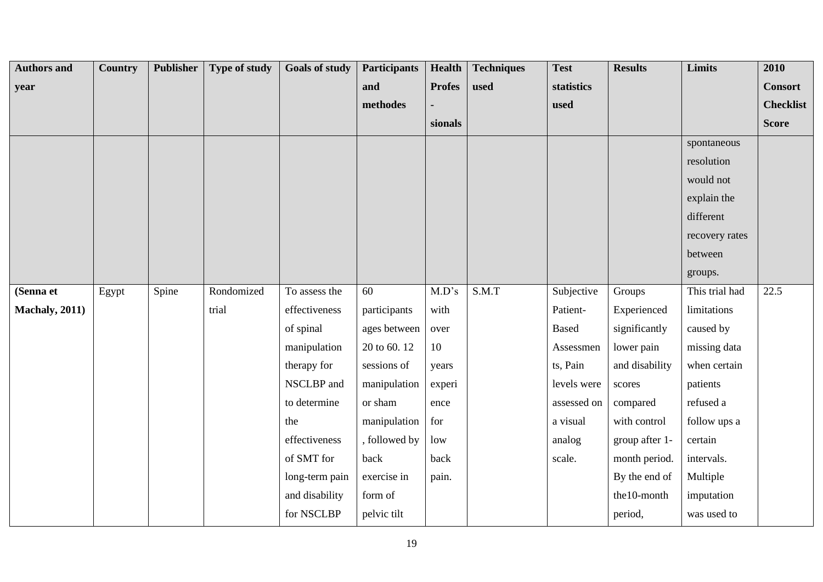| <b>Authors and</b>     | <b>Country</b> | Publisher | <b>Type of study</b> | <b>Goals of study</b> | <b>Participants</b> | <b>Health</b> | <b>Techniques</b> | <b>Test</b>  | <b>Results</b> | <b>Limits</b>  | 2010             |
|------------------------|----------------|-----------|----------------------|-----------------------|---------------------|---------------|-------------------|--------------|----------------|----------------|------------------|
| year                   |                |           |                      |                       | and                 | <b>Profes</b> | used              | statistics   |                |                | <b>Consort</b>   |
|                        |                |           |                      |                       | methodes            |               |                   | used         |                |                | <b>Checklist</b> |
|                        |                |           |                      |                       |                     | sionals       |                   |              |                |                | <b>Score</b>     |
|                        |                |           |                      |                       |                     |               |                   |              |                | spontaneous    |                  |
|                        |                |           |                      |                       |                     |               |                   |              |                | resolution     |                  |
|                        |                |           |                      |                       |                     |               |                   |              |                | would not      |                  |
|                        |                |           |                      |                       |                     |               |                   |              |                | explain the    |                  |
|                        |                |           |                      |                       |                     |               |                   |              |                | different      |                  |
|                        |                |           |                      |                       |                     |               |                   |              |                | recovery rates |                  |
|                        |                |           |                      |                       |                     |               |                   |              |                | between        |                  |
|                        |                |           |                      |                       |                     |               |                   |              |                | groups.        |                  |
| (Senna et              | Egypt          | Spine     | Rondomized           | To assess the         | 60                  | M.D's         | S.M.T             | Subjective   | Groups         | This trial had | 22.5             |
| <b>Machaly</b> , 2011) |                |           | trial                | effectiveness         | participants        | with          |                   | Patient-     | Experienced    | limitations    |                  |
|                        |                |           |                      | of spinal             | ages between        | over          |                   | <b>Based</b> | significantly  | caused by      |                  |
|                        |                |           |                      | manipulation          | 20 to 60.12         | $10\,$        |                   | Assessmen    | lower pain     | missing data   |                  |
|                        |                |           |                      | therapy for           | sessions of         | years         |                   | ts, Pain     | and disability | when certain   |                  |
|                        |                |           |                      | NSCLBP and            | manipulation        | experi        |                   | levels were  | scores         | patients       |                  |
|                        |                |           |                      | to determine          | or sham             | ence          |                   | assessed on  | compared       | refused a      |                  |
|                        |                |           |                      | the                   | manipulation        | for           |                   | a visual     | with control   | follow ups a   |                  |
|                        |                |           |                      | effectiveness         | , followed by       | low           |                   | analog       | group after 1- | certain        |                  |
|                        |                |           |                      | of SMT for            | back                | back          |                   | scale.       | month period.  | intervals.     |                  |
|                        |                |           |                      | long-term pain        | exercise in         | pain.         |                   |              | By the end of  | Multiple       |                  |
|                        |                |           |                      | and disability        | form of             |               |                   |              | the10-month    | imputation     |                  |
|                        |                |           |                      | for NSCLBP            | pelvic tilt         |               |                   |              | period,        | was used to    |                  |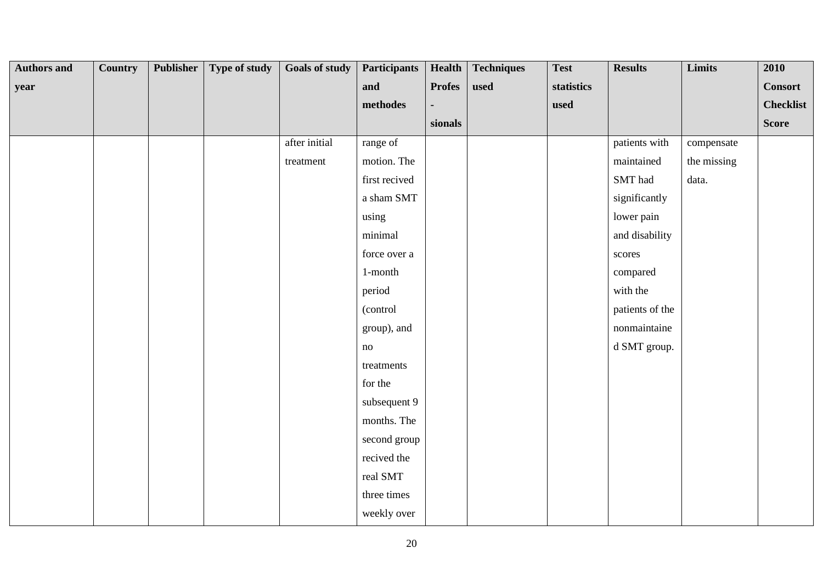| <b>Authors and</b> | <b>Country</b> | Publisher | Type of study | <b>Goals of study</b> | <b>Participants</b> | Health        | <b>Techniques</b> | <b>Test</b> | <b>Results</b>  | Limits      | 2010             |
|--------------------|----------------|-----------|---------------|-----------------------|---------------------|---------------|-------------------|-------------|-----------------|-------------|------------------|
| year               |                |           |               |                       | and                 | <b>Profes</b> | used              | statistics  |                 |             | <b>Consort</b>   |
|                    |                |           |               |                       | $\bf{methods}$      |               |                   | used        |                 |             | <b>Checklist</b> |
|                    |                |           |               |                       |                     | sionals       |                   |             |                 |             | Score            |
|                    |                |           |               | after initial         | range of            |               |                   |             | patients with   | compensate  |                  |
|                    |                |           |               | treatment             | motion. The         |               |                   |             | maintained      | the missing |                  |
|                    |                |           |               |                       | first recived       |               |                   |             | SMT had         | data.       |                  |
|                    |                |           |               |                       | a sham SMT          |               |                   |             | significantly   |             |                  |
|                    |                |           |               |                       | using               |               |                   |             | lower pain      |             |                  |
|                    |                |           |               |                       | minimal             |               |                   |             | and disability  |             |                  |
|                    |                |           |               |                       | force over a        |               |                   |             | scores          |             |                  |
|                    |                |           |               |                       | $1$ -month          |               |                   |             | compared        |             |                  |
|                    |                |           |               |                       | period              |               |                   |             | with the        |             |                  |
|                    |                |           |               |                       | (control            |               |                   |             | patients of the |             |                  |
|                    |                |           |               |                       | group), and         |               |                   |             | nonmaintaine    |             |                  |
|                    |                |           |               |                       | no                  |               |                   |             | d SMT group.    |             |                  |
|                    |                |           |               |                       | treatments          |               |                   |             |                 |             |                  |
|                    |                |           |               |                       | for the             |               |                   |             |                 |             |                  |
|                    |                |           |               |                       | subsequent 9        |               |                   |             |                 |             |                  |
|                    |                |           |               |                       | months. The         |               |                   |             |                 |             |                  |
|                    |                |           |               |                       | second group        |               |                   |             |                 |             |                  |
|                    |                |           |               |                       | recived the         |               |                   |             |                 |             |                  |
|                    |                |           |               |                       | real SMT            |               |                   |             |                 |             |                  |
|                    |                |           |               |                       | three times         |               |                   |             |                 |             |                  |
|                    |                |           |               |                       | weekly over         |               |                   |             |                 |             |                  |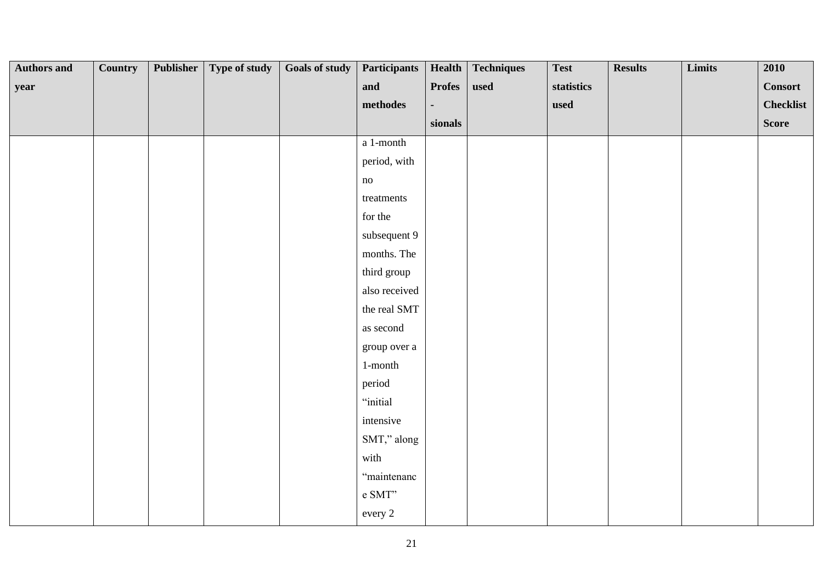| <b>Authors and</b> | <b>Country</b> | Publisher | Type of study | <b>Goals of study</b> | <b>Participants</b>                                   |               | Health   Techniques | <b>Test</b> | <b>Results</b> | Limits | 2010             |
|--------------------|----------------|-----------|---------------|-----------------------|-------------------------------------------------------|---------------|---------------------|-------------|----------------|--------|------------------|
| year               |                |           |               |                       | and                                                   | <b>Profes</b> | used                | statistics  |                |        | <b>Consort</b>   |
|                    |                |           |               |                       | $\bf{methods}$                                        |               |                     | used        |                |        | <b>Checklist</b> |
|                    |                |           |               |                       |                                                       | sionals       |                     |             |                |        | <b>Score</b>     |
|                    |                |           |               |                       | $\,$ a $\,$ 1-month                                   |               |                     |             |                |        |                  |
|                    |                |           |               |                       | period, with                                          |               |                     |             |                |        |                  |
|                    |                |           |               |                       | no                                                    |               |                     |             |                |        |                  |
|                    |                |           |               |                       | treatments                                            |               |                     |             |                |        |                  |
|                    |                |           |               |                       | for the                                               |               |                     |             |                |        |                  |
|                    |                |           |               |                       | subsequent 9                                          |               |                     |             |                |        |                  |
|                    |                |           |               |                       | months. The                                           |               |                     |             |                |        |                  |
|                    |                |           |               |                       | third group                                           |               |                     |             |                |        |                  |
|                    |                |           |               |                       | also received                                         |               |                     |             |                |        |                  |
|                    |                |           |               |                       | the real SMT                                          |               |                     |             |                |        |                  |
|                    |                |           |               |                       | as second                                             |               |                     |             |                |        |                  |
|                    |                |           |               |                       | group over a                                          |               |                     |             |                |        |                  |
|                    |                |           |               |                       | $1$ -month                                            |               |                     |             |                |        |                  |
|                    |                |           |               |                       | period                                                |               |                     |             |                |        |                  |
|                    |                |           |               |                       | "initial                                              |               |                     |             |                |        |                  |
|                    |                |           |               |                       | intensive                                             |               |                     |             |                |        |                  |
|                    |                |           |               |                       | SMT," along                                           |               |                     |             |                |        |                  |
|                    |                |           |               |                       | with                                                  |               |                     |             |                |        |                  |
|                    |                |           |               |                       | "maintenanc                                           |               |                     |             |                |        |                  |
|                    |                |           |               |                       | e $\text{SMT}^{\boldsymbol{\cdot}\boldsymbol{\cdot}}$ |               |                     |             |                |        |                  |
|                    |                |           |               |                       | every 2                                               |               |                     |             |                |        |                  |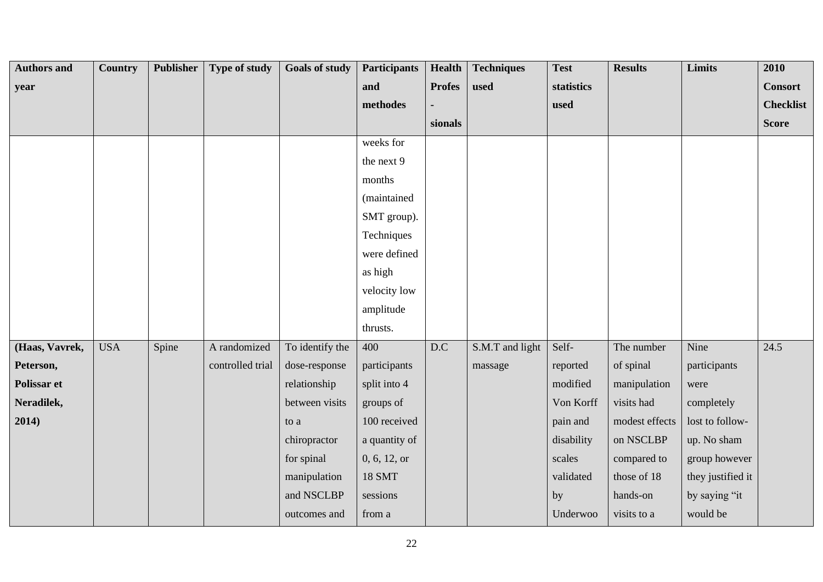| <b>Authors and</b> | <b>Country</b> | Publisher | <b>Type of study</b> | <b>Goals of study</b> | <b>Participants</b> | Health        | <b>Techniques</b> | <b>Test</b> | <b>Results</b> | Limits            | 2010             |
|--------------------|----------------|-----------|----------------------|-----------------------|---------------------|---------------|-------------------|-------------|----------------|-------------------|------------------|
| year               |                |           |                      |                       | and                 | <b>Profes</b> | used              | statistics  |                |                   | <b>Consort</b>   |
|                    |                |           |                      |                       | methodes            |               |                   | used        |                |                   | <b>Checklist</b> |
|                    |                |           |                      |                       |                     | sionals       |                   |             |                |                   | <b>Score</b>     |
|                    |                |           |                      |                       | weeks for           |               |                   |             |                |                   |                  |
|                    |                |           |                      |                       | the next 9          |               |                   |             |                |                   |                  |
|                    |                |           |                      |                       | months              |               |                   |             |                |                   |                  |
|                    |                |           |                      |                       | (maintained         |               |                   |             |                |                   |                  |
|                    |                |           |                      |                       | SMT group).         |               |                   |             |                |                   |                  |
|                    |                |           |                      |                       | Techniques          |               |                   |             |                |                   |                  |
|                    |                |           |                      |                       | were defined        |               |                   |             |                |                   |                  |
|                    |                |           |                      |                       | as high             |               |                   |             |                |                   |                  |
|                    |                |           |                      |                       | velocity low        |               |                   |             |                |                   |                  |
|                    |                |           |                      |                       | amplitude           |               |                   |             |                |                   |                  |
|                    |                |           |                      |                       | thrusts.            |               |                   |             |                |                   |                  |
| (Haas, Vavrek,     | <b>USA</b>     | Spine     | A randomized         | To identify the       | 400                 | D.C           | S.M.T and light   | Self-       | The number     | Nine              | 24.5             |
| Peterson,          |                |           | controlled trial     | dose-response         | participants        |               | massage           | reported    | of spinal      | participants      |                  |
| Polissar et        |                |           |                      | relationship          | split into 4        |               |                   | modified    | manipulation   | were              |                  |
| Neradilek,         |                |           |                      | between visits        | groups of           |               |                   | Von Korff   | visits had     | completely        |                  |
| 2014)              |                |           |                      | to a                  | 100 received        |               |                   | pain and    | modest effects | lost to follow-   |                  |
|                    |                |           |                      | chiropractor          | a quantity of       |               |                   | disability  | on NSCLBP      | up. No sham       |                  |
|                    |                |           |                      | for spinal            | 0, 6, 12, or        |               |                   | scales      | compared to    | group however     |                  |
|                    |                |           |                      | manipulation          | <b>18 SMT</b>       |               |                   | validated   | those of 18    | they justified it |                  |
|                    |                |           |                      | and NSCLBP            | sessions            |               |                   | by          | hands-on       | by saying "it     |                  |
|                    |                |           |                      | outcomes and          | from a              |               |                   | Underwoo    | visits to a    | would be          |                  |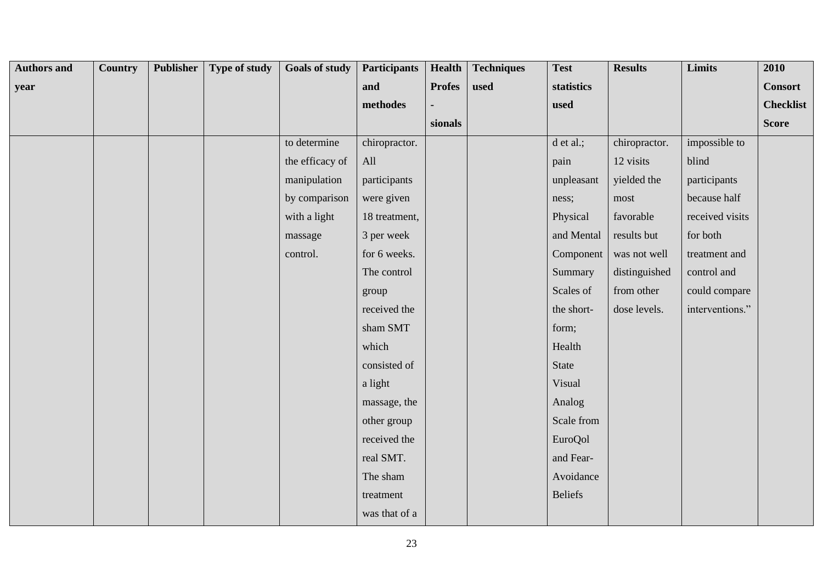| <b>Authors and</b> | Country | Publisher | Type of study | <b>Goals of study</b> | <b>Participants</b> | Health        | <b>Techniques</b> | <b>Test</b>    | <b>Results</b> | Limits          | 2010             |
|--------------------|---------|-----------|---------------|-----------------------|---------------------|---------------|-------------------|----------------|----------------|-----------------|------------------|
| year               |         |           |               |                       | and                 | <b>Profes</b> | used              | statistics     |                |                 | <b>Consort</b>   |
|                    |         |           |               |                       | methodes            |               |                   | used           |                |                 | <b>Checklist</b> |
|                    |         |           |               |                       |                     | sionals       |                   |                |                |                 | <b>Score</b>     |
|                    |         |           |               | to determine          | chiropractor.       |               |                   | d et al.;      | chiropractor.  | impossible to   |                  |
|                    |         |           |               | the efficacy of       | All                 |               |                   | pain           | 12 visits      | blind           |                  |
|                    |         |           |               | manipulation          | participants        |               |                   | unpleasant     | yielded the    | participants    |                  |
|                    |         |           |               | by comparison         | were given          |               |                   | ness;          | most           | because half    |                  |
|                    |         |           |               | with a light          | 18 treatment,       |               |                   | Physical       | favorable      | received visits |                  |
|                    |         |           |               | massage               | 3 per week          |               |                   | and Mental     | results but    | for both        |                  |
|                    |         |           |               | control.              | for 6 weeks.        |               |                   | Component      | was not well   | treatment and   |                  |
|                    |         |           |               |                       | The control         |               |                   | Summary        | distinguished  | control and     |                  |
|                    |         |           |               |                       | group               |               |                   | Scales of      | from other     | could compare   |                  |
|                    |         |           |               |                       | received the        |               |                   | the short-     | dose levels.   | interventions." |                  |
|                    |         |           |               |                       | sham SMT            |               |                   | form;          |                |                 |                  |
|                    |         |           |               |                       | which               |               |                   | Health         |                |                 |                  |
|                    |         |           |               |                       | consisted of        |               |                   | State          |                |                 |                  |
|                    |         |           |               |                       | a light             |               |                   | Visual         |                |                 |                  |
|                    |         |           |               |                       | massage, the        |               |                   | Analog         |                |                 |                  |
|                    |         |           |               |                       | other group         |               |                   | Scale from     |                |                 |                  |
|                    |         |           |               |                       | received the        |               |                   | <b>EuroQol</b> |                |                 |                  |
|                    |         |           |               |                       | real SMT.           |               |                   | and Fear-      |                |                 |                  |
|                    |         |           |               |                       | The sham            |               |                   | Avoidance      |                |                 |                  |
|                    |         |           |               |                       | treatment           |               |                   | <b>Beliefs</b> |                |                 |                  |
|                    |         |           |               |                       | was that of a       |               |                   |                |                |                 |                  |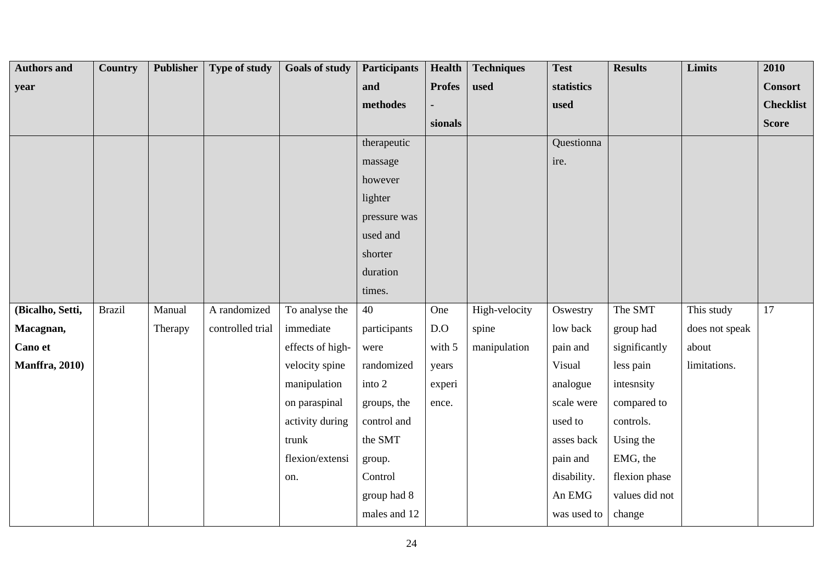| <b>Authors and</b>     | <b>Country</b> | Publisher | Type of study    | <b>Goals of study</b> | <b>Participants</b> | <b>Health</b> | <b>Techniques</b> | <b>Test</b> | <b>Results</b> | Limits         | 2010             |
|------------------------|----------------|-----------|------------------|-----------------------|---------------------|---------------|-------------------|-------------|----------------|----------------|------------------|
| year                   |                |           |                  |                       | and                 | <b>Profes</b> | used              | statistics  |                |                | <b>Consort</b>   |
|                        |                |           |                  |                       | methodes            |               |                   | used        |                |                | <b>Checklist</b> |
|                        |                |           |                  |                       |                     | sionals       |                   |             |                |                | <b>Score</b>     |
|                        |                |           |                  |                       | therapeutic         |               |                   | Questionna  |                |                |                  |
|                        |                |           |                  |                       | massage             |               |                   | ire.        |                |                |                  |
|                        |                |           |                  |                       | however             |               |                   |             |                |                |                  |
|                        |                |           |                  |                       | lighter             |               |                   |             |                |                |                  |
|                        |                |           |                  |                       | pressure was        |               |                   |             |                |                |                  |
|                        |                |           |                  |                       | used and            |               |                   |             |                |                |                  |
|                        |                |           |                  |                       | shorter             |               |                   |             |                |                |                  |
|                        |                |           |                  |                       | duration            |               |                   |             |                |                |                  |
|                        |                |           |                  |                       | times.              |               |                   |             |                |                |                  |
| (Bicalho, Setti,       | <b>Brazil</b>  | Manual    | A randomized     | To analyse the        | 40                  | One           | High-velocity     | Oswestry    | The SMT        | This study     | 17               |
| Macagnan,              |                | Therapy   | controlled trial | immediate             | participants        | D.O           | spine             | low back    | group had      | does not speak |                  |
| Cano et                |                |           |                  | effects of high-      | were                | with 5        | manipulation      | pain and    | significantly  | about          |                  |
| <b>Manffra</b> , 2010) |                |           |                  | velocity spine        | randomized          | years         |                   | Visual      | less pain      | limitations.   |                  |
|                        |                |           |                  | manipulation          | into 2              | experi        |                   | analogue    | intesnsity     |                |                  |
|                        |                |           |                  | on paraspinal         | groups, the         | ence.         |                   | scale were  | compared to    |                |                  |
|                        |                |           |                  | activity during       | control and         |               |                   | used to     | controls.      |                |                  |
|                        |                |           |                  | trunk                 | the SMT             |               |                   | asses back  | Using the      |                |                  |
|                        |                |           |                  | flexion/extensi       | group.              |               |                   | pain and    | EMG, the       |                |                  |
|                        |                |           |                  | on.                   | Control             |               |                   | disability. | flexion phase  |                |                  |
|                        |                |           |                  |                       | group had 8         |               |                   | An EMG      | values did not |                |                  |
|                        |                |           |                  |                       | males and 12        |               |                   | was used to | change         |                |                  |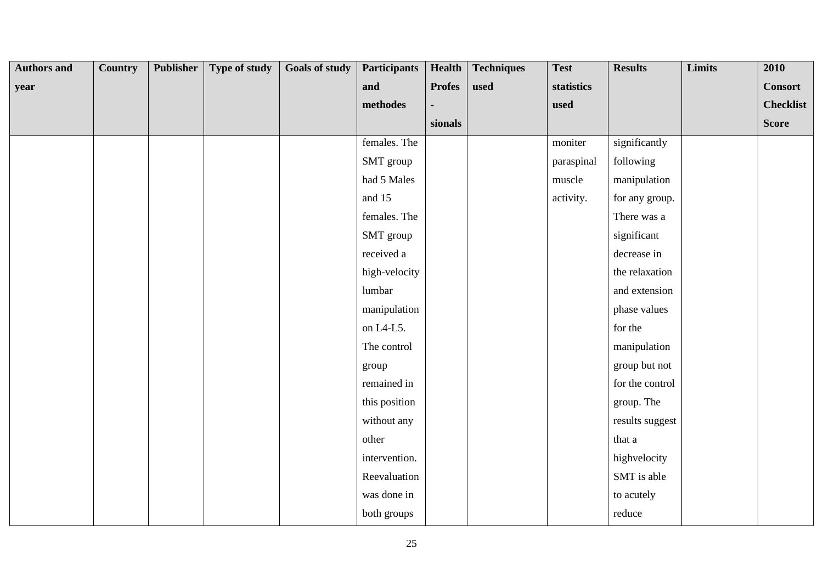| <b>Authors and</b> | Country | Publisher | Type of study | <b>Goals of study</b> | <b>Participants</b> | <b>Health</b> | <b>Techniques</b> | <b>Test</b> | <b>Results</b>  | <b>Limits</b> | 2010             |
|--------------------|---------|-----------|---------------|-----------------------|---------------------|---------------|-------------------|-------------|-----------------|---------------|------------------|
| year               |         |           |               |                       | and                 | <b>Profes</b> | used              | statistics  |                 |               | <b>Consort</b>   |
|                    |         |           |               |                       | methodes            |               |                   | used        |                 |               | <b>Checklist</b> |
|                    |         |           |               |                       |                     | sionals       |                   |             |                 |               | <b>Score</b>     |
|                    |         |           |               |                       | females. The        |               |                   | moniter     | significantly   |               |                  |
|                    |         |           |               |                       | SMT group           |               |                   | paraspinal  | following       |               |                  |
|                    |         |           |               |                       | had 5 Males         |               |                   | muscle      | manipulation    |               |                  |
|                    |         |           |               |                       | and 15              |               |                   | activity.   | for any group.  |               |                  |
|                    |         |           |               |                       | females. The        |               |                   |             | There was a     |               |                  |
|                    |         |           |               |                       | SMT group           |               |                   |             | significant     |               |                  |
|                    |         |           |               |                       | received a          |               |                   |             | decrease in     |               |                  |
|                    |         |           |               |                       | high-velocity       |               |                   |             | the relaxation  |               |                  |
|                    |         |           |               |                       | lumbar              |               |                   |             | and extension   |               |                  |
|                    |         |           |               |                       | manipulation        |               |                   |             | phase values    |               |                  |
|                    |         |           |               |                       | on L4-L5.           |               |                   |             | for the         |               |                  |
|                    |         |           |               |                       | The control         |               |                   |             | manipulation    |               |                  |
|                    |         |           |               |                       | group               |               |                   |             | group but not   |               |                  |
|                    |         |           |               |                       | remained in         |               |                   |             | for the control |               |                  |
|                    |         |           |               |                       | this position       |               |                   |             | group. The      |               |                  |
|                    |         |           |               |                       | without any         |               |                   |             | results suggest |               |                  |
|                    |         |           |               |                       | other               |               |                   |             | that a          |               |                  |
|                    |         |           |               |                       | intervention.       |               |                   |             | highvelocity    |               |                  |
|                    |         |           |               |                       | Reevaluation        |               |                   |             | SMT is able     |               |                  |
|                    |         |           |               |                       | was done in         |               |                   |             | to acutely      |               |                  |
|                    |         |           |               |                       | both groups         |               |                   |             | reduce          |               |                  |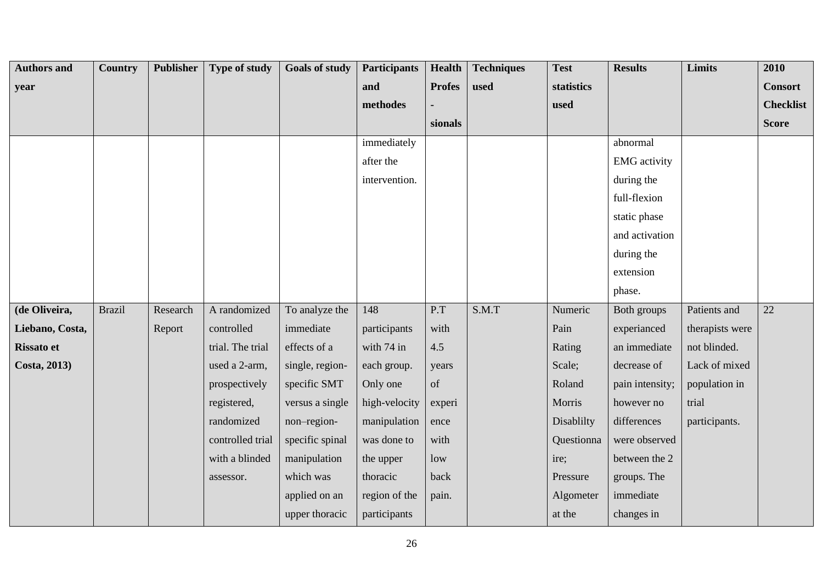| <b>Authors and</b> | Country       | <b>Publisher</b> | <b>Type of study</b> | <b>Goals of study</b> | <b>Participants</b> | <b>Health</b> | <b>Techniques</b> | <b>Test</b> | <b>Results</b>      | Limits          | 2010             |
|--------------------|---------------|------------------|----------------------|-----------------------|---------------------|---------------|-------------------|-------------|---------------------|-----------------|------------------|
| year               |               |                  |                      |                       | and                 | <b>Profes</b> | used              | statistics  |                     |                 | <b>Consort</b>   |
|                    |               |                  |                      |                       | methodes            |               |                   | used        |                     |                 | <b>Checklist</b> |
|                    |               |                  |                      |                       |                     | sionals       |                   |             |                     |                 | <b>Score</b>     |
|                    |               |                  |                      |                       | immediately         |               |                   |             | abnormal            |                 |                  |
|                    |               |                  |                      |                       | after the           |               |                   |             | <b>EMG</b> activity |                 |                  |
|                    |               |                  |                      |                       | intervention.       |               |                   |             | during the          |                 |                  |
|                    |               |                  |                      |                       |                     |               |                   |             | full-flexion        |                 |                  |
|                    |               |                  |                      |                       |                     |               |                   |             | static phase        |                 |                  |
|                    |               |                  |                      |                       |                     |               |                   |             | and activation      |                 |                  |
|                    |               |                  |                      |                       |                     |               |                   |             | during the          |                 |                  |
|                    |               |                  |                      |                       |                     |               |                   |             | extension           |                 |                  |
|                    |               |                  |                      |                       |                     |               |                   |             | phase.              |                 |                  |
| (de Oliveira,      | <b>Brazil</b> | Research         | A randomized         | To analyze the        | 148                 | P.T           | S.M.T             | Numeric     | Both groups         | Patients and    | 22               |
| Liebano, Costa,    |               | Report           | controlled           | immediate             | participants        | with          |                   | Pain        | experianced         | therapists were |                  |
| <b>Rissato et</b>  |               |                  | trial. The trial     | effects of a          | with 74 in          | 4.5           |                   | Rating      | an immediate        | not blinded.    |                  |
| Costa, 2013)       |               |                  | used a 2-arm,        | single, region-       | each group.         | years         |                   | Scale;      | decrease of         | Lack of mixed   |                  |
|                    |               |                  | prospectively        | specific SMT          | Only one            | of            |                   | Roland      | pain intensity;     | population in   |                  |
|                    |               |                  | registered,          | versus a single       | high-velocity       | experi        |                   | Morris      | however no          | trial           |                  |
|                    |               |                  | randomized           | non-region-           | manipulation        | ence          |                   | Disablilty  | differences         | participants.   |                  |
|                    |               |                  | controlled trial     | specific spinal       | was done to         | with          |                   | Questionna  | were observed       |                 |                  |
|                    |               |                  | with a blinded       | manipulation          | the upper           | low           |                   | ire;        | between the 2       |                 |                  |
|                    |               |                  | assessor.            | which was             | thoracic            | back          |                   | Pressure    | groups. The         |                 |                  |
|                    |               |                  |                      | applied on an         | region of the       | pain.         |                   | Algometer   | immediate           |                 |                  |
|                    |               |                  |                      | upper thoracic        | participants        |               |                   | at the      | changes in          |                 |                  |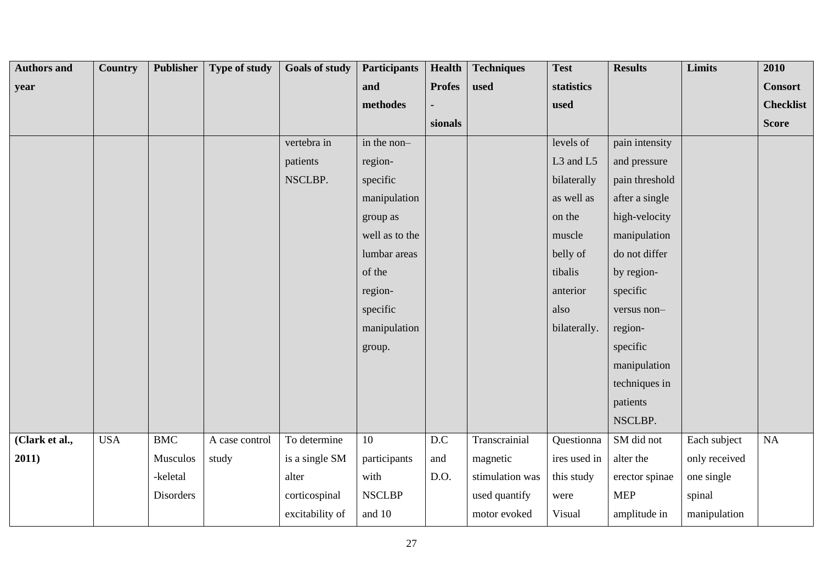| <b>Authors and</b> | Country    | <b>Publisher</b> | Type of study  | <b>Goals of study</b> | <b>Participants</b> | <b>Health</b> | <b>Techniques</b> | <b>Test</b>  | <b>Results</b> | <b>Limits</b> | 2010             |
|--------------------|------------|------------------|----------------|-----------------------|---------------------|---------------|-------------------|--------------|----------------|---------------|------------------|
| year               |            |                  |                |                       | and                 | <b>Profes</b> | used              | statistics   |                |               | <b>Consort</b>   |
|                    |            |                  |                |                       | methodes            |               |                   | used         |                |               | <b>Checklist</b> |
|                    |            |                  |                |                       |                     | sionals       |                   |              |                |               | <b>Score</b>     |
|                    |            |                  |                | vertebra in           | in the non-         |               |                   | levels of    | pain intensity |               |                  |
|                    |            |                  |                | patients              | region-             |               |                   | L3 and L5    | and pressure   |               |                  |
|                    |            |                  |                | NSCLBP.               | specific            |               |                   | bilaterally  | pain threshold |               |                  |
|                    |            |                  |                |                       | manipulation        |               |                   | as well as   | after a single |               |                  |
|                    |            |                  |                |                       | group as            |               |                   | on the       | high-velocity  |               |                  |
|                    |            |                  |                |                       | well as to the      |               |                   | muscle       | manipulation   |               |                  |
|                    |            |                  |                |                       | lumbar areas        |               |                   | belly of     | do not differ  |               |                  |
|                    |            |                  |                |                       | of the              |               |                   | tibalis      | by region-     |               |                  |
|                    |            |                  |                |                       | region-             |               |                   | anterior     | specific       |               |                  |
|                    |            |                  |                |                       | specific            |               |                   | also         | versus non-    |               |                  |
|                    |            |                  |                |                       | manipulation        |               |                   | bilaterally. | region-        |               |                  |
|                    |            |                  |                |                       | group.              |               |                   |              | specific       |               |                  |
|                    |            |                  |                |                       |                     |               |                   |              | manipulation   |               |                  |
|                    |            |                  |                |                       |                     |               |                   |              | techniques in  |               |                  |
|                    |            |                  |                |                       |                     |               |                   |              | patients       |               |                  |
|                    |            |                  |                |                       |                     |               |                   |              | NSCLBP.        |               |                  |
| (Clark et al.,     | <b>USA</b> | <b>BMC</b>       | A case control | To determine          | $\overline{10}$     | D.C           | Transcrainial     | Questionna   | SM did not     | Each subject  | <b>NA</b>        |
| 2011)              |            | Musculos         | study          | is a single SM        | participants        | and           | magnetic          | ires used in | alter the      | only received |                  |
|                    |            | -keletal         |                | alter                 | with                | D.O.          | stimulation was   | this study   | erector spinae | one single    |                  |
|                    |            | Disorders        |                | corticospinal         | <b>NSCLBP</b>       |               | used quantify     | were         | <b>MEP</b>     | spinal        |                  |
|                    |            |                  |                | excitability of       | and 10              |               | motor evoked      | Visual       | amplitude in   | manipulation  |                  |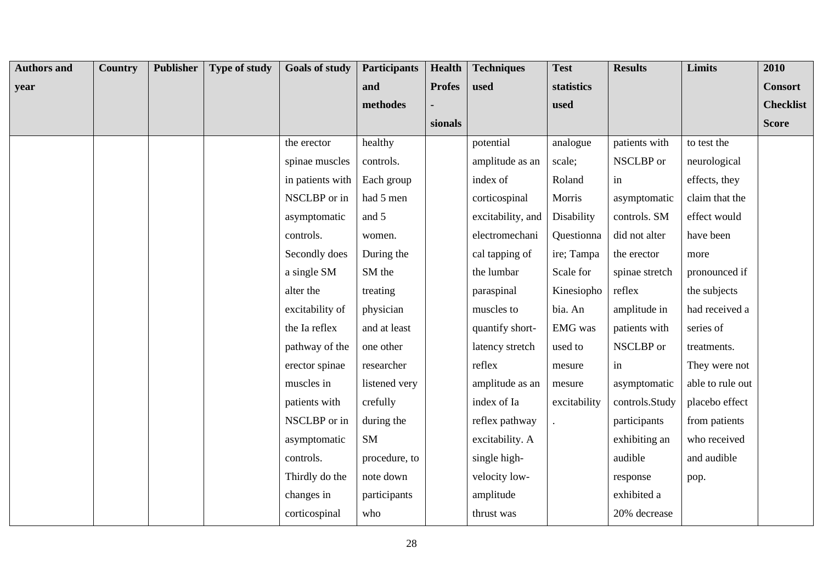| <b>Authors and</b> | Country | <b>Publisher</b> | Type of study | <b>Goals of study</b> | <b>Participants</b> | <b>Health</b> | <b>Techniques</b> | <b>Test</b>  | <b>Results</b> | <b>Limits</b>    | 2010             |
|--------------------|---------|------------------|---------------|-----------------------|---------------------|---------------|-------------------|--------------|----------------|------------------|------------------|
| year               |         |                  |               |                       | and                 | <b>Profes</b> | used              | statistics   |                |                  | <b>Consort</b>   |
|                    |         |                  |               |                       | methodes            |               |                   | used         |                |                  | <b>Checklist</b> |
|                    |         |                  |               |                       |                     | sionals       |                   |              |                |                  | <b>Score</b>     |
|                    |         |                  |               | the erector           | healthy             |               | potential         | analogue     | patients with  | to test the      |                  |
|                    |         |                  |               | spinae muscles        | controls.           |               | amplitude as an   | scale;       | NSCLBP or      | neurological     |                  |
|                    |         |                  |               | in patients with      | Each group          |               | index of          | Roland       | in             | effects, they    |                  |
|                    |         |                  |               | NSCLBP or in          | had 5 men           |               | corticospinal     | Morris       | asymptomatic   | claim that the   |                  |
|                    |         |                  |               | asymptomatic          | and 5               |               | excitability, and | Disability   | controls. SM   | effect would     |                  |
|                    |         |                  |               | controls.             | women.              |               | electromechani    | Questionna   | did not alter  | have been        |                  |
|                    |         |                  |               | Secondly does         | During the          |               | cal tapping of    | ire; Tampa   | the erector    | more             |                  |
|                    |         |                  |               | a single SM           | SM the              |               | the lumbar        | Scale for    | spinae stretch | pronounced if    |                  |
|                    |         |                  |               | alter the             | treating            |               | paraspinal        | Kinesiopho   | reflex         | the subjects     |                  |
|                    |         |                  |               | excitability of       | physician           |               | muscles to        | bia. An      | amplitude in   | had received a   |                  |
|                    |         |                  |               | the Ia reflex         | and at least        |               | quantify short-   | EMG was      | patients with  | series of        |                  |
|                    |         |                  |               | pathway of the        | one other           |               | latency stretch   | used to      | NSCLBP or      | treatments.      |                  |
|                    |         |                  |               | erector spinae        | researcher          |               | reflex            | mesure       | in             | They were not    |                  |
|                    |         |                  |               | muscles in            | listened very       |               | amplitude as an   | mesure       | asymptomatic   | able to rule out |                  |
|                    |         |                  |               | patients with         | crefully            |               | index of Ia       | excitability | controls.Study | placebo effect   |                  |
|                    |         |                  |               | NSCLBP or in          | during the          |               | reflex pathway    |              | participants   | from patients    |                  |
|                    |         |                  |               | asymptomatic          | SM                  |               | excitability. A   |              | exhibiting an  | who received     |                  |
|                    |         |                  |               | controls.             | procedure, to       |               | single high-      |              | audible        | and audible      |                  |
|                    |         |                  |               | Thirdly do the        | note down           |               | velocity low-     |              | response       | pop.             |                  |
|                    |         |                  |               | changes in            | participants        |               | amplitude         |              | exhibited a    |                  |                  |
|                    |         |                  |               | corticospinal         | who                 |               | thrust was        |              | 20% decrease   |                  |                  |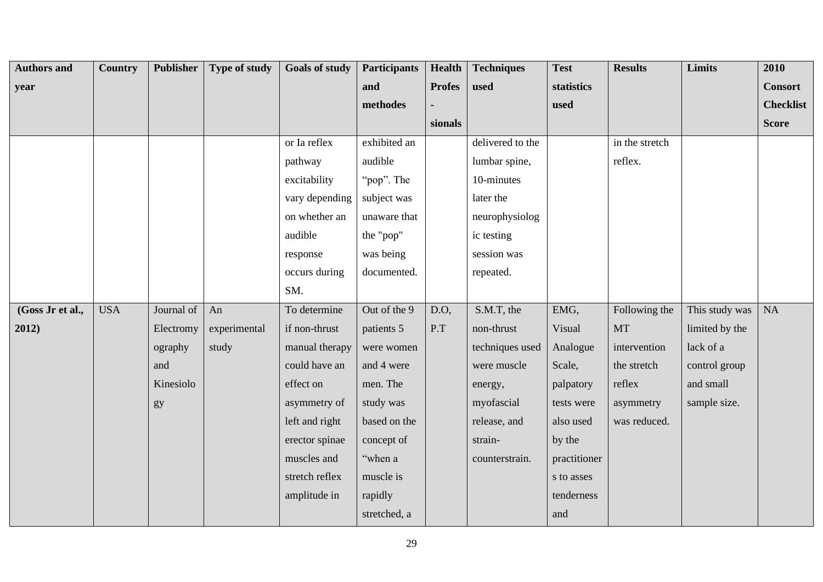| <b>Authors and</b> | <b>Country</b> | <b>Publisher</b> | <b>Type of study</b> | <b>Goals of study</b> | <b>Participants</b> | <b>Health</b> | <b>Techniques</b> | <b>Test</b>  | <b>Results</b> | <b>Limits</b>  | 2010             |
|--------------------|----------------|------------------|----------------------|-----------------------|---------------------|---------------|-------------------|--------------|----------------|----------------|------------------|
| year               |                |                  |                      |                       | and                 | <b>Profes</b> | used              | statistics   |                |                | <b>Consort</b>   |
|                    |                |                  |                      |                       | methodes            |               |                   | used         |                |                | <b>Checklist</b> |
|                    |                |                  |                      |                       |                     | sionals       |                   |              |                |                | <b>Score</b>     |
|                    |                |                  |                      | or Ia reflex          | exhibited an        |               | delivered to the  |              | in the stretch |                |                  |
|                    |                |                  |                      | pathway               | audible             |               | lumbar spine,     |              | reflex.        |                |                  |
|                    |                |                  |                      | excitability          | "pop". The          |               | 10-minutes        |              |                |                |                  |
|                    |                |                  |                      | vary depending        | subject was         |               | later the         |              |                |                |                  |
|                    |                |                  |                      | on whether an         | unaware that        |               | neurophysiolog    |              |                |                |                  |
|                    |                |                  |                      | audible               | the "pop"           |               | ic testing        |              |                |                |                  |
|                    |                |                  |                      | response              | was being           |               | session was       |              |                |                |                  |
|                    |                |                  |                      | occurs during         | documented.         |               | repeated.         |              |                |                |                  |
|                    |                |                  |                      | SM.                   |                     |               |                   |              |                |                |                  |
| (Goss Jr et al.,   | <b>USA</b>     | Journal of       | An                   | To determine          | Out of the 9        | D.O,          | S.M.T, the        | EMG,         | Following the  | This study was | <b>NA</b>        |
| 2012)              |                | Electromy        | experimental         | if non-thrust         | patients 5          | P.T           | non-thrust        | Visual       | <b>MT</b>      | limited by the |                  |
|                    |                | ography          | study                | manual therapy        | were women          |               | techniques used   | Analogue     | intervention   | lack of a      |                  |
|                    |                | and              |                      | could have an         | and 4 were          |               | were muscle       | Scale,       | the stretch    | control group  |                  |
|                    |                | Kinesiolo        |                      | effect on             | men. The            |               | energy,           | palpatory    | reflex         | and small      |                  |
|                    |                | gy               |                      | asymmetry of          | study was           |               | myofascial        | tests were   | asymmetry      | sample size.   |                  |
|                    |                |                  |                      | left and right        | based on the        |               | release, and      | also used    | was reduced.   |                |                  |
|                    |                |                  |                      | erector spinae        | concept of          |               | strain-           | by the       |                |                |                  |
|                    |                |                  |                      | muscles and           | "when a             |               | counterstrain.    | practitioner |                |                |                  |
|                    |                |                  |                      | stretch reflex        | muscle is           |               |                   | s to asses   |                |                |                  |
|                    |                |                  |                      | amplitude in          | rapidly             |               |                   | tenderness   |                |                |                  |
|                    |                |                  |                      |                       | stretched, a        |               |                   | and          |                |                |                  |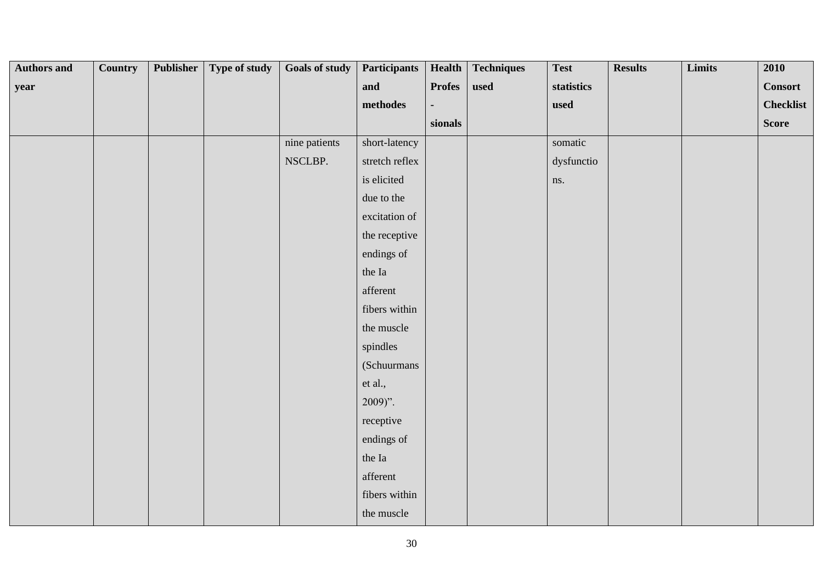| <b>Authors and</b> | <b>Country</b> | Publisher | Type of study | <b>Goals of study</b> | <b>Participants</b> | Health        | <b>Techniques</b> | <b>Test</b> | <b>Results</b> | Limits | 2010             |
|--------------------|----------------|-----------|---------------|-----------------------|---------------------|---------------|-------------------|-------------|----------------|--------|------------------|
| year               |                |           |               |                       | and                 | <b>Profes</b> | used              | statistics  |                |        | <b>Consort</b>   |
|                    |                |           |               |                       | $\bf{methods}$      |               |                   | used        |                |        | <b>Checklist</b> |
|                    |                |           |               |                       |                     | sionals       |                   |             |                |        | Score            |
|                    |                |           |               | nine patients         | short-latency       |               |                   | somatic     |                |        |                  |
|                    |                |           |               | NSCLBP.               | stretch reflex      |               |                   | dysfunctio  |                |        |                  |
|                    |                |           |               |                       | is elicited         |               |                   | ns.         |                |        |                  |
|                    |                |           |               |                       | due to the          |               |                   |             |                |        |                  |
|                    |                |           |               |                       | excitation of       |               |                   |             |                |        |                  |
|                    |                |           |               |                       | the receptive       |               |                   |             |                |        |                  |
|                    |                |           |               |                       | endings of          |               |                   |             |                |        |                  |
|                    |                |           |               |                       | the Ia              |               |                   |             |                |        |                  |
|                    |                |           |               |                       | afferent            |               |                   |             |                |        |                  |
|                    |                |           |               |                       | fibers within       |               |                   |             |                |        |                  |
|                    |                |           |               |                       | the muscle          |               |                   |             |                |        |                  |
|                    |                |           |               |                       | spindles            |               |                   |             |                |        |                  |
|                    |                |           |               |                       | (Schuurmans         |               |                   |             |                |        |                  |
|                    |                |           |               |                       | et al.,             |               |                   |             |                |        |                  |
|                    |                |           |               |                       | $2009$ ".           |               |                   |             |                |        |                  |
|                    |                |           |               |                       | receptive           |               |                   |             |                |        |                  |
|                    |                |           |               |                       | endings of          |               |                   |             |                |        |                  |
|                    |                |           |               |                       | the Ia              |               |                   |             |                |        |                  |
|                    |                |           |               |                       | afferent            |               |                   |             |                |        |                  |
|                    |                |           |               |                       | fibers within       |               |                   |             |                |        |                  |
|                    |                |           |               |                       | the muscle          |               |                   |             |                |        |                  |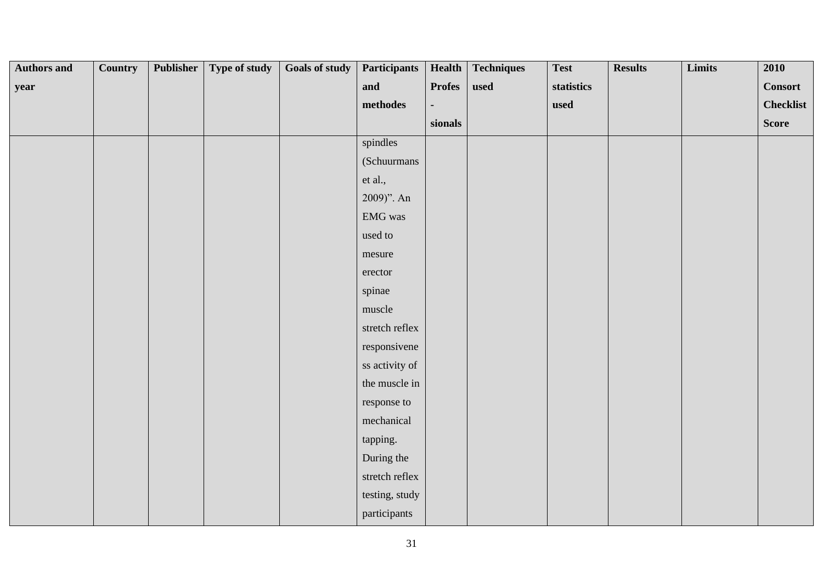| <b>Authors and</b> | <b>Country</b> | <b>Publisher</b> | Type of study | Goals of study | <b>Participants</b>             | Health        | <b>Techniques</b> | <b>Test</b> | <b>Results</b> | Limits | 2010             |
|--------------------|----------------|------------------|---------------|----------------|---------------------------------|---------------|-------------------|-------------|----------------|--------|------------------|
| year               |                |                  |               |                | and                             | <b>Profes</b> | used              | statistics  |                |        | <b>Consort</b>   |
|                    |                |                  |               |                | $\bf{methods}$                  |               |                   | used        |                |        | <b>Checklist</b> |
|                    |                |                  |               |                |                                 | sionals       |                   |             |                |        | <b>Score</b>     |
|                    |                |                  |               |                | spindles                        |               |                   |             |                |        |                  |
|                    |                |                  |               |                | (Schuurmans                     |               |                   |             |                |        |                  |
|                    |                |                  |               |                | et al.,                         |               |                   |             |                |        |                  |
|                    |                |                  |               |                | 2009)". An                      |               |                   |             |                |        |                  |
|                    |                |                  |               |                | $\mathop{\rm EMG}\nolimits$ was |               |                   |             |                |        |                  |
|                    |                |                  |               |                | used to                         |               |                   |             |                |        |                  |
|                    |                |                  |               |                | mesure                          |               |                   |             |                |        |                  |
|                    |                |                  |               |                | erector                         |               |                   |             |                |        |                  |
|                    |                |                  |               |                | spinae                          |               |                   |             |                |        |                  |
|                    |                |                  |               |                | muscle                          |               |                   |             |                |        |                  |
|                    |                |                  |               |                | stretch reflex                  |               |                   |             |                |        |                  |
|                    |                |                  |               |                | responsivene                    |               |                   |             |                |        |                  |
|                    |                |                  |               |                | ss activity of                  |               |                   |             |                |        |                  |
|                    |                |                  |               |                | the muscle in                   |               |                   |             |                |        |                  |
|                    |                |                  |               |                | response to                     |               |                   |             |                |        |                  |
|                    |                |                  |               |                | mechanical                      |               |                   |             |                |        |                  |
|                    |                |                  |               |                | tapping.                        |               |                   |             |                |        |                  |
|                    |                |                  |               |                | During the                      |               |                   |             |                |        |                  |
|                    |                |                  |               |                | stretch reflex                  |               |                   |             |                |        |                  |
|                    |                |                  |               |                | testing, study                  |               |                   |             |                |        |                  |
|                    |                |                  |               |                | participants                    |               |                   |             |                |        |                  |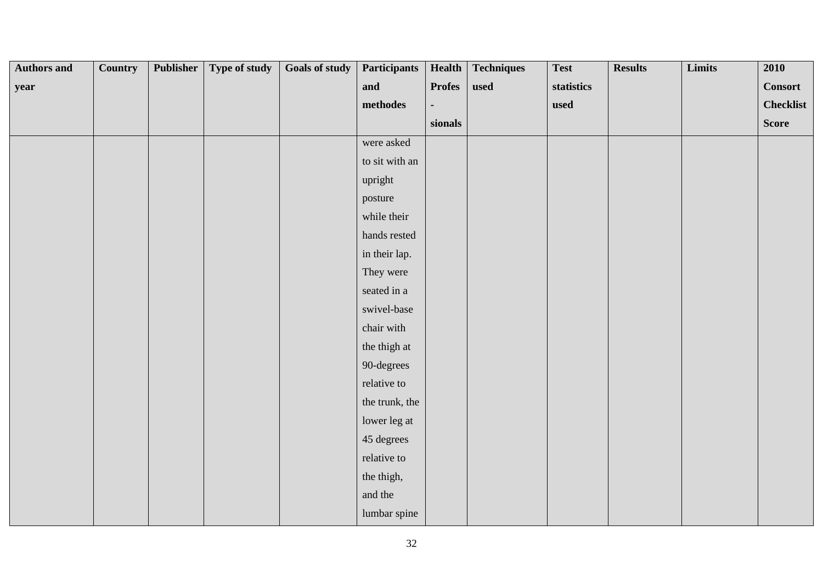| <b>Authors and</b> | <b>Country</b> | <b>Publisher</b> | Type of study | Goals of study | <b>Participants</b> | Health        | <b>Techniques</b> | <b>Test</b> | <b>Results</b> | Limits | 2010             |
|--------------------|----------------|------------------|---------------|----------------|---------------------|---------------|-------------------|-------------|----------------|--------|------------------|
| year               |                |                  |               |                | and                 | <b>Profes</b> | used              | statistics  |                |        | <b>Consort</b>   |
|                    |                |                  |               |                | methodes            |               |                   | used        |                |        | <b>Checklist</b> |
|                    |                |                  |               |                |                     | sionals       |                   |             |                |        | <b>Score</b>     |
|                    |                |                  |               |                | were asked          |               |                   |             |                |        |                  |
|                    |                |                  |               |                | to sit with an      |               |                   |             |                |        |                  |
|                    |                |                  |               |                | upright             |               |                   |             |                |        |                  |
|                    |                |                  |               |                | posture             |               |                   |             |                |        |                  |
|                    |                |                  |               |                | while their         |               |                   |             |                |        |                  |
|                    |                |                  |               |                | hands rested        |               |                   |             |                |        |                  |
|                    |                |                  |               |                | in their lap.       |               |                   |             |                |        |                  |
|                    |                |                  |               |                | They were           |               |                   |             |                |        |                  |
|                    |                |                  |               |                | seated in a         |               |                   |             |                |        |                  |
|                    |                |                  |               |                | swivel-base         |               |                   |             |                |        |                  |
|                    |                |                  |               |                | chair with          |               |                   |             |                |        |                  |
|                    |                |                  |               |                | the thigh at        |               |                   |             |                |        |                  |
|                    |                |                  |               |                | 90-degrees          |               |                   |             |                |        |                  |
|                    |                |                  |               |                | relative to         |               |                   |             |                |        |                  |
|                    |                |                  |               |                | the trunk, the      |               |                   |             |                |        |                  |
|                    |                |                  |               |                | lower leg at        |               |                   |             |                |        |                  |
|                    |                |                  |               |                | 45 degrees          |               |                   |             |                |        |                  |
|                    |                |                  |               |                | relative to         |               |                   |             |                |        |                  |
|                    |                |                  |               |                | the thigh,          |               |                   |             |                |        |                  |
|                    |                |                  |               |                | and the             |               |                   |             |                |        |                  |
|                    |                |                  |               |                | lumbar spine        |               |                   |             |                |        |                  |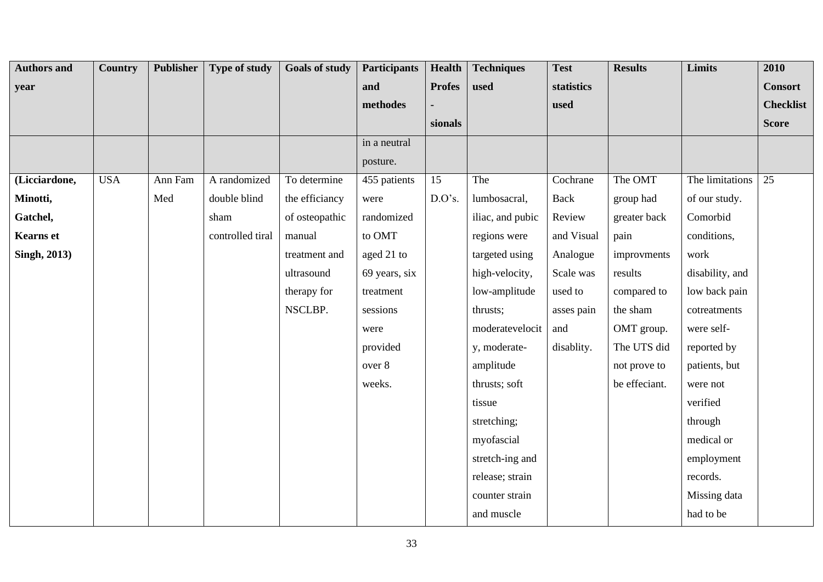| <b>Authors and</b>  | Country    | <b>Publisher</b> | Type of study    | <b>Goals of study</b> | <b>Participants</b> | Health          | <b>Techniques</b> | <b>Test</b> | <b>Results</b> | Limits          | 2010             |
|---------------------|------------|------------------|------------------|-----------------------|---------------------|-----------------|-------------------|-------------|----------------|-----------------|------------------|
| year                |            |                  |                  |                       | and                 | <b>Profes</b>   | used              | statistics  |                |                 | <b>Consort</b>   |
|                     |            |                  |                  |                       | methodes            |                 |                   | used        |                |                 | <b>Checklist</b> |
|                     |            |                  |                  |                       |                     | sionals         |                   |             |                |                 | <b>Score</b>     |
|                     |            |                  |                  |                       | in a neutral        |                 |                   |             |                |                 |                  |
|                     |            |                  |                  |                       | posture.            |                 |                   |             |                |                 |                  |
| (Licciardone,       | <b>USA</b> | Ann Fam          | A randomized     | To determine          | 455 patients        | $\overline{15}$ | The               | Cochrane    | The OMT        | The limitations | $\overline{25}$  |
| Minotti,            |            | Med              | double blind     | the efficiancy        | were                | D.O's.          | lumbosacral,      | <b>Back</b> | group had      | of our study.   |                  |
| Gatchel,            |            |                  | sham             | of osteopathic        | randomized          |                 | iliac, and pubic  | Review      | greater back   | Comorbid        |                  |
| <b>Kearns</b> et    |            |                  | controlled tiral | manual                | to OMT              |                 | regions were      | and Visual  | pain           | conditions,     |                  |
| <b>Singh, 2013)</b> |            |                  |                  | treatment and         | aged 21 to          |                 | targeted using    | Analogue    | improvments    | work            |                  |
|                     |            |                  |                  | ultrasound            | 69 years, six       |                 | high-velocity,    | Scale was   | results        | disability, and |                  |
|                     |            |                  |                  | therapy for           | treatment           |                 | low-amplitude     | used to     | compared to    | low back pain   |                  |
|                     |            |                  |                  | NSCLBP.               | sessions            |                 | thrusts;          | asses pain  | the sham       | cotreatments    |                  |
|                     |            |                  |                  |                       | were                |                 | moderatevelocit   | and         | OMT group.     | were self-      |                  |
|                     |            |                  |                  |                       | provided            |                 | y, moderate-      | disablity.  | The UTS did    | reported by     |                  |
|                     |            |                  |                  |                       | over 8              |                 | amplitude         |             | not prove to   | patients, but   |                  |
|                     |            |                  |                  |                       | weeks.              |                 | thrusts; soft     |             | be effeciant.  | were not        |                  |
|                     |            |                  |                  |                       |                     |                 | tissue            |             |                | verified        |                  |
|                     |            |                  |                  |                       |                     |                 | stretching;       |             |                | through         |                  |
|                     |            |                  |                  |                       |                     |                 | myofascial        |             |                | medical or      |                  |
|                     |            |                  |                  |                       |                     |                 | stretch-ing and   |             |                | employment      |                  |
|                     |            |                  |                  |                       |                     |                 | release; strain   |             |                | records.        |                  |
|                     |            |                  |                  |                       |                     |                 | counter strain    |             |                | Missing data    |                  |
|                     |            |                  |                  |                       |                     |                 | and muscle        |             |                | had to be       |                  |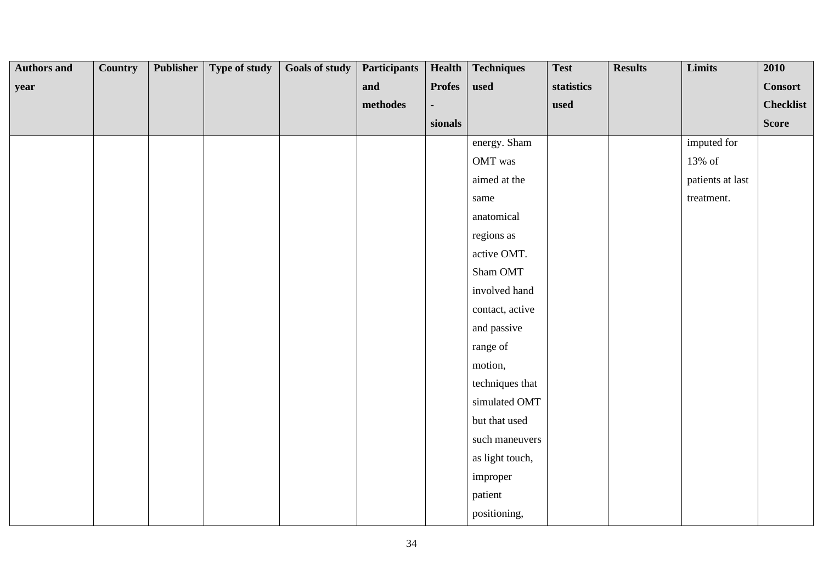| <b>Authors and</b> | Country | Publisher | Type of study | <b>Goals of study</b> | <b>Participants</b> | Health        | <b>Techniques</b> | <b>Test</b> | <b>Results</b> | Limits           | 2010             |
|--------------------|---------|-----------|---------------|-----------------------|---------------------|---------------|-------------------|-------------|----------------|------------------|------------------|
| year               |         |           |               |                       | and                 | <b>Profes</b> | used              | statistics  |                |                  | <b>Consort</b>   |
|                    |         |           |               |                       | $\bf{methods}$      |               |                   | used        |                |                  | <b>Checklist</b> |
|                    |         |           |               |                       |                     | sionals       |                   |             |                |                  | <b>Score</b>     |
|                    |         |           |               |                       |                     |               | energy. Sham      |             |                | imputed for      |                  |
|                    |         |           |               |                       |                     |               | OMT was           |             |                | 13% of           |                  |
|                    |         |           |               |                       |                     |               | aimed at the      |             |                | patients at last |                  |
|                    |         |           |               |                       |                     |               | same              |             |                | treatment.       |                  |
|                    |         |           |               |                       |                     |               | anatomical        |             |                |                  |                  |
|                    |         |           |               |                       |                     |               | regions as        |             |                |                  |                  |
|                    |         |           |               |                       |                     |               | active OMT.       |             |                |                  |                  |
|                    |         |           |               |                       |                     |               | Sham OMT          |             |                |                  |                  |
|                    |         |           |               |                       |                     |               | involved hand     |             |                |                  |                  |
|                    |         |           |               |                       |                     |               | contact, active   |             |                |                  |                  |
|                    |         |           |               |                       |                     |               | and passive       |             |                |                  |                  |
|                    |         |           |               |                       |                     |               | range of          |             |                |                  |                  |
|                    |         |           |               |                       |                     |               | motion,           |             |                |                  |                  |
|                    |         |           |               |                       |                     |               | techniques that   |             |                |                  |                  |
|                    |         |           |               |                       |                     |               | simulated OMT     |             |                |                  |                  |
|                    |         |           |               |                       |                     |               | but that used     |             |                |                  |                  |
|                    |         |           |               |                       |                     |               | such maneuvers    |             |                |                  |                  |
|                    |         |           |               |                       |                     |               | as light touch,   |             |                |                  |                  |
|                    |         |           |               |                       |                     |               | improper          |             |                |                  |                  |
|                    |         |           |               |                       |                     |               | patient           |             |                |                  |                  |
|                    |         |           |               |                       |                     |               | positioning,      |             |                |                  |                  |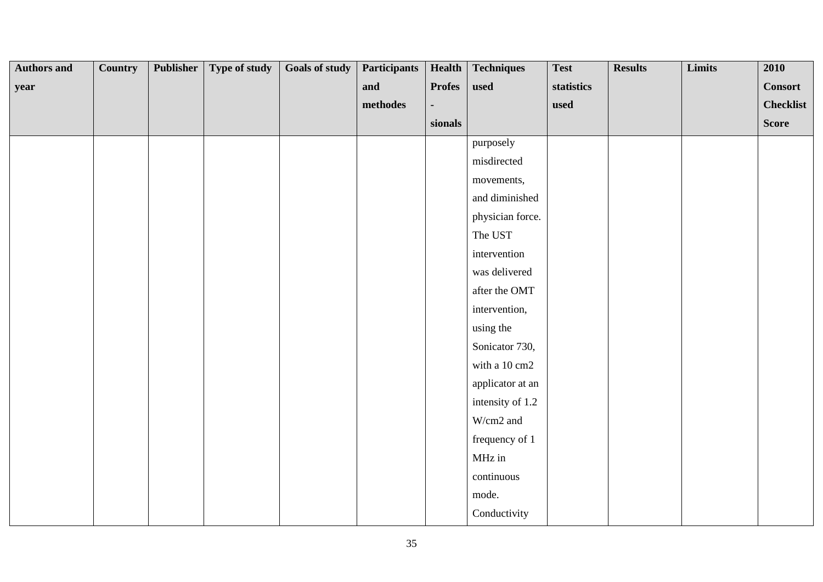| <b>Authors and</b> | <b>Country</b> | <b>Publisher</b> | Type of study | <b>Goals of study</b> | <b>Participants</b> | Health        | <b>Techniques</b> | <b>Test</b> | <b>Results</b> | Limits | 2010             |
|--------------------|----------------|------------------|---------------|-----------------------|---------------------|---------------|-------------------|-------------|----------------|--------|------------------|
| year               |                |                  |               |                       | and                 | <b>Profes</b> | used              | statistics  |                |        | <b>Consort</b>   |
|                    |                |                  |               |                       | methodes            |               |                   | used        |                |        | <b>Checklist</b> |
|                    |                |                  |               |                       |                     | sionals       |                   |             |                |        | <b>Score</b>     |
|                    |                |                  |               |                       |                     |               | purposely         |             |                |        |                  |
|                    |                |                  |               |                       |                     |               | misdirected       |             |                |        |                  |
|                    |                |                  |               |                       |                     |               | movements,        |             |                |        |                  |
|                    |                |                  |               |                       |                     |               | and diminished    |             |                |        |                  |
|                    |                |                  |               |                       |                     |               | physician force.  |             |                |        |                  |
|                    |                |                  |               |                       |                     |               | The UST           |             |                |        |                  |
|                    |                |                  |               |                       |                     |               | intervention      |             |                |        |                  |
|                    |                |                  |               |                       |                     |               | was delivered     |             |                |        |                  |
|                    |                |                  |               |                       |                     |               | after the OMT     |             |                |        |                  |
|                    |                |                  |               |                       |                     |               | intervention,     |             |                |        |                  |
|                    |                |                  |               |                       |                     |               | using the         |             |                |        |                  |
|                    |                |                  |               |                       |                     |               | Sonicator 730,    |             |                |        |                  |
|                    |                |                  |               |                       |                     |               | with a 10 cm2     |             |                |        |                  |
|                    |                |                  |               |                       |                     |               | applicator at an  |             |                |        |                  |
|                    |                |                  |               |                       |                     |               | intensity of 1.2  |             |                |        |                  |
|                    |                |                  |               |                       |                     |               | W/cm2 and         |             |                |        |                  |
|                    |                |                  |               |                       |                     |               | frequency of 1    |             |                |        |                  |
|                    |                |                  |               |                       |                     |               | MHz in            |             |                |        |                  |
|                    |                |                  |               |                       |                     |               | continuous        |             |                |        |                  |
|                    |                |                  |               |                       |                     |               | mode.             |             |                |        |                  |
|                    |                |                  |               |                       |                     |               | Conductivity      |             |                |        |                  |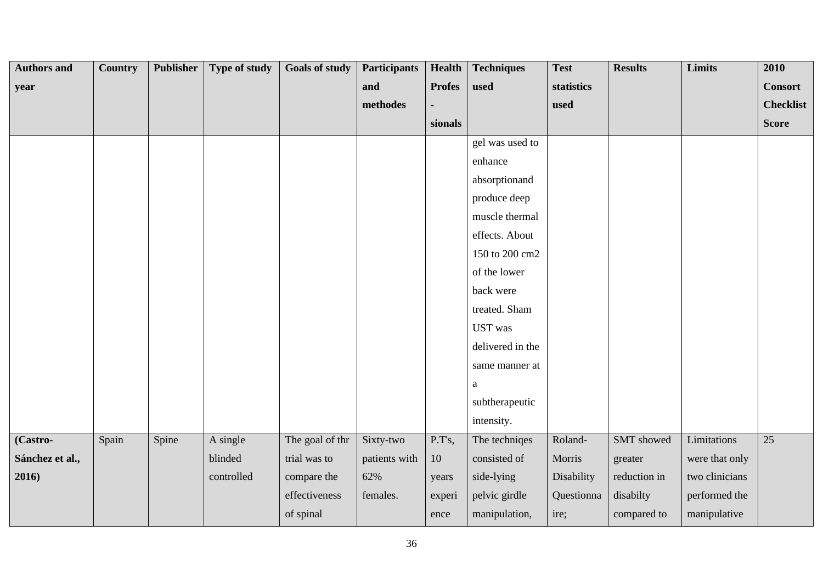| <b>Authors and</b> | Country | <b>Publisher</b> | Type of study | <b>Goals of study</b> | <b>Participants</b> | <b>Health</b> | <b>Techniques</b> | <b>Test</b> | <b>Results</b> | <b>Limits</b>  | 2010             |
|--------------------|---------|------------------|---------------|-----------------------|---------------------|---------------|-------------------|-------------|----------------|----------------|------------------|
| year               |         |                  |               |                       | and                 | <b>Profes</b> | used              | statistics  |                |                | <b>Consort</b>   |
|                    |         |                  |               |                       | methodes            |               |                   | used        |                |                | <b>Checklist</b> |
|                    |         |                  |               |                       |                     | sionals       |                   |             |                |                | <b>Score</b>     |
|                    |         |                  |               |                       |                     |               | gel was used to   |             |                |                |                  |
|                    |         |                  |               |                       |                     |               | enhance           |             |                |                |                  |
|                    |         |                  |               |                       |                     |               | absorptionand     |             |                |                |                  |
|                    |         |                  |               |                       |                     |               | produce deep      |             |                |                |                  |
|                    |         |                  |               |                       |                     |               | muscle thermal    |             |                |                |                  |
|                    |         |                  |               |                       |                     |               | effects. About    |             |                |                |                  |
|                    |         |                  |               |                       |                     |               | 150 to 200 cm2    |             |                |                |                  |
|                    |         |                  |               |                       |                     |               | of the lower      |             |                |                |                  |
|                    |         |                  |               |                       |                     |               | back were         |             |                |                |                  |
|                    |         |                  |               |                       |                     |               | treated. Sham     |             |                |                |                  |
|                    |         |                  |               |                       |                     |               | <b>UST</b> was    |             |                |                |                  |
|                    |         |                  |               |                       |                     |               | delivered in the  |             |                |                |                  |
|                    |         |                  |               |                       |                     |               | same manner at    |             |                |                |                  |
|                    |         |                  |               |                       |                     |               | a                 |             |                |                |                  |
|                    |         |                  |               |                       |                     |               | subtherapeutic    |             |                |                |                  |
|                    |         |                  |               |                       |                     |               | intensity.        |             |                |                |                  |
| (Castro-           | Spain   | Spine            | A single      | The goal of thr       | Sixty-two           | P.T's,        | The techniqes     | Roland-     | SMT showed     | Limitations    | $\overline{25}$  |
| Sánchez et al.,    |         |                  | blinded       | trial was to          | patients with       | 10            | consisted of      | Morris      | greater        | were that only |                  |
| 2016)              |         |                  | controlled    | compare the           | 62%                 | years         | side-lying        | Disability  | reduction in   | two clinicians |                  |
|                    |         |                  |               | effectiveness         | females.            | experi        | pelvic girdle     | Questionna  | disabilty      | performed the  |                  |
|                    |         |                  |               | of spinal             |                     | ence          | manipulation,     | ire;        | compared to    | manipulative   |                  |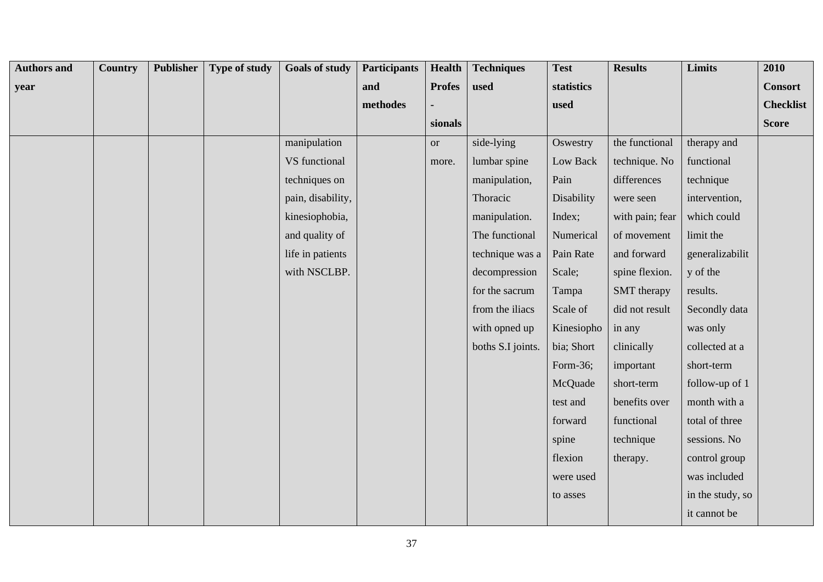| <b>Authors and</b> | Country | <b>Publisher</b> | Type of study | <b>Goals of study</b> | <b>Participants</b> | Health        | <b>Techniques</b> | <b>Test</b> | <b>Results</b>     | Limits           | 2010             |
|--------------------|---------|------------------|---------------|-----------------------|---------------------|---------------|-------------------|-------------|--------------------|------------------|------------------|
| year               |         |                  |               |                       | and                 | <b>Profes</b> | used              | statistics  |                    |                  | <b>Consort</b>   |
|                    |         |                  |               |                       | methodes            |               |                   | used        |                    |                  | <b>Checklist</b> |
|                    |         |                  |               |                       |                     | sionals       |                   |             |                    |                  | <b>Score</b>     |
|                    |         |                  |               | manipulation          |                     | <b>or</b>     | side-lying        | Oswestry    | the functional     | therapy and      |                  |
|                    |         |                  |               | VS functional         |                     | more.         | lumbar spine      | Low Back    | technique. No      | functional       |                  |
|                    |         |                  |               | techniques on         |                     |               | manipulation,     | Pain        | differences        | technique        |                  |
|                    |         |                  |               | pain, disability,     |                     |               | Thoracic          | Disability  | were seen          | intervention,    |                  |
|                    |         |                  |               | kinesiophobia,        |                     |               | manipulation.     | Index;      | with pain; fear    | which could      |                  |
|                    |         |                  |               | and quality of        |                     |               | The functional    | Numerical   | of movement        | limit the        |                  |
|                    |         |                  |               | life in patients      |                     |               | technique was a   | Pain Rate   | and forward        | generalizabilit  |                  |
|                    |         |                  |               | with NSCLBP.          |                     |               | decompression     | Scale;      | spine flexion.     | y of the         |                  |
|                    |         |                  |               |                       |                     |               | for the sacrum    | Tampa       | <b>SMT</b> therapy | results.         |                  |
|                    |         |                  |               |                       |                     |               | from the iliacs   | Scale of    | did not result     | Secondly data    |                  |
|                    |         |                  |               |                       |                     |               | with opned up     | Kinesiopho  | in any             | was only         |                  |
|                    |         |                  |               |                       |                     |               | boths S.I joints. | bia; Short  | clinically         | collected at a   |                  |
|                    |         |                  |               |                       |                     |               |                   | Form-36;    | important          | short-term       |                  |
|                    |         |                  |               |                       |                     |               |                   | McQuade     | short-term         | follow-up of 1   |                  |
|                    |         |                  |               |                       |                     |               |                   | test and    | benefits over      | month with a     |                  |
|                    |         |                  |               |                       |                     |               |                   | forward     | functional         | total of three   |                  |
|                    |         |                  |               |                       |                     |               |                   | spine       | technique          | sessions. No     |                  |
|                    |         |                  |               |                       |                     |               |                   | flexion     | therapy.           | control group    |                  |
|                    |         |                  |               |                       |                     |               |                   | were used   |                    | was included     |                  |
|                    |         |                  |               |                       |                     |               |                   | to asses    |                    | in the study, so |                  |
|                    |         |                  |               |                       |                     |               |                   |             |                    | it cannot be     |                  |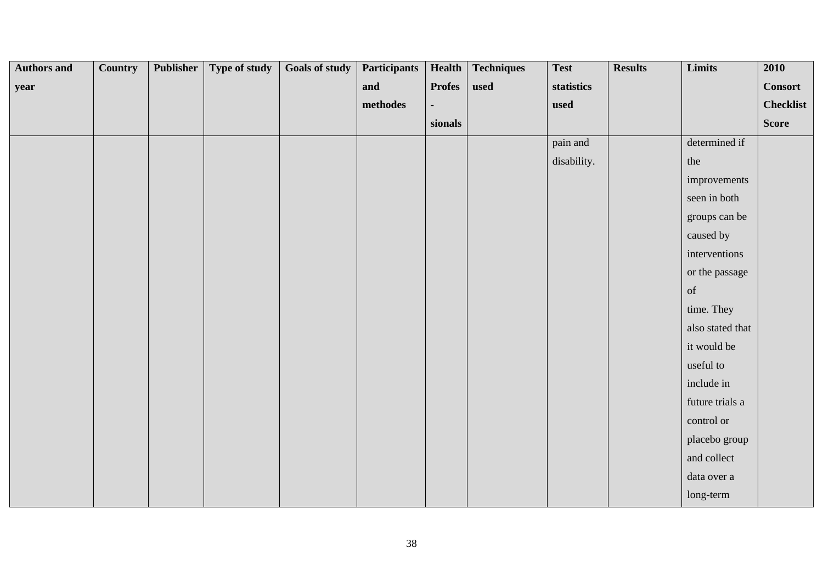| <b>Authors and</b> | <b>Country</b> | Publisher | Type of study | <b>Goals of study</b> | <b>Participants</b> | Health        | <b>Techniques</b> | <b>Test</b> | <b>Results</b> | Limits           | 2010             |
|--------------------|----------------|-----------|---------------|-----------------------|---------------------|---------------|-------------------|-------------|----------------|------------------|------------------|
| year               |                |           |               |                       | and                 | <b>Profes</b> | used              | statistics  |                |                  | <b>Consort</b>   |
|                    |                |           |               |                       | methodes            |               |                   | used        |                |                  | <b>Checklist</b> |
|                    |                |           |               |                       |                     | sionals       |                   |             |                |                  | <b>Score</b>     |
|                    |                |           |               |                       |                     |               |                   | pain and    |                | determined if    |                  |
|                    |                |           |               |                       |                     |               |                   | disability. |                | the              |                  |
|                    |                |           |               |                       |                     |               |                   |             |                | improvements     |                  |
|                    |                |           |               |                       |                     |               |                   |             |                | seen in both     |                  |
|                    |                |           |               |                       |                     |               |                   |             |                | groups can be    |                  |
|                    |                |           |               |                       |                     |               |                   |             |                | caused by        |                  |
|                    |                |           |               |                       |                     |               |                   |             |                | interventions    |                  |
|                    |                |           |               |                       |                     |               |                   |             |                | or the passage   |                  |
|                    |                |           |               |                       |                     |               |                   |             |                | of               |                  |
|                    |                |           |               |                       |                     |               |                   |             |                | time. They       |                  |
|                    |                |           |               |                       |                     |               |                   |             |                | also stated that |                  |
|                    |                |           |               |                       |                     |               |                   |             |                | it would be      |                  |
|                    |                |           |               |                       |                     |               |                   |             |                | useful to        |                  |
|                    |                |           |               |                       |                     |               |                   |             |                | include in       |                  |
|                    |                |           |               |                       |                     |               |                   |             |                | future trials a  |                  |
|                    |                |           |               |                       |                     |               |                   |             |                | control or       |                  |
|                    |                |           |               |                       |                     |               |                   |             |                | placebo group    |                  |
|                    |                |           |               |                       |                     |               |                   |             |                | and collect      |                  |
|                    |                |           |               |                       |                     |               |                   |             |                | data over a      |                  |
|                    |                |           |               |                       |                     |               |                   |             |                | long-term        |                  |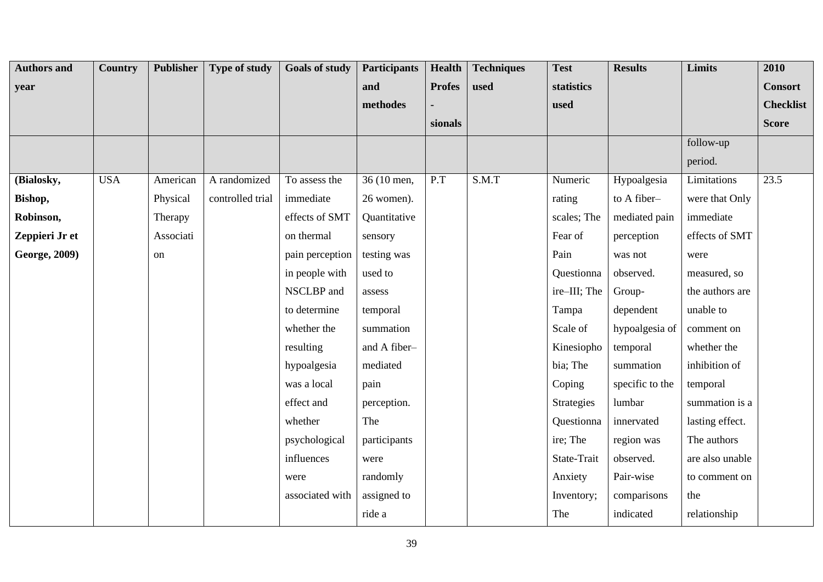| <b>Authors and</b> | <b>Country</b> | <b>Publisher</b> | <b>Type of study</b> | <b>Goals of study</b> | <b>Participants</b> | <b>Health</b> | <b>Techniques</b> | <b>Test</b>  | <b>Results</b>  | Limits          | 2010             |
|--------------------|----------------|------------------|----------------------|-----------------------|---------------------|---------------|-------------------|--------------|-----------------|-----------------|------------------|
| year               |                |                  |                      |                       | and                 | <b>Profes</b> | used              | statistics   |                 |                 | <b>Consort</b>   |
|                    |                |                  |                      |                       | methodes            |               |                   | used         |                 |                 | <b>Checklist</b> |
|                    |                |                  |                      |                       |                     | sionals       |                   |              |                 |                 | <b>Score</b>     |
|                    |                |                  |                      |                       |                     |               |                   |              |                 | follow-up       |                  |
|                    |                |                  |                      |                       |                     |               |                   |              |                 | period.         |                  |
| (Bialosky,         | <b>USA</b>     | American         | A randomized         | To assess the         | 36 (10 men,         | P.T           | S.M.T             | Numeric      | Hypoalgesia     | Limitations     | 23.5             |
| Bishop,            |                | Physical         | controlled trial     | immediate             | 26 women).          |               |                   | rating       | to A fiber-     | were that Only  |                  |
| Robinson,          |                | Therapy          |                      | effects of SMT        | Quantitative        |               |                   | scales; The  | mediated pain   | immediate       |                  |
| Zeppieri Jr et     |                | Associati        |                      | on thermal            | sensory             |               |                   | Fear of      | perception      | effects of SMT  |                  |
| George, 2009)      |                | on               |                      | pain perception       | testing was         |               |                   | Pain         | was not         | were            |                  |
|                    |                |                  |                      | in people with        | used to             |               |                   | Questionna   | observed.       | measured, so    |                  |
|                    |                |                  |                      | NSCLBP and            | assess              |               |                   | ire-III; The | Group-          | the authors are |                  |
|                    |                |                  |                      | to determine          | temporal            |               |                   | Tampa        | dependent       | unable to       |                  |
|                    |                |                  |                      | whether the           | summation           |               |                   | Scale of     | hypoalgesia of  | comment on      |                  |
|                    |                |                  |                      | resulting             | and A fiber-        |               |                   | Kinesiopho   | temporal        | whether the     |                  |
|                    |                |                  |                      | hypoalgesia           | mediated            |               |                   | bia; The     | summation       | inhibition of   |                  |
|                    |                |                  |                      | was a local           | pain                |               |                   | Coping       | specific to the | temporal        |                  |
|                    |                |                  |                      | effect and            | perception.         |               |                   | Strategies   | lumbar          | summation is a  |                  |
|                    |                |                  |                      | whether               | The                 |               |                   | Questionna   | innervated      | lasting effect. |                  |
|                    |                |                  |                      | psychological         | participants        |               |                   | ire; The     | region was      | The authors     |                  |
|                    |                |                  |                      | influences            | were                |               |                   | State-Trait  | observed.       | are also unable |                  |
|                    |                |                  |                      | were                  | randomly            |               |                   | Anxiety      | Pair-wise       | to comment on   |                  |
|                    |                |                  |                      | associated with       | assigned to         |               |                   | Inventory;   | comparisons     | the             |                  |
|                    |                |                  |                      |                       | ride a              |               |                   | The          | indicated       | relationship    |                  |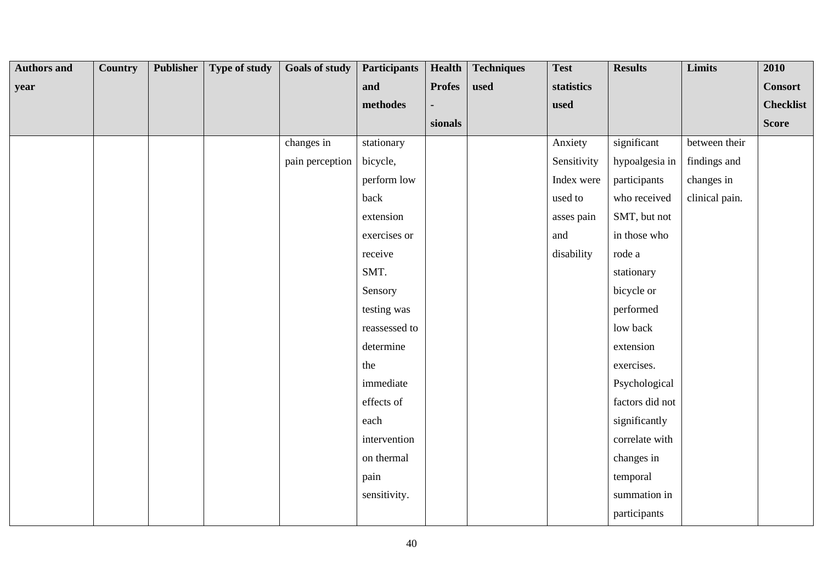| <b>Authors and</b> | Country | Publisher | Type of study | <b>Goals of study</b> | <b>Participants</b> | <b>Health</b> | <b>Techniques</b> | <b>Test</b> | <b>Results</b>  | Limits         | 2010             |
|--------------------|---------|-----------|---------------|-----------------------|---------------------|---------------|-------------------|-------------|-----------------|----------------|------------------|
| year               |         |           |               |                       | and                 | <b>Profes</b> | used              | statistics  |                 |                | <b>Consort</b>   |
|                    |         |           |               |                       | methodes            |               |                   | used        |                 |                | <b>Checklist</b> |
|                    |         |           |               |                       |                     | sionals       |                   |             |                 |                | <b>Score</b>     |
|                    |         |           |               | changes in            | stationary          |               |                   | Anxiety     | significant     | between their  |                  |
|                    |         |           |               | pain perception       | bicycle,            |               |                   | Sensitivity | hypoalgesia in  | findings and   |                  |
|                    |         |           |               |                       | perform low         |               |                   | Index were  | participants    | changes in     |                  |
|                    |         |           |               |                       | back                |               |                   | used to     | who received    | clinical pain. |                  |
|                    |         |           |               |                       | extension           |               |                   | asses pain  | SMT, but not    |                |                  |
|                    |         |           |               |                       | exercises or        |               |                   | and         | in those who    |                |                  |
|                    |         |           |               |                       | receive             |               |                   | disability  | rode a          |                |                  |
|                    |         |           |               |                       | SMT.                |               |                   |             | stationary      |                |                  |
|                    |         |           |               |                       | Sensory             |               |                   |             | bicycle or      |                |                  |
|                    |         |           |               |                       | testing was         |               |                   |             | performed       |                |                  |
|                    |         |           |               |                       | reassessed to       |               |                   |             | low back        |                |                  |
|                    |         |           |               |                       | determine           |               |                   |             | extension       |                |                  |
|                    |         |           |               |                       | the                 |               |                   |             | exercises.      |                |                  |
|                    |         |           |               |                       | immediate           |               |                   |             | Psychological   |                |                  |
|                    |         |           |               |                       | effects of          |               |                   |             | factors did not |                |                  |
|                    |         |           |               |                       | each                |               |                   |             | significantly   |                |                  |
|                    |         |           |               |                       | intervention        |               |                   |             | correlate with  |                |                  |
|                    |         |           |               |                       | on thermal          |               |                   |             | changes in      |                |                  |
|                    |         |           |               |                       | pain                |               |                   |             | temporal        |                |                  |
|                    |         |           |               |                       | sensitivity.        |               |                   |             | summation in    |                |                  |
|                    |         |           |               |                       |                     |               |                   |             | participants    |                |                  |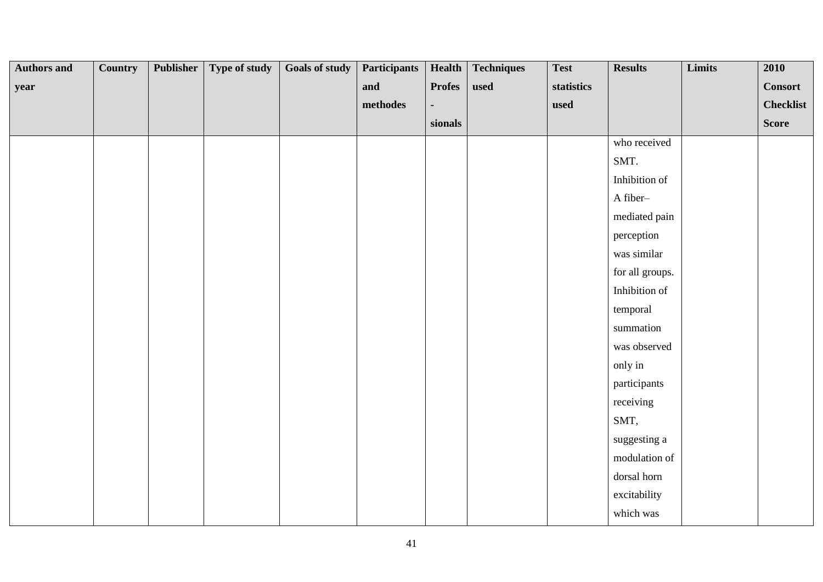| <b>Authors and</b> | <b>Country</b> | <b>Publisher</b> | Type of study | Goals of study | <b>Participants</b> | Health        | <b>Techniques</b> | <b>Test</b> | <b>Results</b>  | Limits | 2010             |
|--------------------|----------------|------------------|---------------|----------------|---------------------|---------------|-------------------|-------------|-----------------|--------|------------------|
| year               |                |                  |               |                | and                 | <b>Profes</b> | used              | statistics  |                 |        | <b>Consort</b>   |
|                    |                |                  |               |                | $\bf{methods}$      |               |                   | used        |                 |        | <b>Checklist</b> |
|                    |                |                  |               |                |                     | sionals       |                   |             |                 |        | <b>Score</b>     |
|                    |                |                  |               |                |                     |               |                   |             | who received    |        |                  |
|                    |                |                  |               |                |                     |               |                   |             | SMT.            |        |                  |
|                    |                |                  |               |                |                     |               |                   |             | Inhibition of   |        |                  |
|                    |                |                  |               |                |                     |               |                   |             | A fiber-        |        |                  |
|                    |                |                  |               |                |                     |               |                   |             | mediated pain   |        |                  |
|                    |                |                  |               |                |                     |               |                   |             | perception      |        |                  |
|                    |                |                  |               |                |                     |               |                   |             | was similar     |        |                  |
|                    |                |                  |               |                |                     |               |                   |             | for all groups. |        |                  |
|                    |                |                  |               |                |                     |               |                   |             | Inhibition of   |        |                  |
|                    |                |                  |               |                |                     |               |                   |             | temporal        |        |                  |
|                    |                |                  |               |                |                     |               |                   |             | summation       |        |                  |
|                    |                |                  |               |                |                     |               |                   |             | was observed    |        |                  |
|                    |                |                  |               |                |                     |               |                   |             | only in         |        |                  |
|                    |                |                  |               |                |                     |               |                   |             | participants    |        |                  |
|                    |                |                  |               |                |                     |               |                   |             | receiving       |        |                  |
|                    |                |                  |               |                |                     |               |                   |             | SMT,            |        |                  |
|                    |                |                  |               |                |                     |               |                   |             | suggesting a    |        |                  |
|                    |                |                  |               |                |                     |               |                   |             | modulation of   |        |                  |
|                    |                |                  |               |                |                     |               |                   |             | dorsal horn     |        |                  |
|                    |                |                  |               |                |                     |               |                   |             | excitability    |        |                  |
|                    |                |                  |               |                |                     |               |                   |             | which was       |        |                  |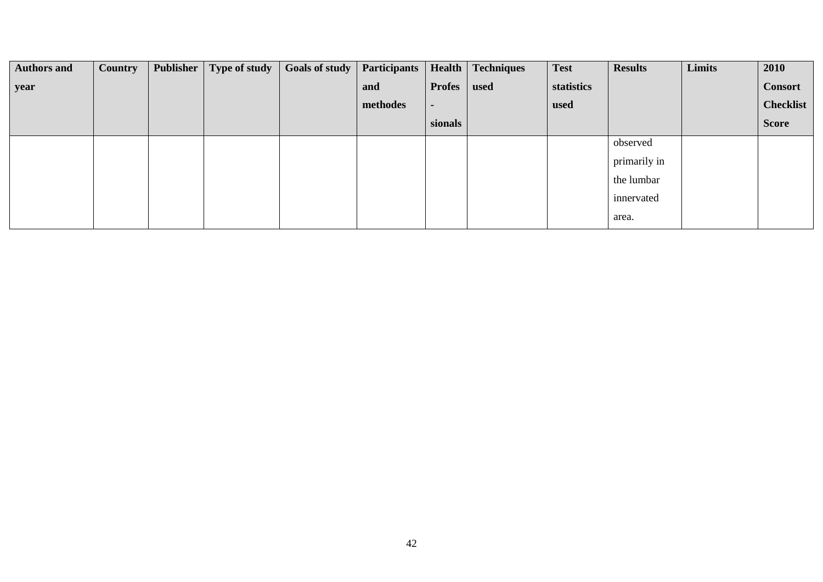| <b>Authors and</b> | <b>Country</b> | Publisher | Type of study | <b>Goals of study</b> | <b>Participants</b> | Health         | <b>Techniques</b> | <b>Test</b> | <b>Results</b> | Limits | 2010             |
|--------------------|----------------|-----------|---------------|-----------------------|---------------------|----------------|-------------------|-------------|----------------|--------|------------------|
| year               |                |           |               |                       | and                 | <b>Profes</b>  | used              | statistics  |                |        | <b>Consort</b>   |
|                    |                |           |               |                       | methodes            | $\blacksquare$ |                   | used        |                |        | <b>Checklist</b> |
|                    |                |           |               |                       |                     | sionals        |                   |             |                |        | <b>Score</b>     |
|                    |                |           |               |                       |                     |                |                   |             | observed       |        |                  |
|                    |                |           |               |                       |                     |                |                   |             | primarily in   |        |                  |
|                    |                |           |               |                       |                     |                |                   |             | the lumbar     |        |                  |
|                    |                |           |               |                       |                     |                |                   |             | innervated     |        |                  |
|                    |                |           |               |                       |                     |                |                   |             | area.          |        |                  |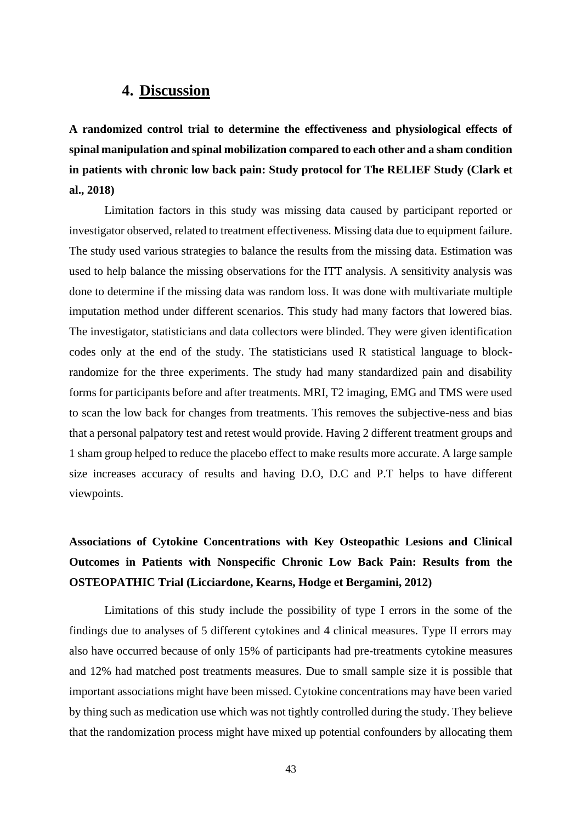### **4. Discussion**

**A randomized control trial to determine the effectiveness and physiological effects of spinal manipulation and spinal mobilization compared to each other and a sham condition in patients with chronic low back pain: Study protocol for The RELIEF Study (Clark et al., 2018)**

Limitation factors in this study was missing data caused by participant reported or investigator observed, related to treatment effectiveness. Missing data due to equipment failure. The study used various strategies to balance the results from the missing data. Estimation was used to help balance the missing observations for the ITT analysis. A sensitivity analysis was done to determine if the missing data was random loss. It was done with multivariate multiple imputation method under different scenarios. This study had many factors that lowered bias. The investigator, statisticians and data collectors were blinded. They were given identification codes only at the end of the study. The statisticians used R statistical language to blockrandomize for the three experiments. The study had many standardized pain and disability forms for participants before and after treatments. MRI, T2 imaging, EMG and TMS were used to scan the low back for changes from treatments. This removes the subjective-ness and bias that a personal palpatory test and retest would provide. Having 2 different treatment groups and 1 sham group helped to reduce the placebo effect to make results more accurate. A large sample size increases accuracy of results and having D.O, D.C and P.T helps to have different viewpoints.

# **Associations of Cytokine Concentrations with Key Osteopathic Lesions and Clinical Outcomes in Patients with Nonspecific Chronic Low Back Pain: Results from the OSTEOPATHIC Trial (Licciardone, Kearns, Hodge et Bergamini, 2012)**

Limitations of this study include the possibility of type I errors in the some of the findings due to analyses of 5 different cytokines and 4 clinical measures. Type II errors may also have occurred because of only 15% of participants had pre-treatments cytokine measures and 12% had matched post treatments measures. Due to small sample size it is possible that important associations might have been missed. Cytokine concentrations may have been varied by thing such as medication use which was not tightly controlled during the study. They believe that the randomization process might have mixed up potential confounders by allocating them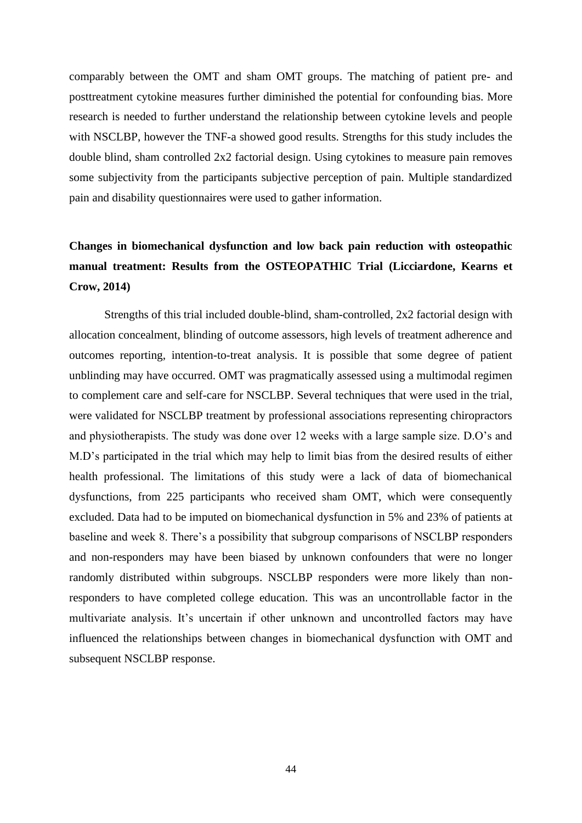comparably between the OMT and sham OMT groups. The matching of patient pre- and posttreatment cytokine measures further diminished the potential for confounding bias. More research is needed to further understand the relationship between cytokine levels and people with NSCLBP, however the TNF-a showed good results. Strengths for this study includes the double blind, sham controlled 2x2 factorial design. Using cytokines to measure pain removes some subjectivity from the participants subjective perception of pain. Multiple standardized pain and disability questionnaires were used to gather information.

## **Changes in biomechanical dysfunction and low back pain reduction with osteopathic manual treatment: Results from the OSTEOPATHIC Trial (Licciardone, Kearns et Crow, 2014)**

Strengths of this trial included double-blind, sham-controlled, 2x2 factorial design with allocation concealment, blinding of outcome assessors, high levels of treatment adherence and outcomes reporting, intention-to-treat analysis. It is possible that some degree of patient unblinding may have occurred. OMT was pragmatically assessed using a multimodal regimen to complement care and self-care for NSCLBP. Several techniques that were used in the trial, were validated for NSCLBP treatment by professional associations representing chiropractors and physiotherapists. The study was done over 12 weeks with a large sample size. D.O's and M.D's participated in the trial which may help to limit bias from the desired results of either health professional. The limitations of this study were a lack of data of biomechanical dysfunctions, from 225 participants who received sham OMT, which were consequently excluded. Data had to be imputed on biomechanical dysfunction in 5% and 23% of patients at baseline and week 8. There's a possibility that subgroup comparisons of NSCLBP responders and non-responders may have been biased by unknown confounders that were no longer randomly distributed within subgroups. NSCLBP responders were more likely than nonresponders to have completed college education. This was an uncontrollable factor in the multivariate analysis. It's uncertain if other unknown and uncontrolled factors may have influenced the relationships between changes in biomechanical dysfunction with OMT and subsequent NSCLBP response.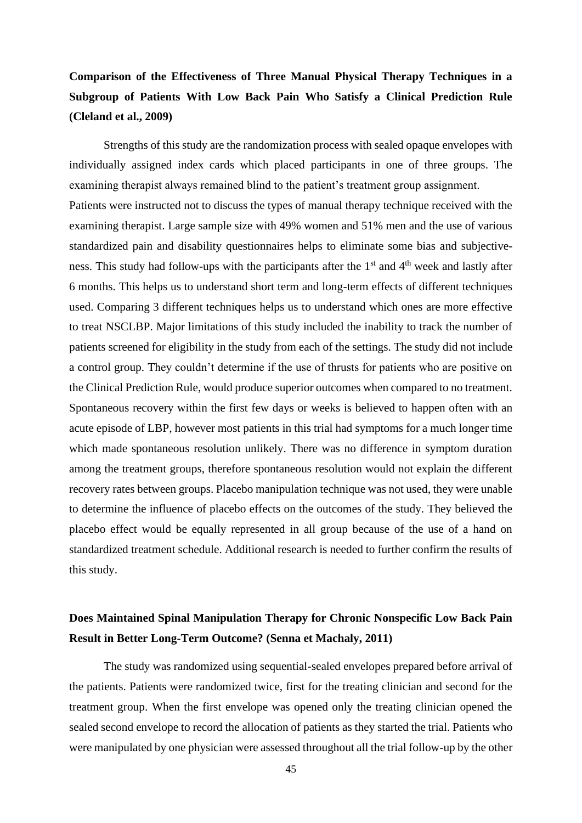# **Comparison of the Effectiveness of Three Manual Physical Therapy Techniques in a Subgroup of Patients With Low Back Pain Who Satisfy a Clinical Prediction Rule (Cleland et al., 2009)**

Strengths of this study are the randomization process with sealed opaque envelopes with individually assigned index cards which placed participants in one of three groups. The examining therapist always remained blind to the patient's treatment group assignment. Patients were instructed not to discuss the types of manual therapy technique received with the examining therapist. Large sample size with 49% women and 51% men and the use of various standardized pain and disability questionnaires helps to eliminate some bias and subjectiveness. This study had follow-ups with the participants after the  $1<sup>st</sup>$  and  $4<sup>th</sup>$  week and lastly after 6 months. This helps us to understand short term and long-term effects of different techniques used. Comparing 3 different techniques helps us to understand which ones are more effective to treat NSCLBP. Major limitations of this study included the inability to track the number of patients screened for eligibility in the study from each of the settings. The study did not include a control group. They couldn't determine if the use of thrusts for patients who are positive on the Clinical Prediction Rule, would produce superior outcomes when compared to no treatment. Spontaneous recovery within the first few days or weeks is believed to happen often with an acute episode of LBP, however most patients in this trial had symptoms for a much longer time which made spontaneous resolution unlikely. There was no difference in symptom duration among the treatment groups, therefore spontaneous resolution would not explain the different recovery rates between groups. Placebo manipulation technique was not used, they were unable to determine the influence of placebo effects on the outcomes of the study. They believed the placebo effect would be equally represented in all group because of the use of a hand on standardized treatment schedule. Additional research is needed to further confirm the results of this study.

### **Does Maintained Spinal Manipulation Therapy for Chronic Nonspecific Low Back Pain Result in Better Long-Term Outcome? (Senna et Machaly, 2011)**

The study was randomized using sequential-sealed envelopes prepared before arrival of the patients. Patients were randomized twice, first for the treating clinician and second for the treatment group. When the first envelope was opened only the treating clinician opened the sealed second envelope to record the allocation of patients as they started the trial. Patients who were manipulated by one physician were assessed throughout all the trial follow-up by the other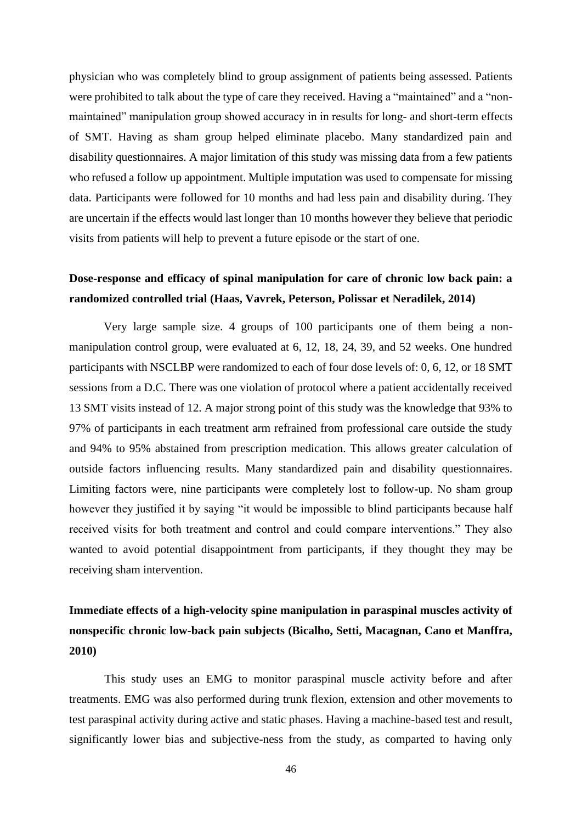physician who was completely blind to group assignment of patients being assessed. Patients were prohibited to talk about the type of care they received. Having a "maintained" and a "nonmaintained" manipulation group showed accuracy in in results for long- and short-term effects of SMT. Having as sham group helped eliminate placebo. Many standardized pain and disability questionnaires. A major limitation of this study was missing data from a few patients who refused a follow up appointment. Multiple imputation was used to compensate for missing data. Participants were followed for 10 months and had less pain and disability during. They are uncertain if the effects would last longer than 10 months however they believe that periodic visits from patients will help to prevent a future episode or the start of one.

### **Dose-response and efficacy of spinal manipulation for care of chronic low back pain: a randomized controlled trial (Haas, Vavrek, Peterson, Polissar et Neradilek, 2014)**

Very large sample size. 4 groups of 100 participants one of them being a nonmanipulation control group, were evaluated at 6, 12, 18, 24, 39, and 52 weeks. One hundred participants with NSCLBP were randomized to each of four dose levels of: 0, 6, 12, or 18 SMT sessions from a D.C. There was one violation of protocol where a patient accidentally received 13 SMT visits instead of 12. A major strong point of this study was the knowledge that 93% to 97% of participants in each treatment arm refrained from professional care outside the study and 94% to 95% abstained from prescription medication. This allows greater calculation of outside factors influencing results. Many standardized pain and disability questionnaires. Limiting factors were, nine participants were completely lost to follow-up. No sham group however they justified it by saying "it would be impossible to blind participants because half received visits for both treatment and control and could compare interventions." They also wanted to avoid potential disappointment from participants, if they thought they may be receiving sham intervention.

### **Immediate effects of a high-velocity spine manipulation in paraspinal muscles activity of nonspecific chronic low-back pain subjects (Bicalho, Setti, Macagnan, Cano et Manffra, 2010)**

This study uses an EMG to monitor paraspinal muscle activity before and after treatments. EMG was also performed during trunk flexion, extension and other movements to test paraspinal activity during active and static phases. Having a machine-based test and result, significantly lower bias and subjective-ness from the study, as comparted to having only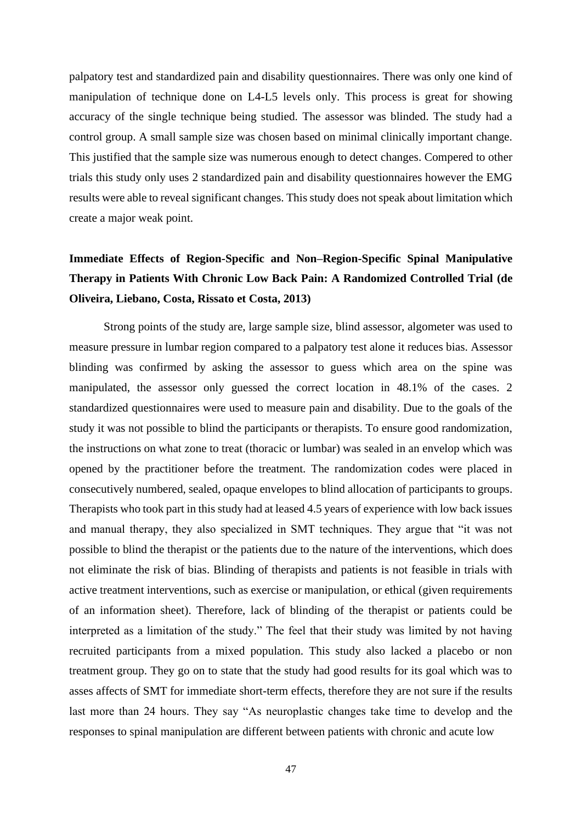palpatory test and standardized pain and disability questionnaires. There was only one kind of manipulation of technique done on L4-L5 levels only. This process is great for showing accuracy of the single technique being studied. The assessor was blinded. The study had a control group. A small sample size was chosen based on minimal clinically important change. This justified that the sample size was numerous enough to detect changes. Compered to other trials this study only uses 2 standardized pain and disability questionnaires however the EMG results were able to reveal significant changes. This study does not speak about limitation which create a major weak point.

## **Immediate Effects of Region-Specific and Non–Region-Specific Spinal Manipulative Therapy in Patients With Chronic Low Back Pain: A Randomized Controlled Trial (de Oliveira, Liebano, Costa, Rissato et Costa, 2013)**

Strong points of the study are, large sample size, blind assessor, algometer was used to measure pressure in lumbar region compared to a palpatory test alone it reduces bias. Assessor blinding was confirmed by asking the assessor to guess which area on the spine was manipulated, the assessor only guessed the correct location in 48.1% of the cases. 2 standardized questionnaires were used to measure pain and disability. Due to the goals of the study it was not possible to blind the participants or therapists. To ensure good randomization, the instructions on what zone to treat (thoracic or lumbar) was sealed in an envelop which was opened by the practitioner before the treatment. The randomization codes were placed in consecutively numbered, sealed, opaque envelopes to blind allocation of participants to groups. Therapists who took part in this study had at leased 4.5 years of experience with low back issues and manual therapy, they also specialized in SMT techniques. They argue that "it was not possible to blind the therapist or the patients due to the nature of the interventions, which does not eliminate the risk of bias. Blinding of therapists and patients is not feasible in trials with active treatment interventions, such as exercise or manipulation, or ethical (given requirements of an information sheet). Therefore, lack of blinding of the therapist or patients could be interpreted as a limitation of the study." The feel that their study was limited by not having recruited participants from a mixed population. This study also lacked a placebo or non treatment group. They go on to state that the study had good results for its goal which was to asses affects of SMT for immediate short-term effects, therefore they are not sure if the results last more than 24 hours. They say "As neuroplastic changes take time to develop and the responses to spinal manipulation are different between patients with chronic and acute low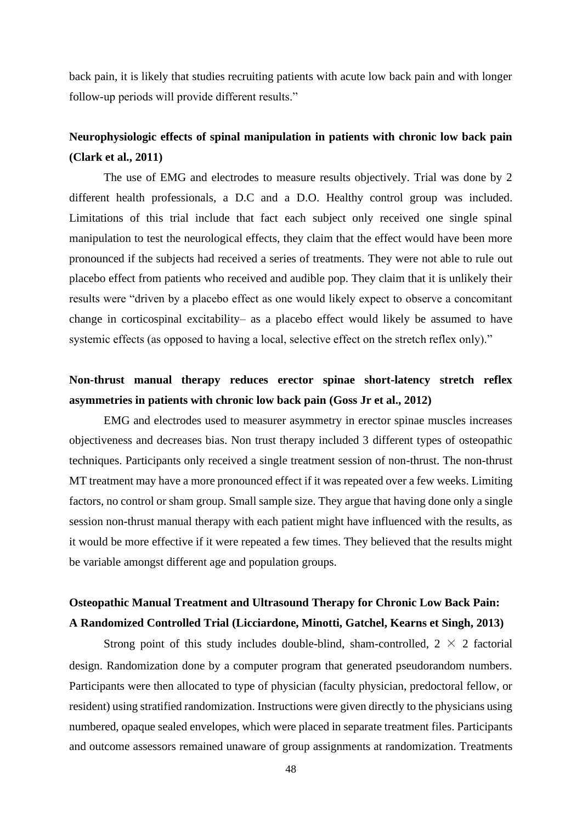back pain, it is likely that studies recruiting patients with acute low back pain and with longer follow-up periods will provide different results."

### **Neurophysiologic effects of spinal manipulation in patients with chronic low back pain (Clark et al., 2011)**

The use of EMG and electrodes to measure results objectively. Trial was done by 2 different health professionals, a D.C and a D.O. Healthy control group was included. Limitations of this trial include that fact each subject only received one single spinal manipulation to test the neurological effects, they claim that the effect would have been more pronounced if the subjects had received a series of treatments. They were not able to rule out placebo effect from patients who received and audible pop. They claim that it is unlikely their results were "driven by a placebo effect as one would likely expect to observe a concomitant change in corticospinal excitability– as a placebo effect would likely be assumed to have systemic effects (as opposed to having a local, selective effect on the stretch reflex only)."

### **Non-thrust manual therapy reduces erector spinae short-latency stretch reflex asymmetries in patients with chronic low back pain (Goss Jr et al., 2012)**

EMG and electrodes used to measurer asymmetry in erector spinae muscles increases objectiveness and decreases bias. Non trust therapy included 3 different types of osteopathic techniques. Participants only received a single treatment session of non-thrust. The non-thrust MT treatment may have a more pronounced effect if it was repeated over a few weeks. Limiting factors, no control or sham group. Small sample size. They argue that having done only a single session non-thrust manual therapy with each patient might have influenced with the results, as it would be more effective if it were repeated a few times. They believed that the results might be variable amongst different age and population groups.

### **Osteopathic Manual Treatment and Ultrasound Therapy for Chronic Low Back Pain: A Randomized Controlled Trial (Licciardone, Minotti, Gatchel, Kearns et Singh, 2013)**

Strong point of this study includes double-blind, sham-controlled,  $2 \times 2$  factorial design. Randomization done by a computer program that generated pseudorandom numbers. Participants were then allocated to type of physician (faculty physician, predoctoral fellow, or resident) using stratified randomization. Instructions were given directly to the physicians using numbered, opaque sealed envelopes, which were placed in separate treatment files. Participants and outcome assessors remained unaware of group assignments at randomization. Treatments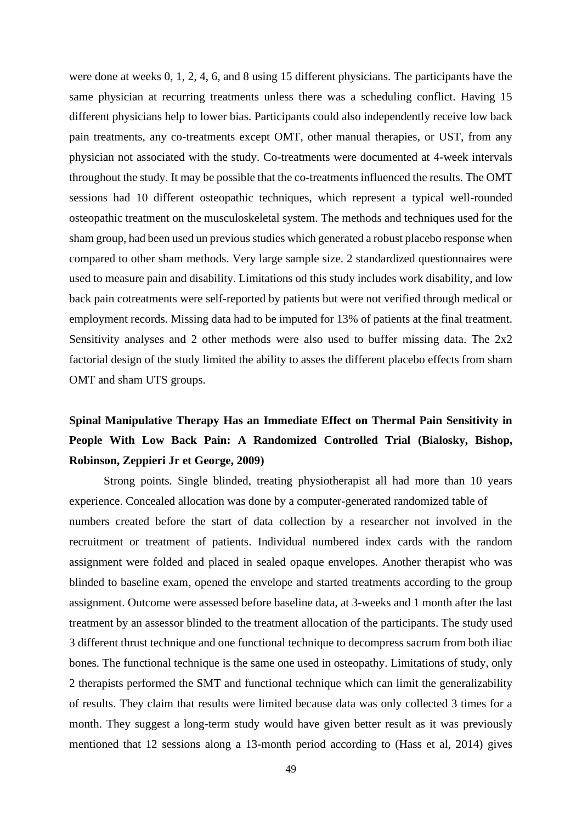were done at weeks 0, 1, 2, 4, 6, and 8 using 15 different physicians. The participants have the same physician at recurring treatments unless there was a scheduling conflict. Having 15 different physicians help to lower bias. Participants could also independently receive low back pain treatments, any co-treatments except OMT, other manual therapies, or UST, from any physician not associated with the study. Co-treatments were documented at 4-week intervals throughout the study. It may be possible that the co-treatments influenced the results. The OMT sessions had 10 different osteopathic techniques, which represent a typical well-rounded osteopathic treatment on the musculoskeletal system. The methods and techniques used for the sham group, had been used un previous studies which generated a robust placebo response when compared to other sham methods. Very large sample size. 2 standardized questionnaires were used to measure pain and disability. Limitations od this study includes work disability, and low back pain cotreatments were self-reported by patients but were not verified through medical or employment records. Missing data had to be imputed for 13% of patients at the final treatment. Sensitivity analyses and 2 other methods were also used to buffer missing data. The 2x2 factorial design of the study limited the ability to asses the different placebo effects from sham OMT and sham UTS groups.

## **Spinal Manipulative Therapy Has an Immediate Effect on Thermal Pain Sensitivity in People With Low Back Pain: A Randomized Controlled Trial (Bialosky, Bishop, Robinson, Zeppieri Jr et George, 2009)**

Strong points. Single blinded, treating physiotherapist all had more than 10 years experience. Concealed allocation was done by a computer-generated randomized table of numbers created before the start of data collection by a researcher not involved in the recruitment or treatment of patients. Individual numbered index cards with the random assignment were folded and placed in sealed opaque envelopes. Another therapist who was blinded to baseline exam, opened the envelope and started treatments according to the group assignment. Outcome were assessed before baseline data, at 3-weeks and 1 month after the last treatment by an assessor blinded to the treatment allocation of the participants. The study used 3 different thrust technique and one functional technique to decompress sacrum from both iliac bones. The functional technique is the same one used in osteopathy. Limitations of study, only 2 therapists performed the SMT and functional technique which can limit the generalizability of results. They claim that results were limited because data was only collected 3 times for a month. They suggest a long-term study would have given better result as it was previously mentioned that 12 sessions along a 13-month period according to (Hass et al, 2014) gives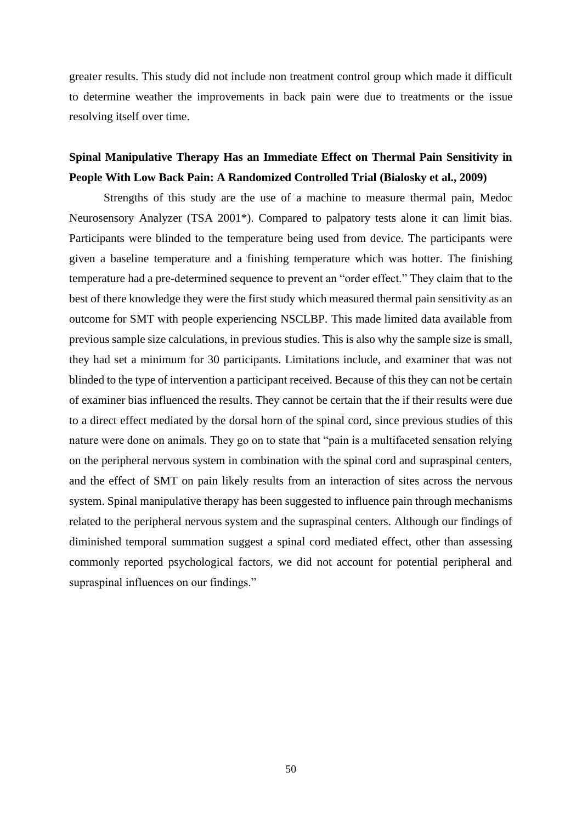greater results. This study did not include non treatment control group which made it difficult to determine weather the improvements in back pain were due to treatments or the issue resolving itself over time.

### **Spinal Manipulative Therapy Has an Immediate Effect on Thermal Pain Sensitivity in People With Low Back Pain: A Randomized Controlled Trial (Bialosky et al., 2009)**

Strengths of this study are the use of a machine to measure thermal pain, Medoc Neurosensory Analyzer (TSA 2001\*). Compared to palpatory tests alone it can limit bias. Participants were blinded to the temperature being used from device. The participants were given a baseline temperature and a finishing temperature which was hotter. The finishing temperature had a pre-determined sequence to prevent an "order effect." They claim that to the best of there knowledge they were the first study which measured thermal pain sensitivity as an outcome for SMT with people experiencing NSCLBP. This made limited data available from previous sample size calculations, in previous studies. This is also why the sample size is small, they had set a minimum for 30 participants. Limitations include, and examiner that was not blinded to the type of intervention a participant received. Because of this they can not be certain of examiner bias influenced the results. They cannot be certain that the if their results were due to a direct effect mediated by the dorsal horn of the spinal cord, since previous studies of this nature were done on animals. They go on to state that "pain is a multifaceted sensation relying on the peripheral nervous system in combination with the spinal cord and supraspinal centers, and the effect of SMT on pain likely results from an interaction of sites across the nervous system. Spinal manipulative therapy has been suggested to influence pain through mechanisms related to the peripheral nervous system and the supraspinal centers. Although our findings of diminished temporal summation suggest a spinal cord mediated effect, other than assessing commonly reported psychological factors, we did not account for potential peripheral and supraspinal influences on our findings."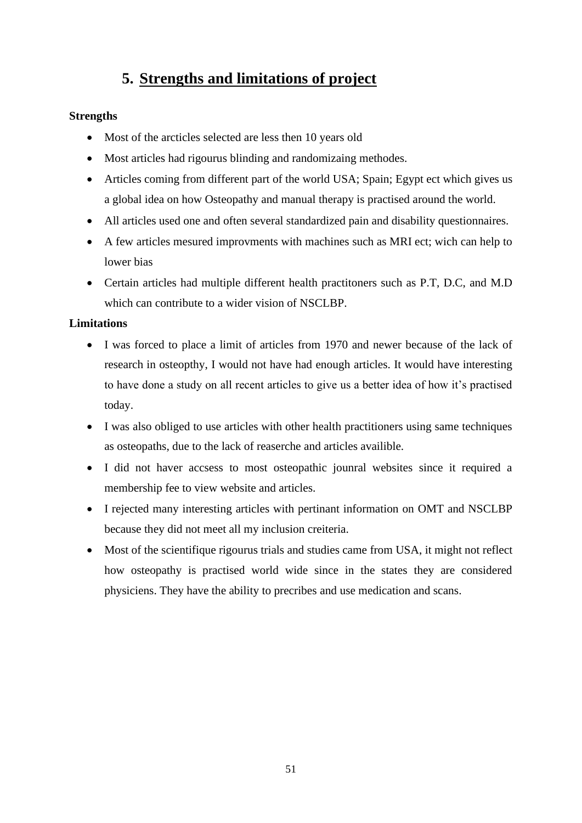# **5. Strengths and limitations of project**

#### **Strengths**

- Most of the arcticles selected are less then 10 years old
- Most articles had rigourus blinding and randomizaing methodes.
- Articles coming from different part of the world USA; Spain; Egypt ect which gives us a global idea on how Osteopathy and manual therapy is practised around the world.
- All articles used one and often several standardized pain and disability questionnaires.
- A few articles mesured improvments with machines such as MRI ect; wich can help to lower bias
- Certain articles had multiple different health practitoners such as P.T, D.C, and M.D which can contribute to a wider vision of NSCLBP.

#### **Limitations**

- I was forced to place a limit of articles from 1970 and newer because of the lack of research in osteopthy, I would not have had enough articles. It would have interesting to have done a study on all recent articles to give us a better idea of how it's practised today.
- I was also obliged to use articles with other health practitioners using same techniques as osteopaths, due to the lack of reaserche and articles availible.
- I did not haver accsess to most osteopathic jounral websites since it required a membership fee to view website and articles.
- I rejected many interesting articles with pertinant information on OMT and NSCLBP because they did not meet all my inclusion creiteria.
- Most of the scientifique rigourus trials and studies came from USA, it might not reflect how osteopathy is practised world wide since in the states they are considered physiciens. They have the ability to precribes and use medication and scans.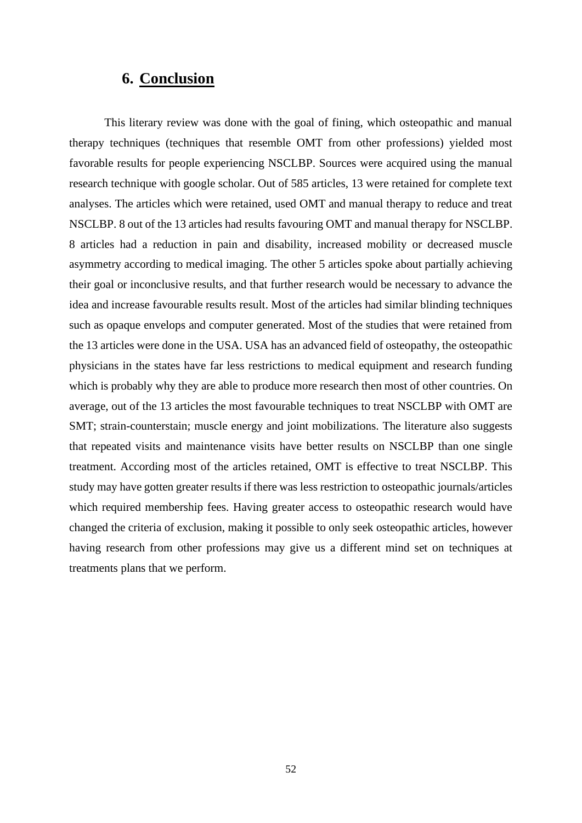### **6. Conclusion**

This literary review was done with the goal of fining, which osteopathic and manual therapy techniques (techniques that resemble OMT from other professions) yielded most favorable results for people experiencing NSCLBP. Sources were acquired using the manual research technique with google scholar. Out of 585 articles, 13 were retained for complete text analyses. The articles which were retained, used OMT and manual therapy to reduce and treat NSCLBP. 8 out of the 13 articles had results favouring OMT and manual therapy for NSCLBP. 8 articles had a reduction in pain and disability, increased mobility or decreased muscle asymmetry according to medical imaging. The other 5 articles spoke about partially achieving their goal or inconclusive results, and that further research would be necessary to advance the idea and increase favourable results result. Most of the articles had similar blinding techniques such as opaque envelops and computer generated. Most of the studies that were retained from the 13 articles were done in the USA. USA has an advanced field of osteopathy, the osteopathic physicians in the states have far less restrictions to medical equipment and research funding which is probably why they are able to produce more research then most of other countries. On average, out of the 13 articles the most favourable techniques to treat NSCLBP with OMT are SMT; strain-counterstain; muscle energy and joint mobilizations. The literature also suggests that repeated visits and maintenance visits have better results on NSCLBP than one single treatment. According most of the articles retained, OMT is effective to treat NSCLBP. This study may have gotten greater results if there was less restriction to osteopathic journals/articles which required membership fees. Having greater access to osteopathic research would have changed the criteria of exclusion, making it possible to only seek osteopathic articles, however having research from other professions may give us a different mind set on techniques at treatments plans that we perform.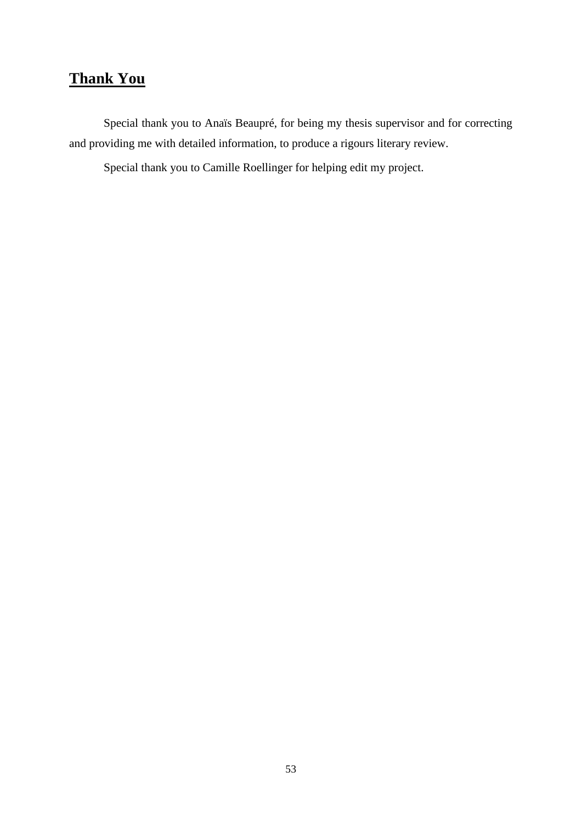# **Thank You**

Special thank you to Anaïs Beaupré, for being my thesis supervisor and for correcting and providing me with detailed information, to produce a rigours literary review.

Special thank you to Camille Roellinger for helping edit my project.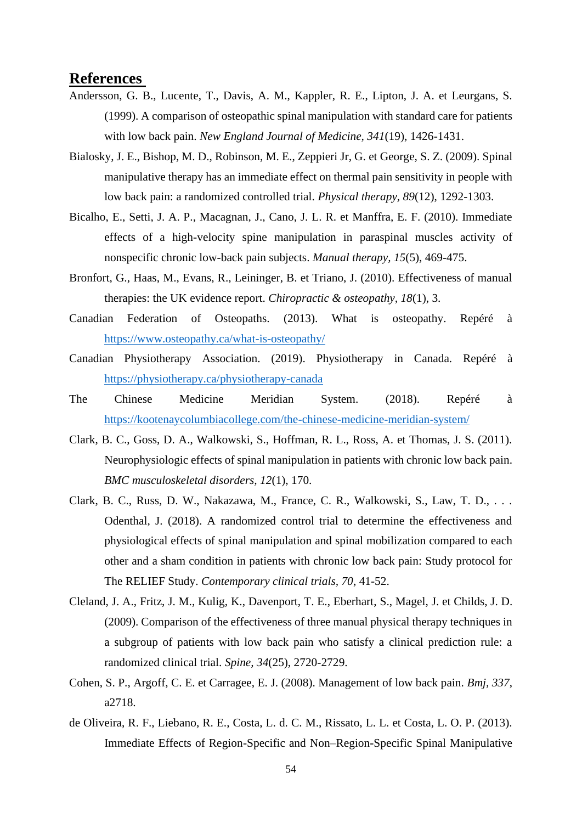### **References**

- Andersson, G. B., Lucente, T., Davis, A. M., Kappler, R. E., Lipton, J. A. et Leurgans, S. (1999). A comparison of osteopathic spinal manipulation with standard care for patients with low back pain. *New England Journal of Medicine, 341*(19), 1426-1431.
- Bialosky, J. E., Bishop, M. D., Robinson, M. E., Zeppieri Jr, G. et George, S. Z. (2009). Spinal manipulative therapy has an immediate effect on thermal pain sensitivity in people with low back pain: a randomized controlled trial. *Physical therapy, 89*(12), 1292-1303.
- Bicalho, E., Setti, J. A. P., Macagnan, J., Cano, J. L. R. et Manffra, E. F. (2010). Immediate effects of a high-velocity spine manipulation in paraspinal muscles activity of nonspecific chronic low-back pain subjects. *Manual therapy, 15*(5), 469-475.
- Bronfort, G., Haas, M., Evans, R., Leininger, B. et Triano, J. (2010). Effectiveness of manual therapies: the UK evidence report. *Chiropractic & osteopathy, 18*(1), 3.
- Canadian Federation of Osteopaths. (2013). What is osteopathy. Repéré à <https://www.osteopathy.ca/what-is-osteopathy/>
- Canadian Physiotherapy Association. (2019). Physiotherapy in Canada. Repéré à <https://physiotherapy.ca/physiotherapy-canada>
- The Chinese Medicine Meridian System. (2018). Repéré à <https://kootenaycolumbiacollege.com/the-chinese-medicine-meridian-system/>
- Clark, B. C., Goss, D. A., Walkowski, S., Hoffman, R. L., Ross, A. et Thomas, J. S. (2011). Neurophysiologic effects of spinal manipulation in patients with chronic low back pain. *BMC musculoskeletal disorders, 12*(1), 170.
- Clark, B. C., Russ, D. W., Nakazawa, M., France, C. R., Walkowski, S., Law, T. D., . . . Odenthal, J. (2018). A randomized control trial to determine the effectiveness and physiological effects of spinal manipulation and spinal mobilization compared to each other and a sham condition in patients with chronic low back pain: Study protocol for The RELIEF Study. *Contemporary clinical trials, 70*, 41-52.
- Cleland, J. A., Fritz, J. M., Kulig, K., Davenport, T. E., Eberhart, S., Magel, J. et Childs, J. D. (2009). Comparison of the effectiveness of three manual physical therapy techniques in a subgroup of patients with low back pain who satisfy a clinical prediction rule: a randomized clinical trial. *Spine, 34*(25), 2720-2729.
- Cohen, S. P., Argoff, C. E. et Carragee, E. J. (2008). Management of low back pain. *Bmj, 337*, a2718.
- de Oliveira, R. F., Liebano, R. E., Costa, L. d. C. M., Rissato, L. L. et Costa, L. O. P. (2013). Immediate Effects of Region-Specific and Non–Region-Specific Spinal Manipulative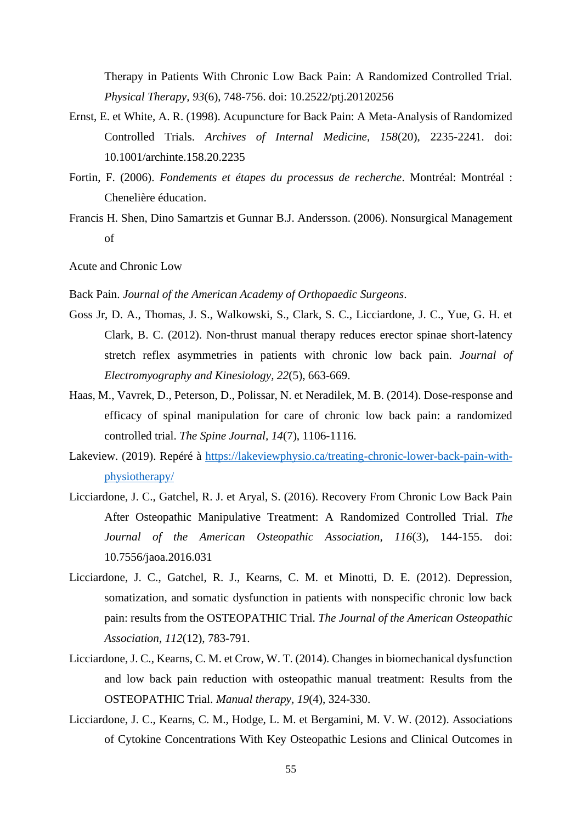Therapy in Patients With Chronic Low Back Pain: A Randomized Controlled Trial. *Physical Therapy, 93*(6), 748-756. doi: 10.2522/ptj.20120256

- Ernst, E. et White, A. R. (1998). Acupuncture for Back Pain: A Meta-Analysis of Randomized Controlled Trials. *Archives of Internal Medicine, 158*(20), 2235-2241. doi: 10.1001/archinte.158.20.2235
- Fortin, F. (2006). *Fondements et étapes du processus de recherche*. Montréal: Montréal : Chenelière éducation.
- Francis H. Shen, Dino Samartzis et Gunnar B.J. Andersson. (2006). Nonsurgical Management of

Acute and Chronic Low

- Back Pain. *Journal of the American Academy of Orthopaedic Surgeons*.
- Goss Jr, D. A., Thomas, J. S., Walkowski, S., Clark, S. C., Licciardone, J. C., Yue, G. H. et Clark, B. C. (2012). Non-thrust manual therapy reduces erector spinae short-latency stretch reflex asymmetries in patients with chronic low back pain. *Journal of Electromyography and Kinesiology, 22*(5), 663-669.
- Haas, M., Vavrek, D., Peterson, D., Polissar, N. et Neradilek, M. B. (2014). Dose-response and efficacy of spinal manipulation for care of chronic low back pain: a randomized controlled trial. *The Spine Journal, 14*(7), 1106-1116.
- Lakeview. (2019). Repéré à [https://lakeviewphysio.ca/treating-chronic-lower-back-pain-with](https://lakeviewphysio.ca/treating-chronic-lower-back-pain-with-physiotherapy/)[physiotherapy/](https://lakeviewphysio.ca/treating-chronic-lower-back-pain-with-physiotherapy/)
- Licciardone, J. C., Gatchel, R. J. et Aryal, S. (2016). Recovery From Chronic Low Back Pain After Osteopathic Manipulative Treatment: A Randomized Controlled Trial. *The Journal of the American Osteopathic Association, 116*(3), 144-155. doi: 10.7556/jaoa.2016.031
- Licciardone, J. C., Gatchel, R. J., Kearns, C. M. et Minotti, D. E. (2012). Depression, somatization, and somatic dysfunction in patients with nonspecific chronic low back pain: results from the OSTEOPATHIC Trial. *The Journal of the American Osteopathic Association, 112*(12), 783-791.
- Licciardone, J. C., Kearns, C. M. et Crow, W. T. (2014). Changes in biomechanical dysfunction and low back pain reduction with osteopathic manual treatment: Results from the OSTEOPATHIC Trial. *Manual therapy, 19*(4), 324-330.
- Licciardone, J. C., Kearns, C. M., Hodge, L. M. et Bergamini, M. V. W. (2012). Associations of Cytokine Concentrations With Key Osteopathic Lesions and Clinical Outcomes in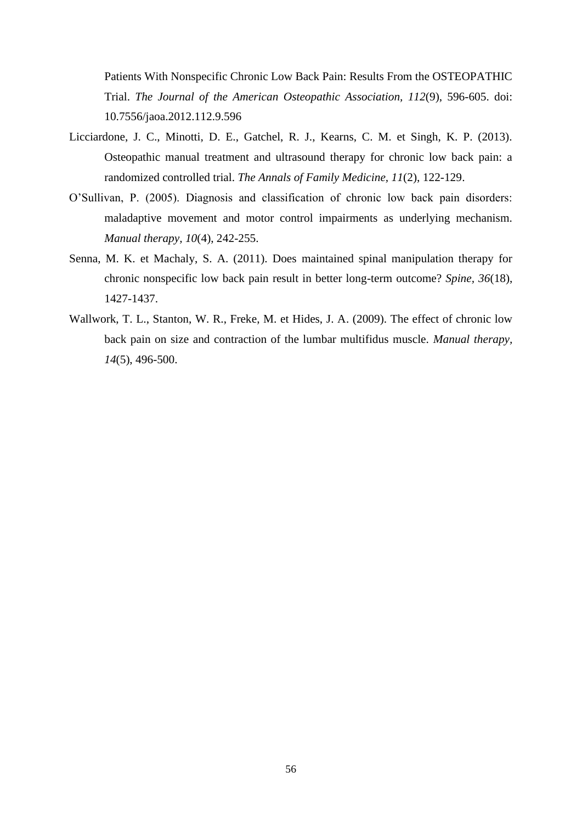Patients With Nonspecific Chronic Low Back Pain: Results From the OSTEOPATHIC Trial. *The Journal of the American Osteopathic Association, 112*(9), 596-605. doi: 10.7556/jaoa.2012.112.9.596

- Licciardone, J. C., Minotti, D. E., Gatchel, R. J., Kearns, C. M. et Singh, K. P. (2013). Osteopathic manual treatment and ultrasound therapy for chronic low back pain: a randomized controlled trial. *The Annals of Family Medicine, 11*(2), 122-129.
- O'Sullivan, P. (2005). Diagnosis and classification of chronic low back pain disorders: maladaptive movement and motor control impairments as underlying mechanism. *Manual therapy, 10*(4), 242-255.
- Senna, M. K. et Machaly, S. A. (2011). Does maintained spinal manipulation therapy for chronic nonspecific low back pain result in better long-term outcome? *Spine, 36*(18), 1427-1437.
- Wallwork, T. L., Stanton, W. R., Freke, M. et Hides, J. A. (2009). The effect of chronic low back pain on size and contraction of the lumbar multifidus muscle. *Manual therapy, 14*(5), 496-500.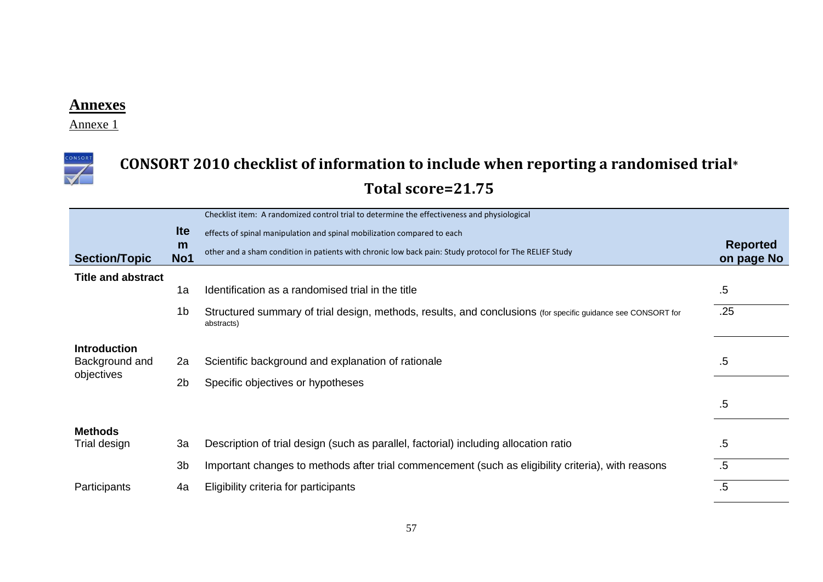Annexe 1



# **CONSORT 2010 checklist of information to include when reporting a randomised trial\* Total score=21.75**

|                           |                | Checklist item: A randomized control trial to determine the effectiveness and physiological                                |                 |
|---------------------------|----------------|----------------------------------------------------------------------------------------------------------------------------|-----------------|
|                           | <b>Ite</b>     | effects of spinal manipulation and spinal mobilization compared to each                                                    | <b>Reported</b> |
| <b>Section/Topic</b>      | m<br>No1       | other and a sham condition in patients with chronic low back pain: Study protocol for The RELIEF Study                     | on page No      |
| <b>Title and abstract</b> |                |                                                                                                                            |                 |
|                           | 1a             | Identification as a randomised trial in the title                                                                          | .5              |
|                           | 1 <sub>b</sub> | Structured summary of trial design, methods, results, and conclusions (for specific guidance see CONSORT for<br>abstracts) | .25             |
| <b>Introduction</b>       |                |                                                                                                                            |                 |
| Background and            | 2a             | Scientific background and explanation of rationale                                                                         | .5              |
| objectives                | 2 <sub>b</sub> | Specific objectives or hypotheses                                                                                          |                 |
|                           |                |                                                                                                                            | $.5\,$          |
| <b>Methods</b>            |                |                                                                                                                            |                 |
| Trial design              | 3a             | Description of trial design (such as parallel, factorial) including allocation ratio                                       | .5              |
|                           | 3 <sub>b</sub> | Important changes to methods after trial commencement (such as eligibility criteria), with reasons                         | $.5\,$          |
| Participants              | 4a             | Eligibility criteria for participants                                                                                      | $.5\,$          |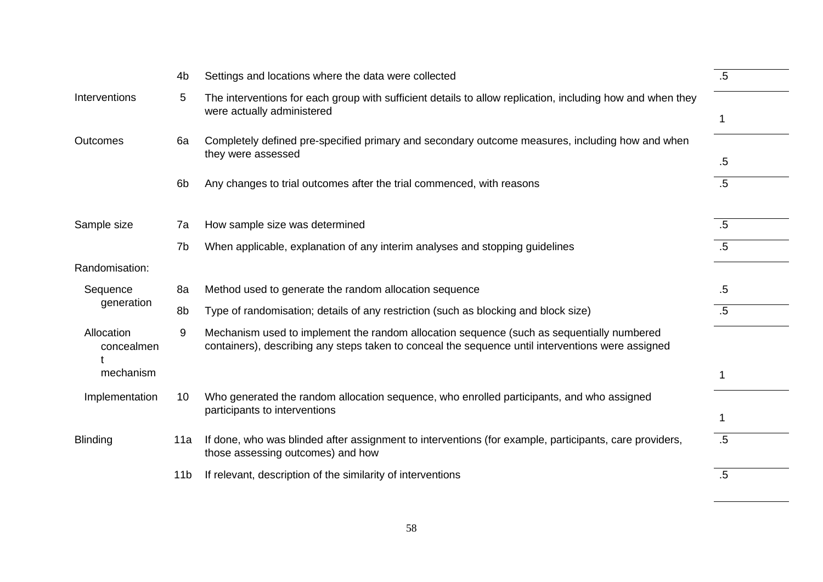|                          | 4 <sub>b</sub>  | Settings and locations where the data were collected                                                                                                                                           | $.5\,$ |
|--------------------------|-----------------|------------------------------------------------------------------------------------------------------------------------------------------------------------------------------------------------|--------|
| Interventions            | 5               | The interventions for each group with sufficient details to allow replication, including how and when they<br>were actually administered                                                       |        |
| <b>Outcomes</b>          | 6a              | Completely defined pre-specified primary and secondary outcome measures, including how and when<br>they were assessed                                                                          |        |
|                          |                 |                                                                                                                                                                                                | $.5\,$ |
|                          | 6 <sub>b</sub>  | Any changes to trial outcomes after the trial commenced, with reasons                                                                                                                          | $.5\,$ |
|                          |                 |                                                                                                                                                                                                |        |
| Sample size              | 7a              | How sample size was determined                                                                                                                                                                 | $.5\,$ |
|                          | 7b              | When applicable, explanation of any interim analyses and stopping guidelines                                                                                                                   | $.5\,$ |
| Randomisation:           |                 |                                                                                                                                                                                                |        |
| Sequence                 | 8a              | Method used to generate the random allocation sequence                                                                                                                                         | $.5\,$ |
| generation               | 8b              | Type of randomisation; details of any restriction (such as blocking and block size)                                                                                                            | $.5\,$ |
| Allocation<br>concealmen | 9               | Mechanism used to implement the random allocation sequence (such as sequentially numbered<br>containers), describing any steps taken to conceal the sequence until interventions were assigned |        |
| mechanism                |                 |                                                                                                                                                                                                | 1      |
| Implementation           | 10              | Who generated the random allocation sequence, who enrolled participants, and who assigned<br>participants to interventions                                                                     |        |
|                          |                 |                                                                                                                                                                                                | 1      |
| <b>Blinding</b>          | 11a             | If done, who was blinded after assignment to interventions (for example, participants, care providers,<br>those assessing outcomes) and how                                                    | $.5\,$ |
|                          | 11 <sub>b</sub> | If relevant, description of the similarity of interventions                                                                                                                                    | .5     |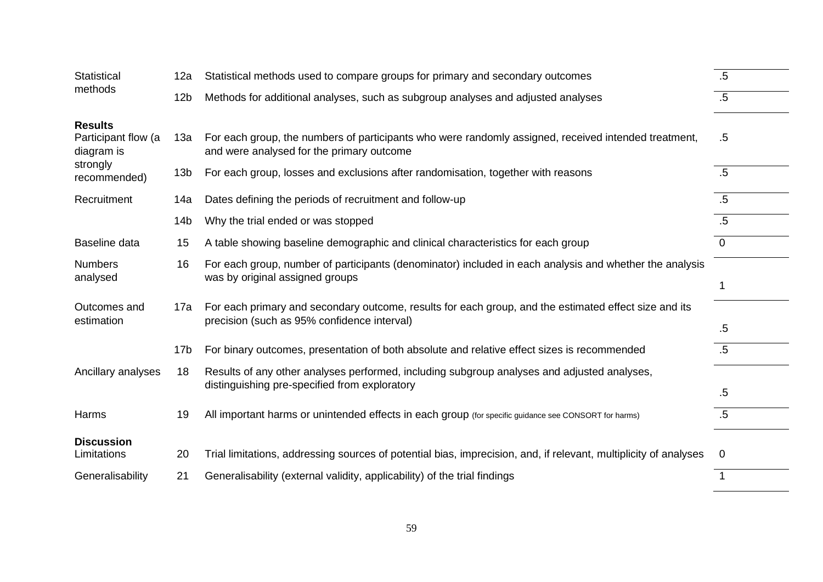| <b>Statistical</b>                                  | 12a             | Statistical methods used to compare groups for primary and secondary outcomes                                                                        | $.5\,$         |
|-----------------------------------------------------|-----------------|------------------------------------------------------------------------------------------------------------------------------------------------------|----------------|
| methods                                             | 12 <sub>b</sub> | Methods for additional analyses, such as subgroup analyses and adjusted analyses                                                                     | $.5\,$         |
| <b>Results</b><br>Participant flow (a<br>diagram is | 13а             | For each group, the numbers of participants who were randomly assigned, received intended treatment,<br>and were analysed for the primary outcome    | $.5\,$         |
| strongly<br>recommended)                            | 13 <sub>b</sub> | For each group, losses and exclusions after randomisation, together with reasons                                                                     | .5             |
| Recruitment                                         | 14a             | Dates defining the periods of recruitment and follow-up                                                                                              | $.5\,$         |
|                                                     | 14 <sub>b</sub> | Why the trial ended or was stopped                                                                                                                   | $.5\,$         |
| Baseline data                                       | 15              | A table showing baseline demographic and clinical characteristics for each group                                                                     | $\overline{0}$ |
| <b>Numbers</b><br>analysed                          | 16              | For each group, number of participants (denominator) included in each analysis and whether the analysis<br>was by original assigned groups           |                |
| Outcomes and<br>estimation                          | 17a             | For each primary and secondary outcome, results for each group, and the estimated effect size and its<br>precision (such as 95% confidence interval) | $.5\,$         |
|                                                     | 17 <sub>b</sub> | For binary outcomes, presentation of both absolute and relative effect sizes is recommended                                                          | $.5\,$         |
| Ancillary analyses                                  | 18              | Results of any other analyses performed, including subgroup analyses and adjusted analyses,<br>distinguishing pre-specified from exploratory         | .5             |
| Harms                                               | 19              | All important harms or unintended effects in each group (for specific guidance see CONSORT for harms)                                                | $.5\,$         |
| <b>Discussion</b><br>Limitations                    | 20              | Trial limitations, addressing sources of potential bias, imprecision, and, if relevant, multiplicity of analyses                                     | $\Omega$       |
| Generalisability                                    | 21              | Generalisability (external validity, applicability) of the trial findings                                                                            | $\overline{1}$ |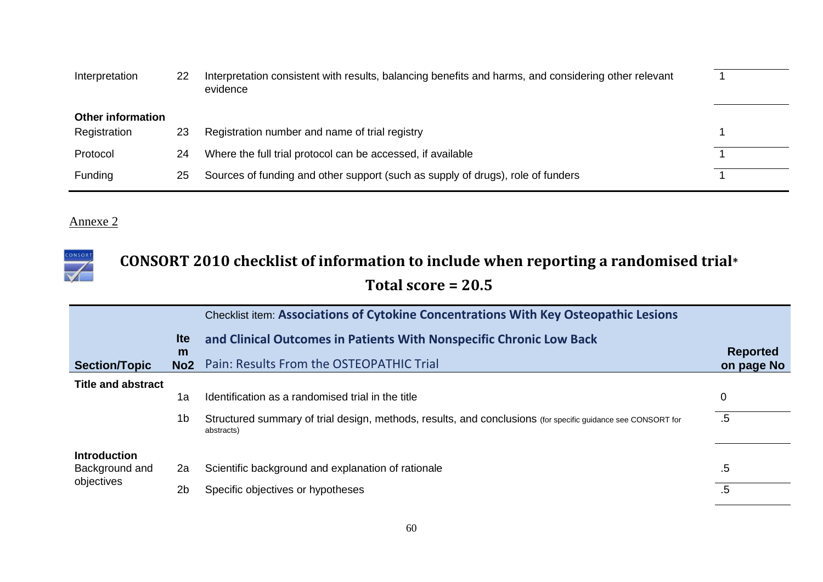| Interpretation           | 22 | Interpretation consistent with results, balancing benefits and harms, and considering other relevant<br>evidence |  |
|--------------------------|----|------------------------------------------------------------------------------------------------------------------|--|
| <b>Other information</b> |    |                                                                                                                  |  |
| Registration             | 23 | Registration number and name of trial registry                                                                   |  |
| Protocol                 | 24 | Where the full trial protocol can be accessed, if available                                                      |  |
| Funding                  | 25 | Sources of funding and other support (such as supply of drugs), role of funders                                  |  |

### CONSORT **CONSORT 2010 checklist of information to include when reporting a randomised trial\* Total score = 20.5**

|                           |                      | Checklist item: Associations of Cytokine Concentrations With Key Osteopathic Lesions                                       |                               |
|---------------------------|----------------------|----------------------------------------------------------------------------------------------------------------------------|-------------------------------|
|                           | <b>Ite</b>           | and Clinical Outcomes in Patients With Nonspecific Chronic Low Back                                                        |                               |
| <b>Section/Topic</b>      | m<br>No <sub>2</sub> | Pain: Results From the OSTEOPATHIC Trial                                                                                   | <b>Reported</b><br>on page No |
| <b>Title and abstract</b> |                      |                                                                                                                            |                               |
|                           | 1a                   | Identification as a randomised trial in the title                                                                          | 0                             |
|                           | 1b                   | Structured summary of trial design, methods, results, and conclusions (for specific guidance see CONSORT for<br>abstracts) | $.5\,$                        |
| <b>Introduction</b>       |                      |                                                                                                                            |                               |
| Background and            | 2a                   | Scientific background and explanation of rationale                                                                         | .5                            |
| objectives                | 2 <sub>b</sub>       | Specific objectives or hypotheses                                                                                          | $.5\,$                        |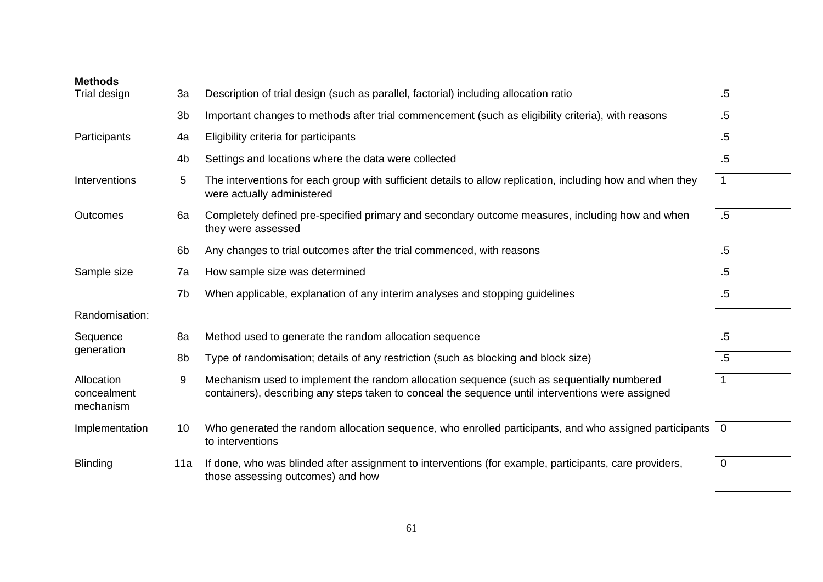| <b>Methods</b>                         |                |                                                                                                                                                                                                |                |
|----------------------------------------|----------------|------------------------------------------------------------------------------------------------------------------------------------------------------------------------------------------------|----------------|
| Trial design                           | 3a             | Description of trial design (such as parallel, factorial) including allocation ratio                                                                                                           | .5             |
|                                        | 3 <sub>b</sub> | Important changes to methods after trial commencement (such as eligibility criteria), with reasons                                                                                             | .5             |
| Participants                           | 4a             | Eligibility criteria for participants                                                                                                                                                          | $.5\,$         |
|                                        | 4 <sub>b</sub> | Settings and locations where the data were collected                                                                                                                                           | $.5\,$         |
| Interventions                          | 5              | The interventions for each group with sufficient details to allow replication, including how and when they<br>were actually administered                                                       | $\mathbf{1}$   |
| Outcomes                               | 6a             | Completely defined pre-specified primary and secondary outcome measures, including how and when<br>they were assessed                                                                          | .5             |
|                                        | 6b             | Any changes to trial outcomes after the trial commenced, with reasons                                                                                                                          | $.5\,$         |
| Sample size                            | 7a             | How sample size was determined                                                                                                                                                                 | $.5\,$         |
|                                        | 7b             | When applicable, explanation of any interim analyses and stopping guidelines                                                                                                                   | $.5\,$         |
| Randomisation:                         |                |                                                                                                                                                                                                |                |
| Sequence                               | 8a             | Method used to generate the random allocation sequence                                                                                                                                         | $.5\,$         |
| generation                             | 8b             | Type of randomisation; details of any restriction (such as blocking and block size)                                                                                                            | $.5\,$         |
| Allocation<br>concealment<br>mechanism | 9              | Mechanism used to implement the random allocation sequence (such as sequentially numbered<br>containers), describing any steps taken to conceal the sequence until interventions were assigned |                |
| Implementation                         | 10             | Who generated the random allocation sequence, who enrolled participants, and who assigned participants 0<br>to interventions                                                                   |                |
| <b>Blinding</b>                        | 11a            | If done, who was blinded after assignment to interventions (for example, participants, care providers,<br>those assessing outcomes) and how                                                    | $\overline{0}$ |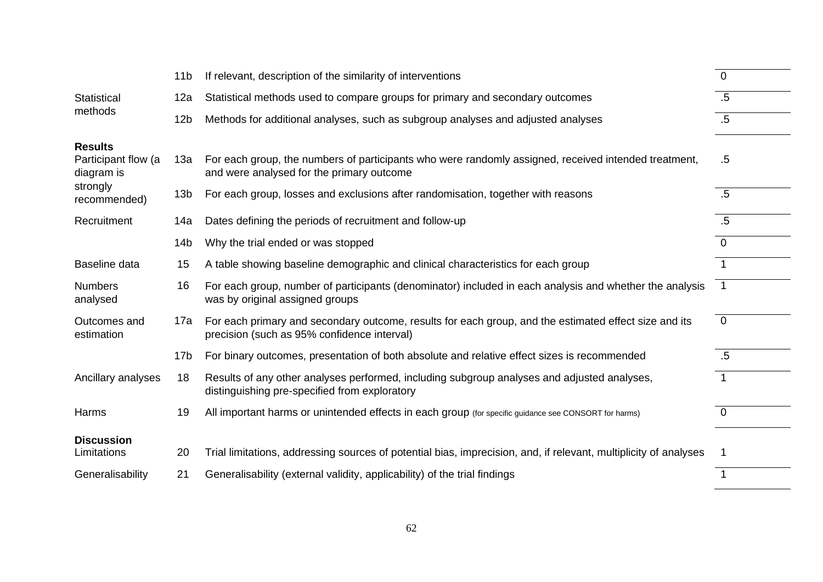|                                                                 | 11 <sub>b</sub> | If relevant, description of the similarity of interventions                                                                                          | $\overline{0}$ |
|-----------------------------------------------------------------|-----------------|------------------------------------------------------------------------------------------------------------------------------------------------------|----------------|
| <b>Statistical</b>                                              | 12a             | Statistical methods used to compare groups for primary and secondary outcomes                                                                        | $.5\,$         |
| methods                                                         | 12 <sub>b</sub> | Methods for additional analyses, such as subgroup analyses and adjusted analyses                                                                     | $.5\,$         |
| <b>Results</b><br>Participant flow (a<br>diagram is<br>strongly | 13a             | For each group, the numbers of participants who were randomly assigned, received intended treatment,<br>and were analysed for the primary outcome    | $.5\,$         |
| recommended)                                                    | 13 <sub>b</sub> | For each group, losses and exclusions after randomisation, together with reasons                                                                     | .5             |
| Recruitment                                                     | 14a             | Dates defining the periods of recruitment and follow-up                                                                                              | $.5\,$         |
|                                                                 | 14 <sub>b</sub> | Why the trial ended or was stopped                                                                                                                   | $\Omega$       |
| Baseline data                                                   | 15              | A table showing baseline demographic and clinical characteristics for each group                                                                     | $\mathbf 1$    |
| <b>Numbers</b><br>analysed                                      | 16              | For each group, number of participants (denominator) included in each analysis and whether the analysis<br>was by original assigned groups           | $\overline{1}$ |
| Outcomes and<br>estimation                                      | 17a             | For each primary and secondary outcome, results for each group, and the estimated effect size and its<br>precision (such as 95% confidence interval) | $\overline{0}$ |
|                                                                 | 17 <sub>b</sub> | For binary outcomes, presentation of both absolute and relative effect sizes is recommended                                                          | .5             |
| Ancillary analyses                                              | 18              | Results of any other analyses performed, including subgroup analyses and adjusted analyses,<br>distinguishing pre-specified from exploratory         | $\mathbf 1$    |
| Harms                                                           | 19              | All important harms or unintended effects in each group (for specific guidance see CONSORT for harms)                                                | $\overline{0}$ |
| <b>Discussion</b><br>Limitations                                | 20              | Trial limitations, addressing sources of potential bias, imprecision, and, if relevant, multiplicity of analyses                                     |                |
| Generalisability                                                | 21              | Generalisability (external validity, applicability) of the trial findings                                                                            | 1              |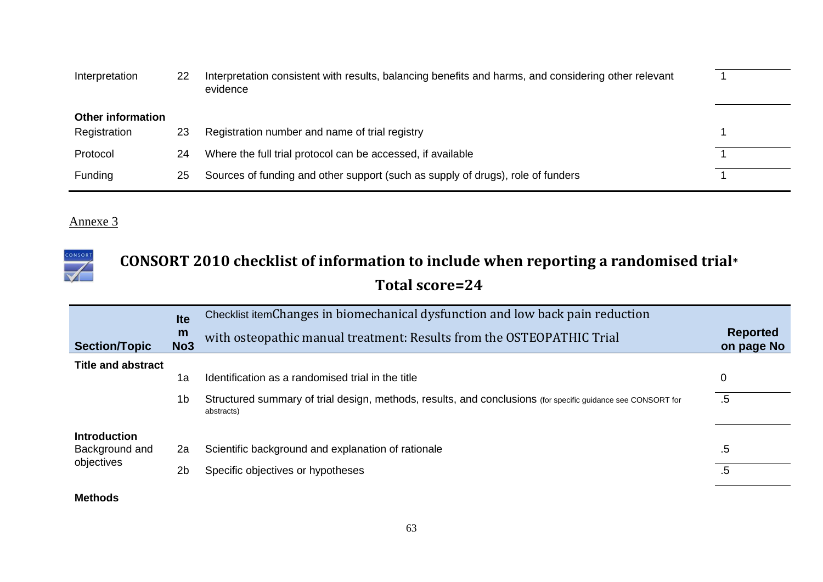| Interpretation           | 22 | Interpretation consistent with results, balancing benefits and harms, and considering other relevant<br>evidence |  |
|--------------------------|----|------------------------------------------------------------------------------------------------------------------|--|
| <b>Other information</b> |    |                                                                                                                  |  |
| Registration             | 23 | Registration number and name of trial registry                                                                   |  |
| Protocol                 | 24 | Where the full trial protocol can be accessed, if available                                                      |  |
| Funding                  | 25 | Sources of funding and other support (such as supply of drugs), role of funders                                  |  |

### CONSORT **CONSORT 2010 checklist of information to include when reporting a randomised trial\* Total score=24**

|                           | <b>Ite</b>           | Checklist itemChanges in biomechanical dysfunction and low back pain reduction                                             |                               |
|---------------------------|----------------------|----------------------------------------------------------------------------------------------------------------------------|-------------------------------|
| <b>Section/Topic</b>      | m<br>No <sub>3</sub> | with osteopathic manual treatment: Results from the OSTEOPATHIC Trial                                                      | <b>Reported</b><br>on page No |
| <b>Title and abstract</b> |                      |                                                                                                                            |                               |
|                           | 1a                   | Identification as a randomised trial in the title                                                                          | 0                             |
|                           | 1b                   | Structured summary of trial design, methods, results, and conclusions (for specific guidance see CONSORT for<br>abstracts) | .5                            |
| <b>Introduction</b>       |                      |                                                                                                                            |                               |
| Background and            | 2a                   | Scientific background and explanation of rationale                                                                         | .5                            |
| objectives                | 2 <sub>b</sub>       | Specific objectives or hypotheses                                                                                          | $.5\,$                        |

### **Methods**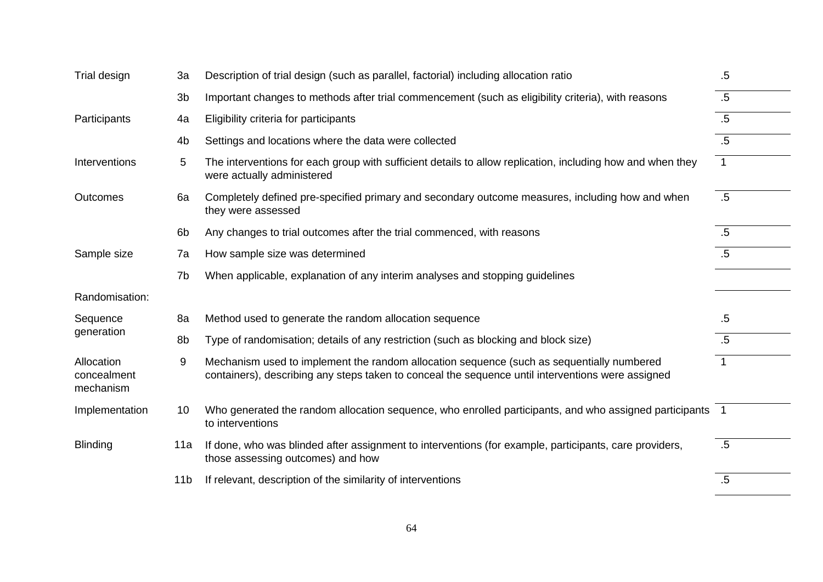| Trial design                           | 3a              | Description of trial design (such as parallel, factorial) including allocation ratio                                                                                                           | $.5\,$       |
|----------------------------------------|-----------------|------------------------------------------------------------------------------------------------------------------------------------------------------------------------------------------------|--------------|
|                                        | 3b              | Important changes to methods after trial commencement (such as eligibility criteria), with reasons                                                                                             | $.5\,$       |
| Participants                           | 4a              | Eligibility criteria for participants                                                                                                                                                          | .5           |
|                                        | 4 <sub>b</sub>  | Settings and locations where the data were collected                                                                                                                                           | .5           |
| Interventions                          | 5               | The interventions for each group with sufficient details to allow replication, including how and when they<br>were actually administered                                                       | $\mathbf{1}$ |
| Outcomes                               | 6a              | Completely defined pre-specified primary and secondary outcome measures, including how and when<br>they were assessed                                                                          | .5           |
|                                        | 6 <sub>b</sub>  | Any changes to trial outcomes after the trial commenced, with reasons                                                                                                                          | $.5\,$       |
| Sample size                            | 7a              | How sample size was determined                                                                                                                                                                 | $.5\,$       |
|                                        | 7b              | When applicable, explanation of any interim analyses and stopping guidelines                                                                                                                   |              |
| Randomisation:                         |                 |                                                                                                                                                                                                |              |
| Sequence                               | 8a              | Method used to generate the random allocation sequence                                                                                                                                         | $.5\,$       |
| generation                             | 8b              | Type of randomisation; details of any restriction (such as blocking and block size)                                                                                                            | $.5\,$       |
| Allocation<br>concealment<br>mechanism | 9               | Mechanism used to implement the random allocation sequence (such as sequentially numbered<br>containers), describing any steps taken to conceal the sequence until interventions were assigned | $\mathbf 1$  |
| Implementation                         | 10              | Who generated the random allocation sequence, who enrolled participants, and who assigned participants 1<br>to interventions                                                                   |              |
| <b>Blinding</b>                        | 11a             | If done, who was blinded after assignment to interventions (for example, participants, care providers,<br>those assessing outcomes) and how                                                    | $.5\,$       |
|                                        | 11 <sub>b</sub> | If relevant, description of the similarity of interventions                                                                                                                                    | .5           |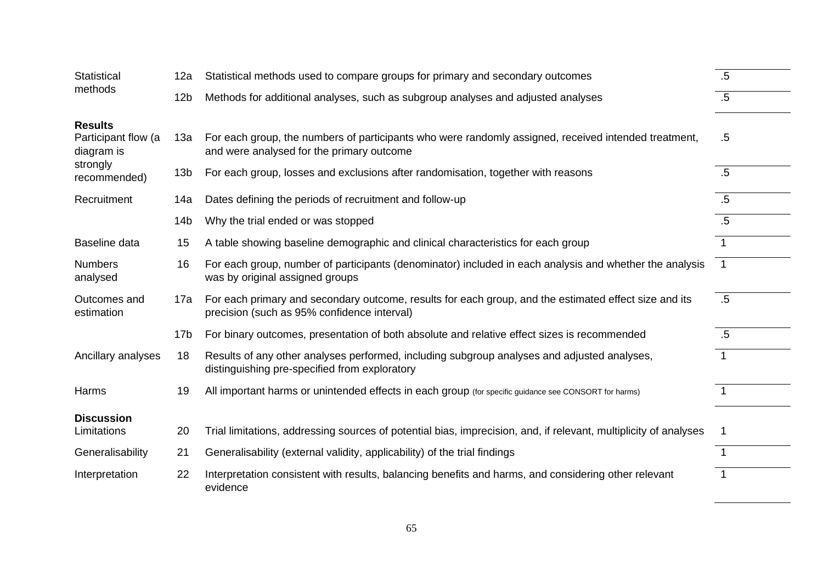| <b>Statistical</b>                | 12a             | Statistical methods used to compare groups for primary and secondary outcomes                                                                        | $.5\,$               |
|-----------------------------------|-----------------|------------------------------------------------------------------------------------------------------------------------------------------------------|----------------------|
| methods                           | 12 <sub>b</sub> | Methods for additional analyses, such as subgroup analyses and adjusted analyses                                                                     | $.5\,$               |
| <b>Results</b>                    |                 |                                                                                                                                                      |                      |
| Participant flow (a<br>diagram is | 13а             | For each group, the numbers of participants who were randomly assigned, received intended treatment,<br>and were analysed for the primary outcome    | $.5\,$               |
| strongly<br>recommended)          | 13 <sub>b</sub> | For each group, losses and exclusions after randomisation, together with reasons                                                                     | $.5\,$               |
| Recruitment                       | 14a             | Dates defining the periods of recruitment and follow-up                                                                                              | $.5\,$               |
|                                   | 14 <sub>b</sub> | Why the trial ended or was stopped                                                                                                                   | $.5\,$               |
| Baseline data                     | 15              | A table showing baseline demographic and clinical characteristics for each group                                                                     | $\mathbf{1}$         |
| <b>Numbers</b><br>analysed        | 16              | For each group, number of participants (denominator) included in each analysis and whether the analysis<br>was by original assigned groups           | $\overline{1}$       |
| Outcomes and<br>estimation        | 17a             | For each primary and secondary outcome, results for each group, and the estimated effect size and its<br>precision (such as 95% confidence interval) | .5                   |
|                                   | 17 <sub>b</sub> | For binary outcomes, presentation of both absolute and relative effect sizes is recommended                                                          | .5                   |
| Ancillary analyses                | 18              | Results of any other analyses performed, including subgroup analyses and adjusted analyses,<br>distinguishing pre-specified from exploratory         | $\mathbf{1}$         |
| Harms                             | 19              | All important harms or unintended effects in each group (for specific guidance see CONSORT for harms)                                                |                      |
| <b>Discussion</b>                 |                 |                                                                                                                                                      |                      |
| Limitations                       | 20              | Trial limitations, addressing sources of potential bias, imprecision, and, if relevant, multiplicity of analyses                                     |                      |
| Generalisability                  | 21              | Generalisability (external validity, applicability) of the trial findings                                                                            |                      |
| Interpretation                    | 22              | Interpretation consistent with results, balancing benefits and harms, and considering other relevant<br>evidence                                     | $\blacktriangleleft$ |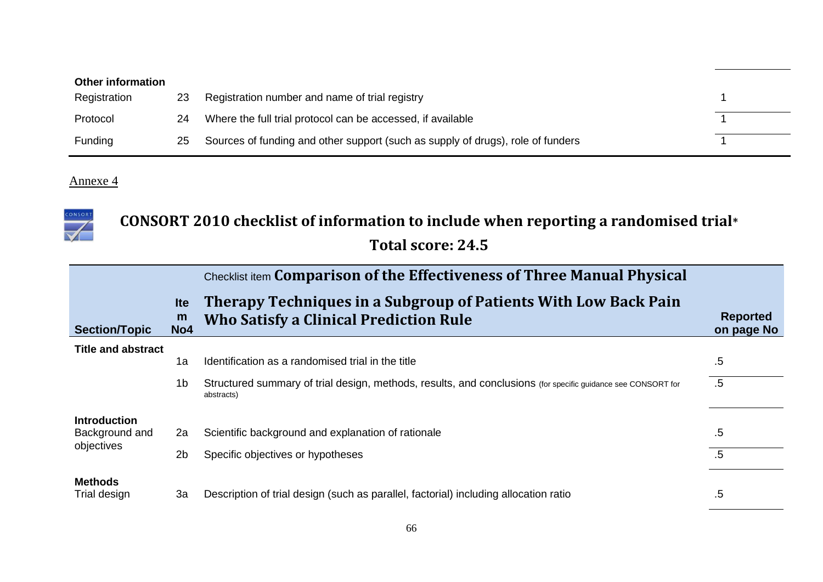| <b>Other information</b> |    |                                                                                 |  |
|--------------------------|----|---------------------------------------------------------------------------------|--|
| Registration             | 23 | Registration number and name of trial registry                                  |  |
| Protocol                 | 24 | Where the full trial protocol can be accessed, if available                     |  |
| <b>Funding</b>           | 25 | Sources of funding and other support (such as supply of drugs), role of funders |  |



# **CONSORT 2010 checklist of information to include when reporting a randomised trial\***

# **Total score: 24.5**

|                                |                                    | Checklist item Comparison of the Effectiveness of Three Manual Physical                                                    |                               |
|--------------------------------|------------------------------------|----------------------------------------------------------------------------------------------------------------------------|-------------------------------|
| <b>Section/Topic</b>           | <b>Ite</b><br>m<br>No <sub>4</sub> | Therapy Techniques in a Subgroup of Patients With Low Back Pain<br><b>Who Satisfy a Clinical Prediction Rule</b>           | <b>Reported</b><br>on page No |
| <b>Title and abstract</b>      |                                    |                                                                                                                            |                               |
|                                | 1a                                 | Identification as a randomised trial in the title                                                                          | $.5\,$                        |
|                                | 1 <sub>b</sub>                     | Structured summary of trial design, methods, results, and conclusions (for specific guidance see CONSORT for<br>abstracts) | $.5\,$                        |
| <b>Introduction</b>            |                                    |                                                                                                                            |                               |
| Background and                 | 2a                                 | Scientific background and explanation of rationale                                                                         | .5                            |
| objectives                     | 2 <sub>b</sub>                     | Specific objectives or hypotheses                                                                                          | $.5\,$                        |
| <b>Methods</b><br>Trial design | 3a                                 | Description of trial design (such as parallel, factorial) including allocation ratio                                       | .5                            |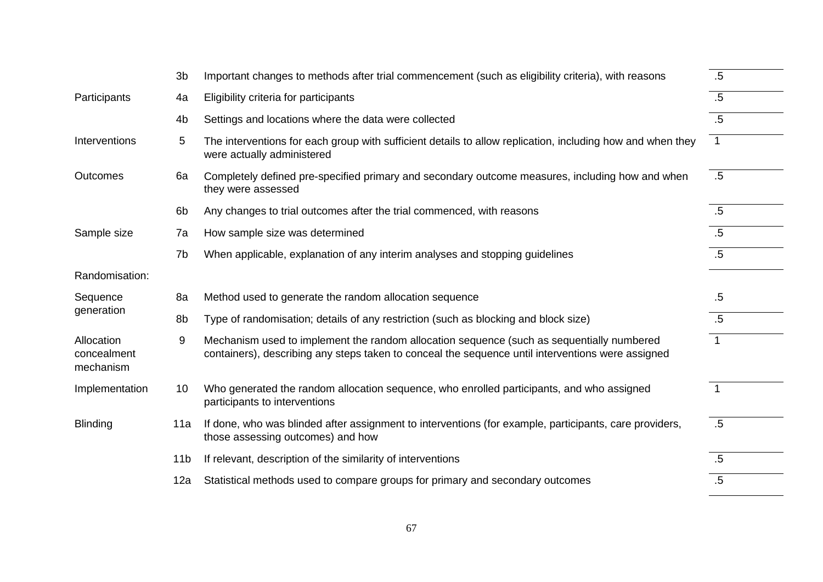|                                        | 3 <sub>b</sub>  | Important changes to methods after trial commencement (such as eligibility criteria), with reasons                                                                                             | $.5\,$          |
|----------------------------------------|-----------------|------------------------------------------------------------------------------------------------------------------------------------------------------------------------------------------------|-----------------|
| Participants                           | 4a              | Eligibility criteria for participants                                                                                                                                                          | .5              |
|                                        | 4 <sub>b</sub>  | Settings and locations where the data were collected                                                                                                                                           | .5              |
| Interventions                          | 5               | The interventions for each group with sufficient details to allow replication, including how and when they<br>were actually administered                                                       | $\mathbf{1}$    |
| <b>Outcomes</b>                        | 6a              | Completely defined pre-specified primary and secondary outcome measures, including how and when<br>they were assessed                                                                          | $.5\,$          |
|                                        | 6 <sub>b</sub>  | Any changes to trial outcomes after the trial commenced, with reasons                                                                                                                          | .5              |
| Sample size                            | 7a              | How sample size was determined                                                                                                                                                                 | $.5\,$          |
|                                        | 7b              | When applicable, explanation of any interim analyses and stopping guidelines                                                                                                                   | $.5\,$          |
| Randomisation:                         |                 |                                                                                                                                                                                                |                 |
| Sequence                               | 8a              | Method used to generate the random allocation sequence                                                                                                                                         | $.5\,$          |
| generation                             | 8b              | Type of randomisation; details of any restriction (such as blocking and block size)                                                                                                            | $.5\,$          |
| Allocation<br>concealment<br>mechanism | 9               | Mechanism used to implement the random allocation sequence (such as sequentially numbered<br>containers), describing any steps taken to conceal the sequence until interventions were assigned | $\mathbf{1}$    |
| Implementation                         | 10 <sup>°</sup> | Who generated the random allocation sequence, who enrolled participants, and who assigned<br>participants to interventions                                                                     | $\mathbf{1}$    |
| <b>Blinding</b>                        | 11a             | If done, who was blinded after assignment to interventions (for example, participants, care providers,<br>those assessing outcomes) and how                                                    | $\overline{.5}$ |
|                                        | 11 <sub>b</sub> | If relevant, description of the similarity of interventions                                                                                                                                    | .5              |
|                                        | 12a             | Statistical methods used to compare groups for primary and secondary outcomes                                                                                                                  | $.5\,$          |
|                                        |                 |                                                                                                                                                                                                |                 |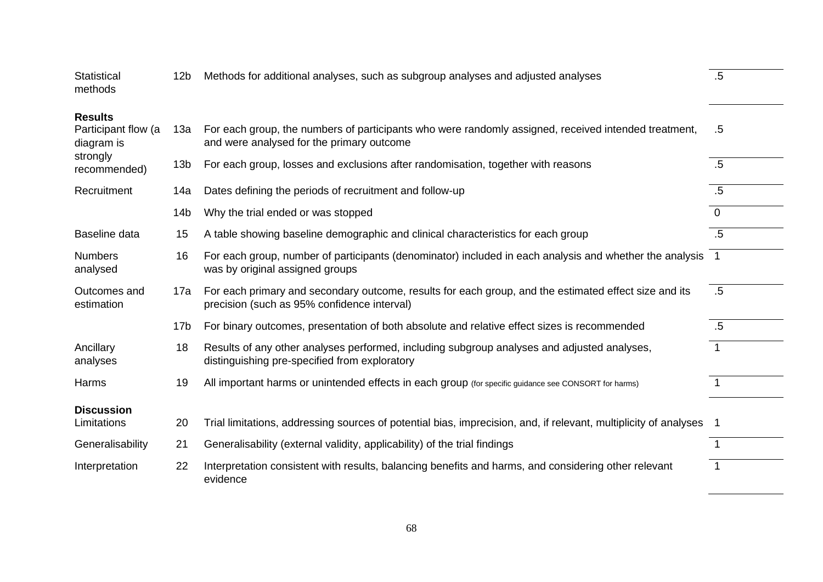| Statistical<br>methods                              | 12 <sub>b</sub> | Methods for additional analyses, such as subgroup analyses and adjusted analyses                                                                     | .5             |
|-----------------------------------------------------|-----------------|------------------------------------------------------------------------------------------------------------------------------------------------------|----------------|
| <b>Results</b><br>Participant flow (a<br>diagram is | 13а             | For each group, the numbers of participants who were randomly assigned, received intended treatment,<br>and were analysed for the primary outcome    | .5             |
| strongly<br>recommended)                            | 13 <sub>b</sub> | For each group, losses and exclusions after randomisation, together with reasons                                                                     | .5             |
| Recruitment                                         | 14a             | Dates defining the periods of recruitment and follow-up                                                                                              | $.5\,$         |
|                                                     | 14 <sub>b</sub> | Why the trial ended or was stopped                                                                                                                   | $\overline{0}$ |
| Baseline data                                       | 15              | A table showing baseline demographic and clinical characteristics for each group                                                                     | $.5\,$         |
| <b>Numbers</b><br>analysed                          | 16              | For each group, number of participants (denominator) included in each analysis and whether the analysis 1<br>was by original assigned groups         |                |
| Outcomes and<br>estimation                          | 17a             | For each primary and secondary outcome, results for each group, and the estimated effect size and its<br>precision (such as 95% confidence interval) | $.5\,$         |
|                                                     | 17 <sub>b</sub> | For binary outcomes, presentation of both absolute and relative effect sizes is recommended                                                          | $.5\,$         |
| Ancillary<br>analyses                               | 18              | Results of any other analyses performed, including subgroup analyses and adjusted analyses,<br>distinguishing pre-specified from exploratory         | 1              |
| Harms                                               | 19              | All important harms or unintended effects in each group (for specific guidance see CONSORT for harms)                                                |                |
| <b>Discussion</b><br>Limitations                    | 20              | Trial limitations, addressing sources of potential bias, imprecision, and, if relevant, multiplicity of analyses                                     |                |
| Generalisability                                    | 21              | Generalisability (external validity, applicability) of the trial findings                                                                            | 1              |
| Interpretation                                      | 22              | Interpretation consistent with results, balancing benefits and harms, and considering other relevant<br>evidence                                     | $\overline{1}$ |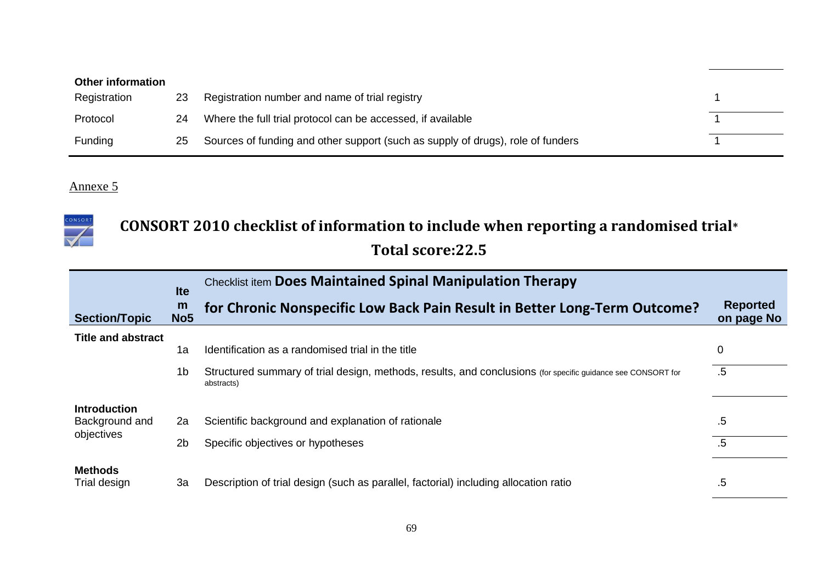| <b>Other information</b> |    |                                                                                 |  |  |  |  |
|--------------------------|----|---------------------------------------------------------------------------------|--|--|--|--|
| Registration             | 23 | Registration number and name of trial registry                                  |  |  |  |  |
| Protocol                 | 24 | Where the full trial protocol can be accessed, if available                     |  |  |  |  |
| Funding                  | 25 | Sources of funding and other support (such as supply of drugs), role of funders |  |  |  |  |



# **CONSORT 2010 checklist of information to include when reporting a randomised trial\***

# **Total score:22.5**

|                                | <b>Ite</b>           | <b>Checklist item Does Maintained Spinal Manipulation Therapy</b>                                                          |                               |
|--------------------------------|----------------------|----------------------------------------------------------------------------------------------------------------------------|-------------------------------|
| <b>Section/Topic</b>           | m<br>No <sub>5</sub> | for Chronic Nonspecific Low Back Pain Result in Better Long-Term Outcome?                                                  | <b>Reported</b><br>on page No |
| <b>Title and abstract</b>      |                      |                                                                                                                            |                               |
|                                | 1a                   | Identification as a randomised trial in the title                                                                          | 0                             |
|                                | 1b                   | Structured summary of trial design, methods, results, and conclusions (for specific guidance see CONSORT for<br>abstracts) | $.5\,$                        |
| <b>Introduction</b>            |                      |                                                                                                                            |                               |
| Background and<br>objectives   | 2a                   | Scientific background and explanation of rationale                                                                         | .5                            |
|                                | 2 <sub>b</sub>       | Specific objectives or hypotheses                                                                                          | .5                            |
| <b>Methods</b><br>Trial design | 3a                   | Description of trial design (such as parallel, factorial) including allocation ratio                                       | .5                            |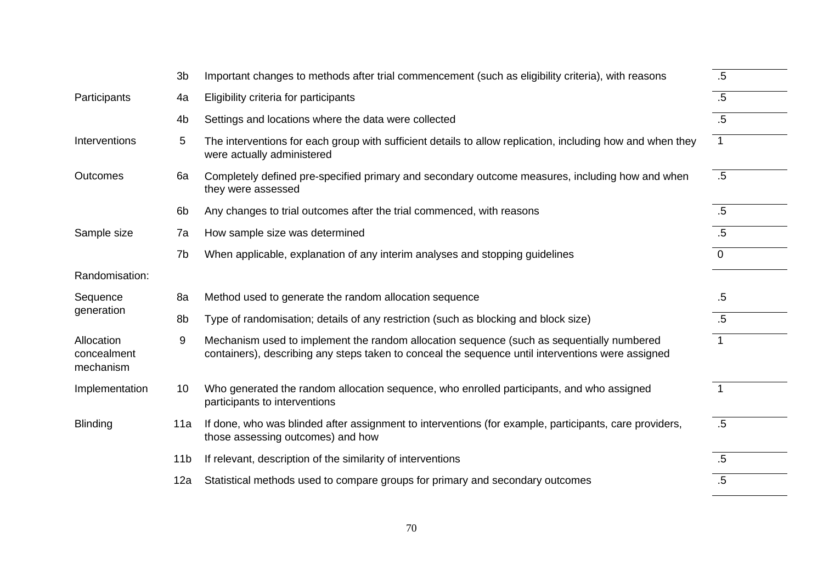|                                        | 3b              | Important changes to methods after trial commencement (such as eligibility criteria), with reasons                                                                                             | $.5\,$         |
|----------------------------------------|-----------------|------------------------------------------------------------------------------------------------------------------------------------------------------------------------------------------------|----------------|
| Participants                           | 4a              | Eligibility criteria for participants                                                                                                                                                          | $.5\,$         |
|                                        | 4 <sub>b</sub>  | Settings and locations where the data were collected                                                                                                                                           | $.5\,$         |
| Interventions                          | 5               | The interventions for each group with sufficient details to allow replication, including how and when they<br>were actually administered                                                       | $\overline{1}$ |
| Outcomes                               | 6a              | Completely defined pre-specified primary and secondary outcome measures, including how and when<br>they were assessed                                                                          | .5             |
|                                        | 6 <sub>b</sub>  | Any changes to trial outcomes after the trial commenced, with reasons                                                                                                                          | $.5\,$         |
| Sample size                            | 7a              | How sample size was determined                                                                                                                                                                 | $.5\,$         |
|                                        | 7b              | When applicable, explanation of any interim analyses and stopping guidelines                                                                                                                   | $\mathbf{0}$   |
| Randomisation:                         |                 |                                                                                                                                                                                                |                |
| Sequence                               | 8a              | Method used to generate the random allocation sequence                                                                                                                                         | $.5\,$         |
| generation                             | 8b              | Type of randomisation; details of any restriction (such as blocking and block size)                                                                                                            | $.5\,$         |
| Allocation<br>concealment<br>mechanism | 9               | Mechanism used to implement the random allocation sequence (such as sequentially numbered<br>containers), describing any steps taken to conceal the sequence until interventions were assigned | $\mathbf{1}$   |
| Implementation                         | 10              | Who generated the random allocation sequence, who enrolled participants, and who assigned<br>participants to interventions                                                                     | $\overline{1}$ |
| <b>Blinding</b>                        | 11a             | If done, who was blinded after assignment to interventions (for example, participants, care providers,<br>those assessing outcomes) and how                                                    | $.5\,$         |
|                                        | 11 <sub>b</sub> | If relevant, description of the similarity of interventions                                                                                                                                    | $.5\,$         |
|                                        | 12a             | Statistical methods used to compare groups for primary and secondary outcomes                                                                                                                  | $.5\,$         |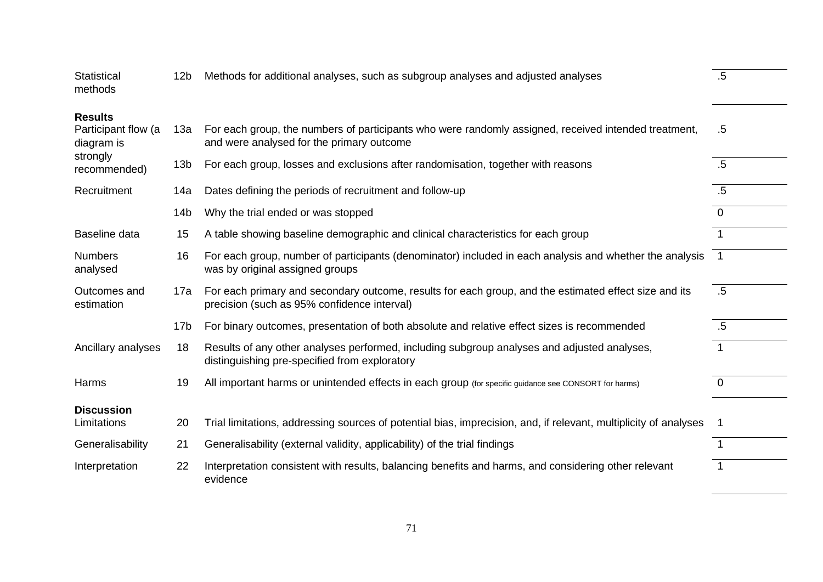| Statistical<br>methods                              | 12 <sub>b</sub> | Methods for additional analyses, such as subgroup analyses and adjusted analyses                                                                     | $.5\,$         |
|-----------------------------------------------------|-----------------|------------------------------------------------------------------------------------------------------------------------------------------------------|----------------|
| <b>Results</b><br>Participant flow (a<br>diagram is | 13а             | For each group, the numbers of participants who were randomly assigned, received intended treatment,<br>and were analysed for the primary outcome    | .5             |
| strongly<br>recommended)                            | 13 <sub>b</sub> | For each group, losses and exclusions after randomisation, together with reasons                                                                     | .5             |
| Recruitment                                         | 14a             | Dates defining the periods of recruitment and follow-up                                                                                              | .5             |
|                                                     | 14 <sub>b</sub> | Why the trial ended or was stopped                                                                                                                   | $\Omega$       |
| Baseline data                                       | 15              | A table showing baseline demographic and clinical characteristics for each group                                                                     |                |
| <b>Numbers</b><br>analysed                          | 16              | For each group, number of participants (denominator) included in each analysis and whether the analysis<br>was by original assigned groups           | $\overline{1}$ |
| Outcomes and<br>estimation                          | 17a             | For each primary and secondary outcome, results for each group, and the estimated effect size and its<br>precision (such as 95% confidence interval) | $.5\,$         |
|                                                     | 17 <sub>b</sub> | For binary outcomes, presentation of both absolute and relative effect sizes is recommended                                                          | $.5\,$         |
| Ancillary analyses                                  | 18              | Results of any other analyses performed, including subgroup analyses and adjusted analyses,<br>distinguishing pre-specified from exploratory         | $\overline{1}$ |
| Harms                                               | 19              | All important harms or unintended effects in each group (for specific guidance see CONSORT for harms)                                                | $\overline{0}$ |
| <b>Discussion</b><br>Limitations                    | 20              | Trial limitations, addressing sources of potential bias, imprecision, and, if relevant, multiplicity of analyses                                     | -1             |
| Generalisability                                    | 21              | Generalisability (external validity, applicability) of the trial findings                                                                            | $\mathbf 1$    |
| Interpretation                                      | 22              | Interpretation consistent with results, balancing benefits and harms, and considering other relevant<br>evidence                                     | $\overline{1}$ |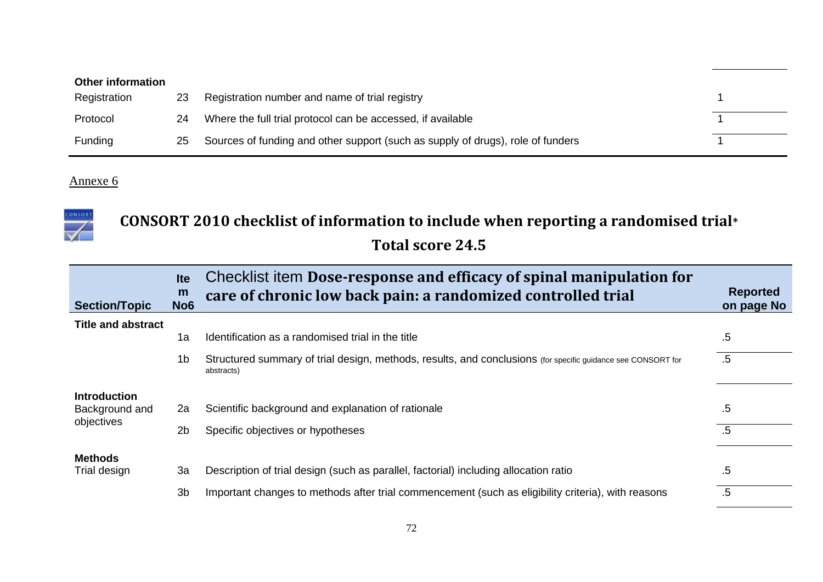| <b>Other information</b> |    |                                                                                 |  |
|--------------------------|----|---------------------------------------------------------------------------------|--|
| Registration             | 23 | Registration number and name of trial registry                                  |  |
| Protocol                 | 24 | Where the full trial protocol can be accessed, if available                     |  |
| Funding                  | 25 | Sources of funding and other support (such as supply of drugs), role of funders |  |



## **CONSORT 2010 checklist of information to include when reporting a randomised trial\* Total score 24.5**

| <b>Section/Topic</b>                  | <b>Ite</b><br>m<br>No <sub>6</sub> | Checklist item Dose-response and efficacy of spinal manipulation for<br>care of chronic low back pain: a randomized controlled trial | <b>Reported</b><br>on page No |
|---------------------------------------|------------------------------------|--------------------------------------------------------------------------------------------------------------------------------------|-------------------------------|
| <b>Title and abstract</b>             |                                    |                                                                                                                                      |                               |
|                                       | 1a                                 | Identification as a randomised trial in the title                                                                                    | .5                            |
|                                       | 1b                                 | Structured summary of trial design, methods, results, and conclusions (for specific guidance see CONSORT for<br>abstracts)           | $.5\,$                        |
| <b>Introduction</b><br>Background and | 2a                                 | Scientific background and explanation of rationale                                                                                   | .5                            |
| objectives                            | 2 <sub>b</sub>                     | Specific objectives or hypotheses                                                                                                    | $.5\,$                        |
| <b>Methods</b>                        |                                    |                                                                                                                                      |                               |
| Trial design                          | 3a                                 | Description of trial design (such as parallel, factorial) including allocation ratio                                                 | .5                            |
|                                       | 3 <sub>b</sub>                     | Important changes to methods after trial commencement (such as eligibility criteria), with reasons                                   | $.5\,$                        |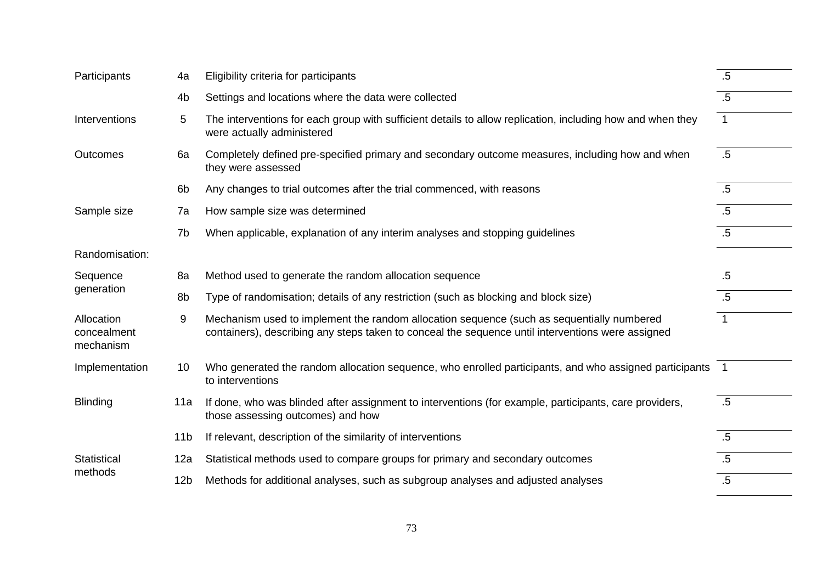| Participants                           | 4a              | Eligibility criteria for participants                                                                                                                                                          | $.5\,$         |
|----------------------------------------|-----------------|------------------------------------------------------------------------------------------------------------------------------------------------------------------------------------------------|----------------|
|                                        | 4 <sub>b</sub>  | Settings and locations where the data were collected                                                                                                                                           | $.5\,$         |
| Interventions                          | 5               | The interventions for each group with sufficient details to allow replication, including how and when they<br>were actually administered                                                       | $\overline{1}$ |
| <b>Outcomes</b>                        | 6a              | Completely defined pre-specified primary and secondary outcome measures, including how and when<br>they were assessed                                                                          | .5             |
|                                        | 6b              | Any changes to trial outcomes after the trial commenced, with reasons                                                                                                                          | .5             |
| Sample size                            | 7a              | How sample size was determined                                                                                                                                                                 | $.5\,$         |
|                                        | 7b              | When applicable, explanation of any interim analyses and stopping guidelines                                                                                                                   | $.5\,$         |
| Randomisation:                         |                 |                                                                                                                                                                                                |                |
| Sequence                               | 8a              | Method used to generate the random allocation sequence                                                                                                                                         | $.5\,$         |
| generation                             | 8b              | Type of randomisation; details of any restriction (such as blocking and block size)                                                                                                            | $.5\,$         |
| Allocation<br>concealment<br>mechanism | 9               | Mechanism used to implement the random allocation sequence (such as sequentially numbered<br>containers), describing any steps taken to conceal the sequence until interventions were assigned | 1              |
| Implementation                         | 10              | Who generated the random allocation sequence, who enrolled participants, and who assigned participants 1<br>to interventions                                                                   |                |
| <b>Blinding</b>                        | 11a             | If done, who was blinded after assignment to interventions (for example, participants, care providers,<br>those assessing outcomes) and how                                                    | .5             |
|                                        | 11 <sub>b</sub> | If relevant, description of the similarity of interventions                                                                                                                                    | $.5\,$         |
| Statistical                            | 12a             | Statistical methods used to compare groups for primary and secondary outcomes                                                                                                                  | $.5\,$         |
| methods                                | 12 <sub>b</sub> | Methods for additional analyses, such as subgroup analyses and adjusted analyses                                                                                                               | $.5\,$         |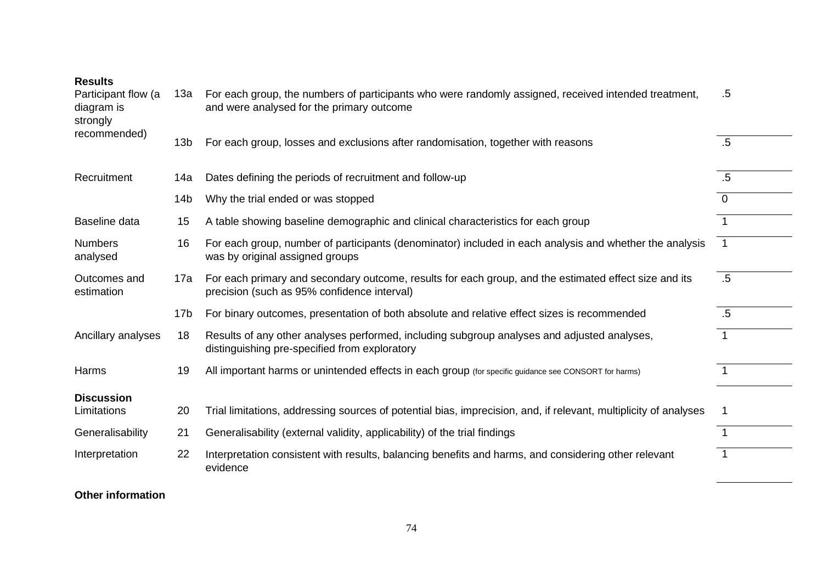**Results**

| Participant flow (a<br>diagram is<br>strongly | 13a             | For each group, the numbers of participants who were randomly assigned, received intended treatment,<br>and were analysed for the primary outcome    | .5          |
|-----------------------------------------------|-----------------|------------------------------------------------------------------------------------------------------------------------------------------------------|-------------|
| recommended)                                  | 13 <sub>b</sub> | For each group, losses and exclusions after randomisation, together with reasons                                                                     | .5          |
| Recruitment                                   | 14a             | Dates defining the periods of recruitment and follow-up                                                                                              | $.5\,$      |
|                                               | 14 <sub>b</sub> | Why the trial ended or was stopped                                                                                                                   | $\mathbf 0$ |
| Baseline data                                 | 15              | A table showing baseline demographic and clinical characteristics for each group                                                                     | 1           |
| <b>Numbers</b><br>analysed                    | 16              | For each group, number of participants (denominator) included in each analysis and whether the analysis<br>was by original assigned groups           | 1           |
| Outcomes and<br>estimation                    | 17a             | For each primary and secondary outcome, results for each group, and the estimated effect size and its<br>precision (such as 95% confidence interval) | .5          |
|                                               | 17 <sub>b</sub> | For binary outcomes, presentation of both absolute and relative effect sizes is recommended                                                          | $.5\,$      |
| Ancillary analyses                            | 18              | Results of any other analyses performed, including subgroup analyses and adjusted analyses,<br>distinguishing pre-specified from exploratory         | 1           |
| Harms                                         | 19              | All important harms or unintended effects in each group (for specific guidance see CONSORT for harms)                                                |             |
| <b>Discussion</b>                             |                 |                                                                                                                                                      |             |
| Limitations                                   | 20              | Trial limitations, addressing sources of potential bias, imprecision, and, if relevant, multiplicity of analyses                                     |             |
| Generalisability                              | 21              | Generalisability (external validity, applicability) of the trial findings                                                                            | 1           |
| Interpretation                                | 22              | Interpretation consistent with results, balancing benefits and harms, and considering other relevant<br>evidence                                     | 1           |

**Other information**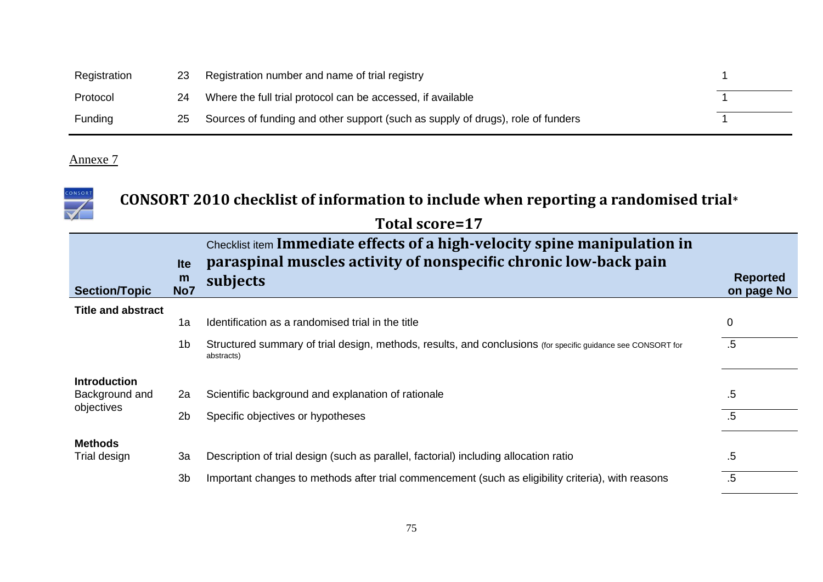| Registration   | 23 | Registration number and name of trial registry                                  |  |
|----------------|----|---------------------------------------------------------------------------------|--|
| Protocol       | 24 | Where the full trial protocol can be accessed, if available                     |  |
| <b>Funding</b> | 25 | Sources of funding and other support (such as supply of drugs), role of funders |  |

| CONSOR                    |                        | CONSORT 2010 checklist of information to include when reporting a randomised trial*                                                                       |                               |
|---------------------------|------------------------|-----------------------------------------------------------------------------------------------------------------------------------------------------------|-------------------------------|
|                           |                        | Total score=17                                                                                                                                            |                               |
| <b>Section/Topic</b>      | <b>Ite</b><br>m<br>No7 | Checklist item Immediate effects of a high-velocity spine manipulation in<br>paraspinal muscles activity of nonspecific chronic low-back pain<br>subjects | <b>Reported</b><br>on page No |
| <b>Title and abstract</b> | 1a                     | Identification as a randomised trial in the title                                                                                                         | $\mathbf 0$                   |
|                           | 1 <sub>b</sub>         | Structured summary of trial design, methods, results, and conclusions (for specific guidance see CONSORT for<br>abstracts)                                | .5                            |
| <b>Introduction</b>       |                        |                                                                                                                                                           |                               |
| Background and            | 2a                     | Scientific background and explanation of rationale                                                                                                        | .5                            |
| objectives                | 2 <sub>b</sub>         | Specific objectives or hypotheses                                                                                                                         | $.5\,$                        |
| <b>Methods</b>            |                        |                                                                                                                                                           |                               |
| Trial design              | 3a                     | Description of trial design (such as parallel, factorial) including allocation ratio                                                                      | .5                            |
|                           | 3b                     | Important changes to methods after trial commencement (such as eligibility criteria), with reasons                                                        | $.5\,$                        |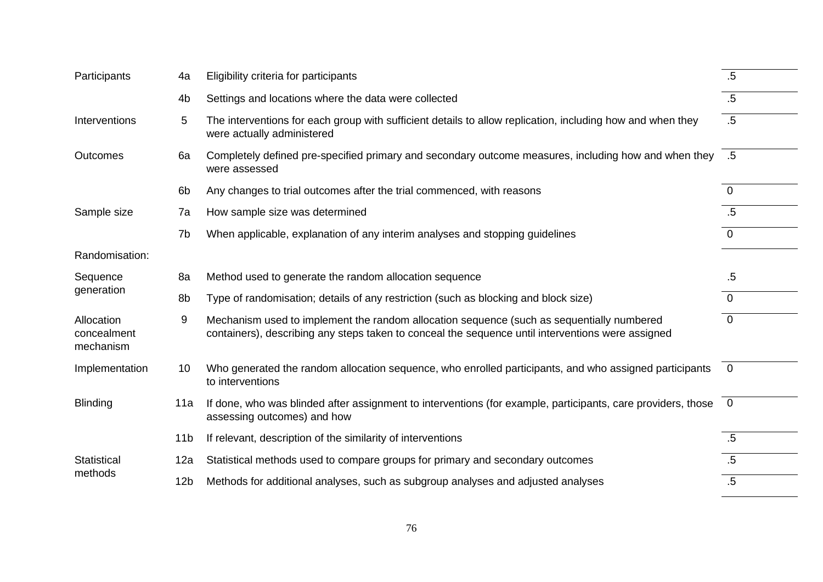| Participants                           | 4a              | Eligibility criteria for participants                                                                                                                                                          | $.5\,$         |
|----------------------------------------|-----------------|------------------------------------------------------------------------------------------------------------------------------------------------------------------------------------------------|----------------|
|                                        | 4 <sub>b</sub>  | Settings and locations where the data were collected                                                                                                                                           | $.5\,$         |
| Interventions                          | 5               | The interventions for each group with sufficient details to allow replication, including how and when they<br>were actually administered                                                       | $.5\,$         |
| Outcomes                               | 6a              | 5. Completely defined pre-specified primary and secondary outcome measures, including how and when they<br>were assessed                                                                       |                |
|                                        | 6b              | Any changes to trial outcomes after the trial commenced, with reasons                                                                                                                          | $\mathbf{0}$   |
| Sample size                            | 7a              | How sample size was determined                                                                                                                                                                 | $.5\,$         |
|                                        | 7b              | When applicable, explanation of any interim analyses and stopping guidelines                                                                                                                   | $\Omega$       |
| Randomisation:                         |                 |                                                                                                                                                                                                |                |
| Sequence                               | 8a              | Method used to generate the random allocation sequence                                                                                                                                         | $.5\,$         |
| generation                             | 8b              | Type of randomisation; details of any restriction (such as blocking and block size)                                                                                                            | $\mathbf{0}$   |
| Allocation<br>concealment<br>mechanism | 9               | Mechanism used to implement the random allocation sequence (such as sequentially numbered<br>containers), describing any steps taken to conceal the sequence until interventions were assigned | $\mathbf 0$    |
| Implementation                         | 10              | Who generated the random allocation sequence, who enrolled participants, and who assigned participants<br>to interventions                                                                     | $\overline{0}$ |
| <b>Blinding</b>                        | 11a             | If done, who was blinded after assignment to interventions (for example, participants, care providers, those<br>assessing outcomes) and how                                                    | $\overline{0}$ |
|                                        | 11 <sub>b</sub> | If relevant, description of the similarity of interventions                                                                                                                                    | $.5\,$         |
| <b>Statistical</b>                     | 12a             | Statistical methods used to compare groups for primary and secondary outcomes                                                                                                                  | $.5\,$         |
| methods                                | 12 <sub>b</sub> | Methods for additional analyses, such as subgroup analyses and adjusted analyses                                                                                                               | $.5\,$         |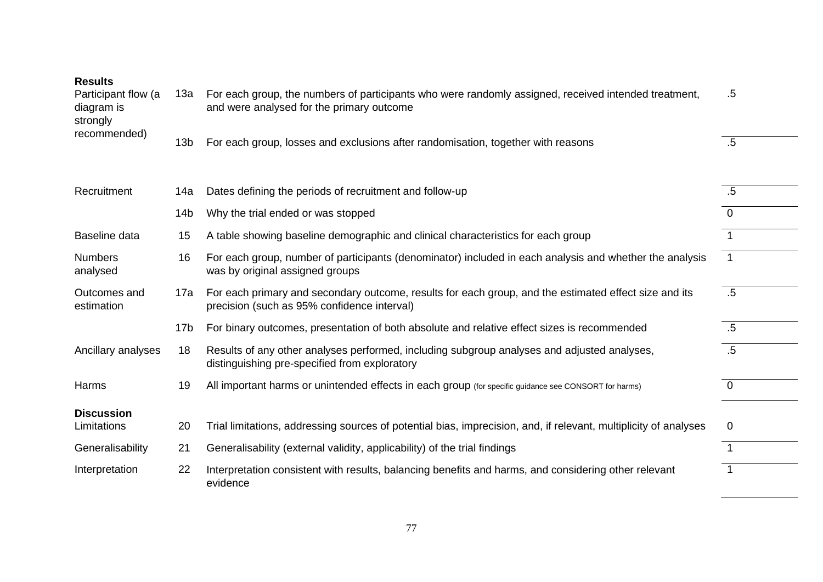| <b>Results</b><br>Participant flow (a<br>diagram is<br>strongly | 13a             | For each group, the numbers of participants who were randomly assigned, received intended treatment,<br>and were analysed for the primary outcome    | .5             |
|-----------------------------------------------------------------|-----------------|------------------------------------------------------------------------------------------------------------------------------------------------------|----------------|
| recommended)                                                    | 13 <sub>b</sub> | For each group, losses and exclusions after randomisation, together with reasons                                                                     | $.5\,$         |
| Recruitment                                                     | 14a             | Dates defining the periods of recruitment and follow-up                                                                                              | .5             |
|                                                                 | 14 <sub>b</sub> | Why the trial ended or was stopped                                                                                                                   | $\Omega$       |
| Baseline data                                                   | 15              | A table showing baseline demographic and clinical characteristics for each group                                                                     | $\overline{1}$ |
| <b>Numbers</b><br>analysed                                      | 16              | For each group, number of participants (denominator) included in each analysis and whether the analysis<br>was by original assigned groups           | $\overline{1}$ |
| Outcomes and<br>estimation                                      | 17a             | For each primary and secondary outcome, results for each group, and the estimated effect size and its<br>precision (such as 95% confidence interval) | $.5\,$         |
|                                                                 | 17 <sub>b</sub> | For binary outcomes, presentation of both absolute and relative effect sizes is recommended                                                          | $.5\,$         |
| Ancillary analyses                                              | 18              | Results of any other analyses performed, including subgroup analyses and adjusted analyses,<br>distinguishing pre-specified from exploratory         | $.5\,$         |
| Harms                                                           | 19              | All important harms or unintended effects in each group (for specific guidance see CONSORT for harms)                                                | $\overline{0}$ |
| <b>Discussion</b><br>Limitations                                | 20              | Trial limitations, addressing sources of potential bias, imprecision, and, if relevant, multiplicity of analyses                                     | $\Omega$       |
| Generalisability                                                | 21              | Generalisability (external validity, applicability) of the trial findings                                                                            | $\mathbf 1$    |
| Interpretation                                                  | 22              | Interpretation consistent with results, balancing benefits and harms, and considering other relevant<br>evidence                                     | $\overline{1}$ |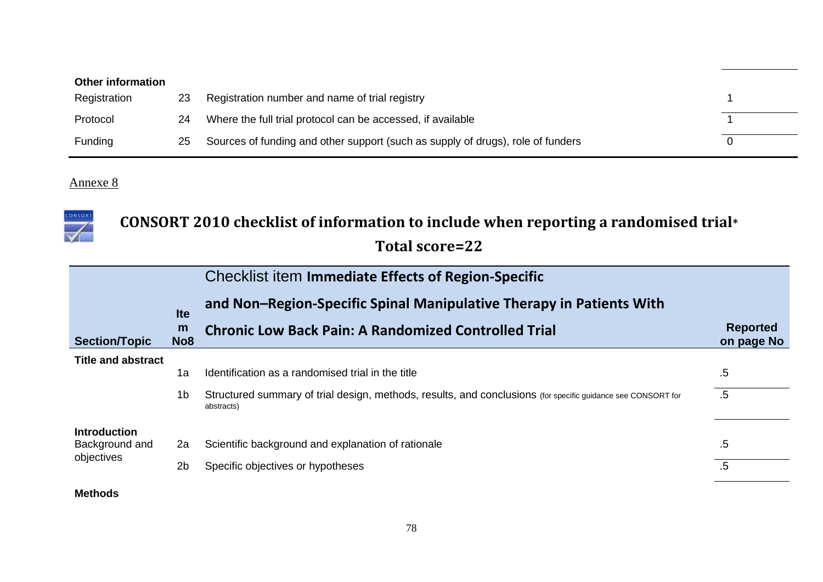| <b>Other information</b> |    |                                                                                 |  |
|--------------------------|----|---------------------------------------------------------------------------------|--|
| Registration             | 23 | Registration number and name of trial registry                                  |  |
| Protocol                 | 24 | Where the full trial protocol can be accessed, if available                     |  |
| Funding                  | 25 | Sources of funding and other support (such as supply of drugs), role of funders |  |



# **CONSORT 2010 checklist of information to include when reporting a randomised trial\***

**Total score=22**

|                           |                      | <b>Checklist item Immediate Effects of Region-Specific</b>                                                                 |                               |
|---------------------------|----------------------|----------------------------------------------------------------------------------------------------------------------------|-------------------------------|
|                           | <b>Ite</b>           | and Non-Region-Specific Spinal Manipulative Therapy in Patients With                                                       |                               |
| <b>Section/Topic</b>      | m<br>No <sub>8</sub> | <b>Chronic Low Back Pain: A Randomized Controlled Trial</b>                                                                | <b>Reported</b><br>on page No |
| <b>Title and abstract</b> |                      |                                                                                                                            |                               |
|                           | 1a                   | Identification as a randomised trial in the title                                                                          | .5                            |
|                           | 1b                   | Structured summary of trial design, methods, results, and conclusions (for specific guidance see CONSORT for<br>abstracts) | $.5\,$                        |
| <b>Introduction</b>       |                      |                                                                                                                            |                               |
| Background and            | 2a                   | Scientific background and explanation of rationale                                                                         | .5                            |
| objectives                | 2b                   | Specific objectives or hypotheses                                                                                          | $.5\,$                        |
|                           |                      |                                                                                                                            |                               |

**Methods**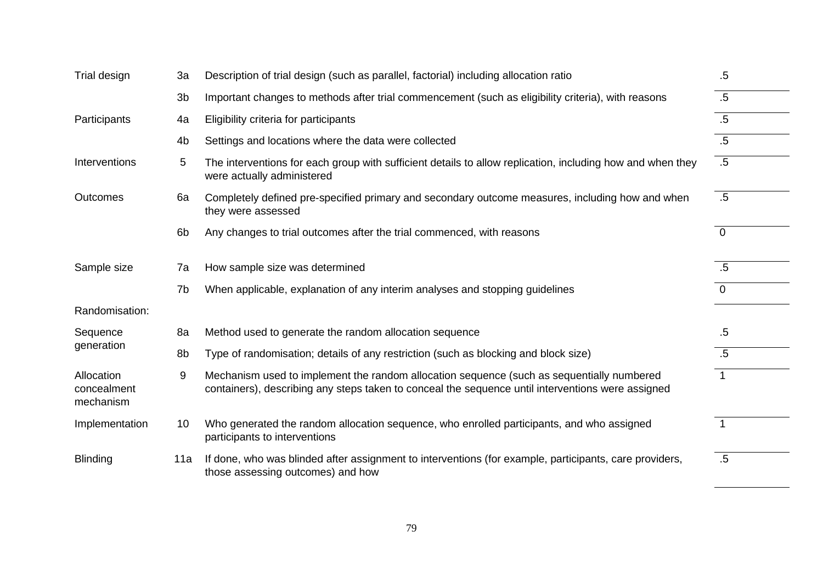| Trial design                           | 3a             | Description of trial design (such as parallel, factorial) including allocation ratio                                                                                                           | $.5\,$         |
|----------------------------------------|----------------|------------------------------------------------------------------------------------------------------------------------------------------------------------------------------------------------|----------------|
|                                        | 3b             | Important changes to methods after trial commencement (such as eligibility criteria), with reasons                                                                                             | $.5\,$         |
| Participants                           | 4a             | Eligibility criteria for participants                                                                                                                                                          | $.5\,$         |
|                                        | 4b             | Settings and locations where the data were collected                                                                                                                                           | $.5\,$         |
| Interventions                          | 5              | The interventions for each group with sufficient details to allow replication, including how and when they<br>were actually administered                                                       | $.5\,$         |
| <b>Outcomes</b>                        | 6a             | Completely defined pre-specified primary and secondary outcome measures, including how and when<br>they were assessed                                                                          | $.5\,$         |
|                                        | 6 <sub>b</sub> | Any changes to trial outcomes after the trial commenced, with reasons                                                                                                                          | $\overline{0}$ |
| Sample size                            | 7a             | How sample size was determined                                                                                                                                                                 | .5             |
|                                        | 7b             | When applicable, explanation of any interim analyses and stopping guidelines                                                                                                                   | $\Omega$       |
| Randomisation:                         |                |                                                                                                                                                                                                |                |
| Sequence                               | 8a             | Method used to generate the random allocation sequence                                                                                                                                         | $.5\,$         |
| generation                             | 8b             | Type of randomisation; details of any restriction (such as blocking and block size)                                                                                                            | $.5\,$         |
| Allocation<br>concealment<br>mechanism | 9              | Mechanism used to implement the random allocation sequence (such as sequentially numbered<br>containers), describing any steps taken to conceal the sequence until interventions were assigned |                |
| Implementation                         | 10             | Who generated the random allocation sequence, who enrolled participants, and who assigned<br>participants to interventions                                                                     | $\mathbf 1$    |
| <b>Blinding</b>                        | 11a            | If done, who was blinded after assignment to interventions (for example, participants, care providers,<br>those assessing outcomes) and how                                                    | $.5\,$         |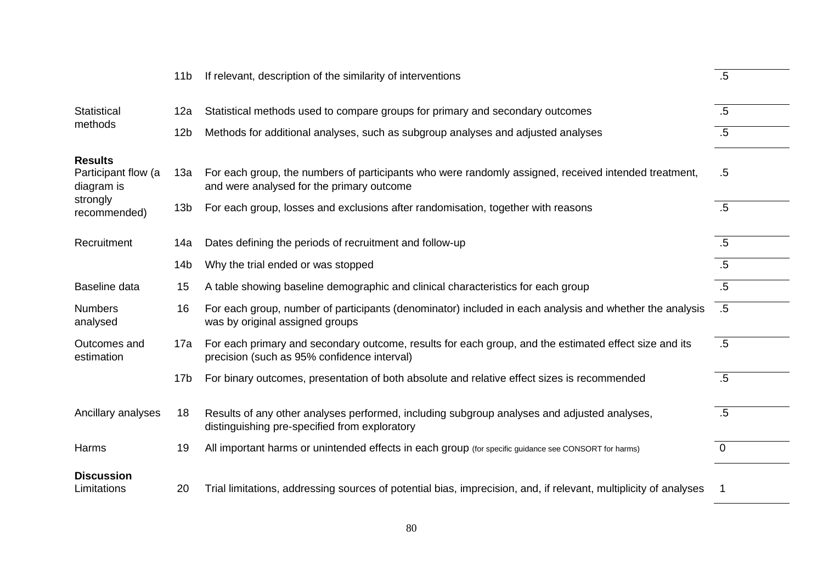|                                                                 | 11 <sub>b</sub> | If relevant, description of the similarity of interventions                                                                                          | .5             |
|-----------------------------------------------------------------|-----------------|------------------------------------------------------------------------------------------------------------------------------------------------------|----------------|
| <b>Statistical</b>                                              | 12a             | Statistical methods used to compare groups for primary and secondary outcomes                                                                        | $.5\,$         |
| methods                                                         | 12 <sub>b</sub> | Methods for additional analyses, such as subgroup analyses and adjusted analyses                                                                     | $.5\,$         |
| <b>Results</b><br>Participant flow (a<br>diagram is<br>strongly | 13a             | For each group, the numbers of participants who were randomly assigned, received intended treatment,<br>and were analysed for the primary outcome    | $.5\,$         |
| recommended)                                                    | 13 <sub>b</sub> | For each group, losses and exclusions after randomisation, together with reasons                                                                     | .5             |
| Recruitment                                                     | 14a             | Dates defining the periods of recruitment and follow-up                                                                                              | $.5\,$         |
|                                                                 | 14 <sub>b</sub> | Why the trial ended or was stopped                                                                                                                   | .5             |
| Baseline data                                                   | 15              | A table showing baseline demographic and clinical characteristics for each group                                                                     | $.5\,$         |
| <b>Numbers</b><br>analysed                                      | 16              | For each group, number of participants (denominator) included in each analysis and whether the analysis<br>was by original assigned groups           | $.5\,$         |
| Outcomes and<br>estimation                                      | 17a             | For each primary and secondary outcome, results for each group, and the estimated effect size and its<br>precision (such as 95% confidence interval) | $.5\,$         |
|                                                                 | 17 <sub>b</sub> | For binary outcomes, presentation of both absolute and relative effect sizes is recommended                                                          | $.5\,$         |
| Ancillary analyses                                              | 18              | Results of any other analyses performed, including subgroup analyses and adjusted analyses,<br>distinguishing pre-specified from exploratory         | .5             |
| Harms                                                           | 19              | All important harms or unintended effects in each group (for specific guidance see CONSORT for harms)                                                | $\overline{0}$ |
| <b>Discussion</b><br>Limitations                                | 20              | Trial limitations, addressing sources of potential bias, imprecision, and, if relevant, multiplicity of analyses                                     |                |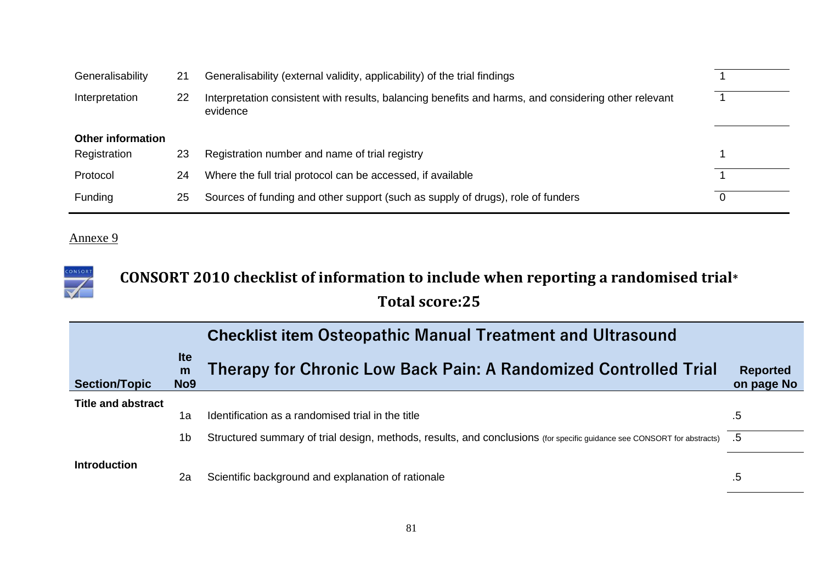| Generalisability         | 21 | Generalisability (external validity, applicability) of the trial findings                                        |   |
|--------------------------|----|------------------------------------------------------------------------------------------------------------------|---|
| Interpretation           | 22 | Interpretation consistent with results, balancing benefits and harms, and considering other relevant<br>evidence |   |
| <b>Other information</b> |    |                                                                                                                  |   |
| Registration             | 23 | Registration number and name of trial registry                                                                   |   |
| Protocol                 | 24 | Where the full trial protocol can be accessed, if available                                                      |   |
| Funding                  | 25 | Sources of funding and other support (such as supply of drugs), role of funders                                  | 0 |

#### CONSORT **CONSORT 2010 checklist of information to include when reporting a randomised trial\* Total score:25**

|                           |                                    | <b>Checklist item Osteopathic Manual Treatment and Ultrasound</b>                                                       |                               |
|---------------------------|------------------------------------|-------------------------------------------------------------------------------------------------------------------------|-------------------------------|
| <b>Section/Topic</b>      | <b>Ite</b><br>m<br>No <sub>9</sub> | <b>Therapy for Chronic Low Back Pain: A Randomized Controlled Trial</b>                                                 | <b>Reported</b><br>on page No |
| <b>Title and abstract</b> |                                    |                                                                                                                         |                               |
|                           | 1a                                 | Identification as a randomised trial in the title                                                                       | $.5\,$                        |
|                           | 1b                                 | Structured summary of trial design, methods, results, and conclusions (for specific guidance see CONSORT for abstracts) | .5                            |
| <b>Introduction</b>       | 2a                                 | Scientific background and explanation of rationale                                                                      | $.5\,$                        |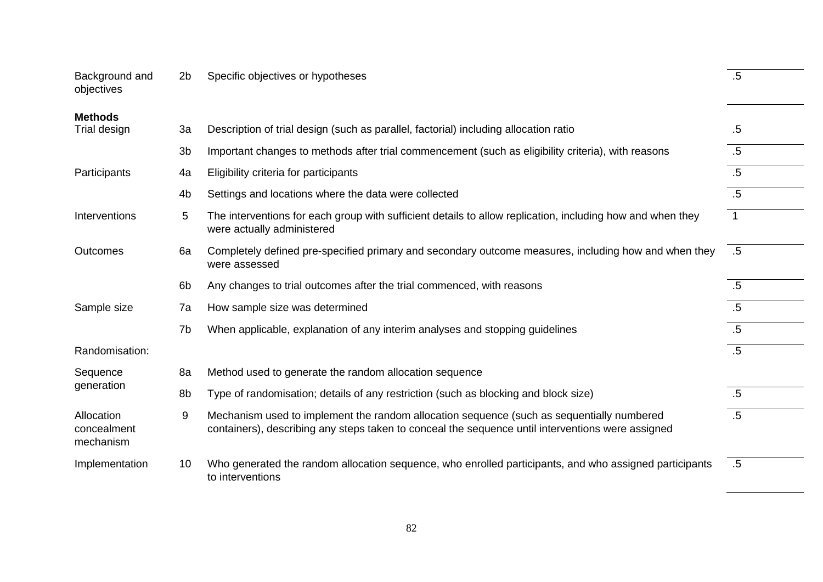| Background and<br>objectives           | 2 <sub>b</sub> | Specific objectives or hypotheses                                                                                                                                                              | .5             |
|----------------------------------------|----------------|------------------------------------------------------------------------------------------------------------------------------------------------------------------------------------------------|----------------|
| <b>Methods</b><br>Trial design         | 3a             | Description of trial design (such as parallel, factorial) including allocation ratio                                                                                                           | $.5\,$         |
|                                        |                |                                                                                                                                                                                                |                |
|                                        | 3 <sub>b</sub> | Important changes to methods after trial commencement (such as eligibility criteria), with reasons                                                                                             | .5             |
| Participants                           | 4a             | Eligibility criteria for participants                                                                                                                                                          | $.5\,$         |
|                                        | 4 <sub>b</sub> | Settings and locations where the data were collected                                                                                                                                           | .5             |
| Interventions                          | 5              | The interventions for each group with sufficient details to allow replication, including how and when they<br>were actually administered                                                       | $\overline{1}$ |
| <b>Outcomes</b>                        | 6a             | Completely defined pre-specified primary and secondary outcome measures, including how and when they<br>were assessed                                                                          | $.5\,$         |
|                                        | 6 <sub>b</sub> | Any changes to trial outcomes after the trial commenced, with reasons                                                                                                                          | .5             |
| Sample size                            | 7a             | How sample size was determined                                                                                                                                                                 | .5             |
|                                        | 7b             | When applicable, explanation of any interim analyses and stopping guidelines                                                                                                                   | $.5\,$         |
| Randomisation:                         |                |                                                                                                                                                                                                | $.5\,$         |
| Sequence                               | 8a             | Method used to generate the random allocation sequence                                                                                                                                         |                |
| generation                             | 8b             | Type of randomisation; details of any restriction (such as blocking and block size)                                                                                                            | $.5\,$         |
| Allocation<br>concealment<br>mechanism | 9              | Mechanism used to implement the random allocation sequence (such as sequentially numbered<br>containers), describing any steps taken to conceal the sequence until interventions were assigned | $.5\,$         |
| Implementation                         | 10             | Who generated the random allocation sequence, who enrolled participants, and who assigned participants<br>to interventions                                                                     | .5             |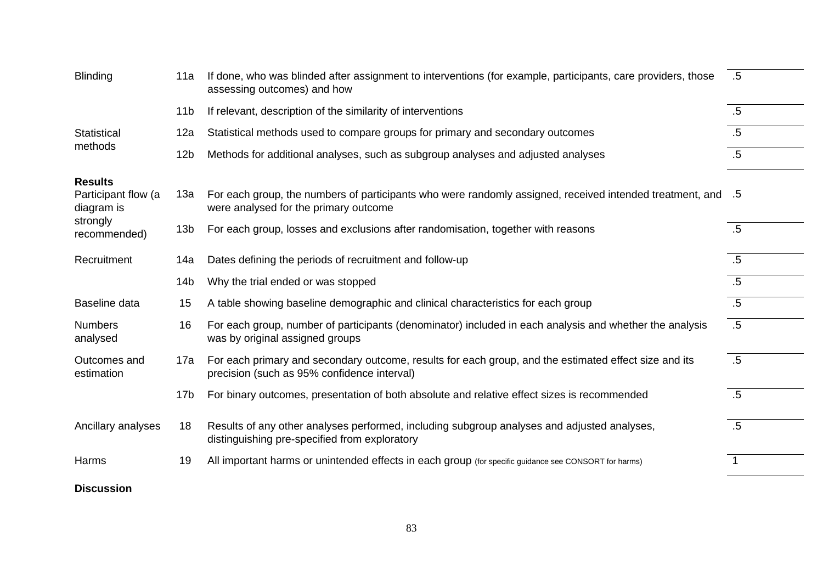| <b>Blinding</b>                                                 | 11a             | If done, who was blinded after assignment to interventions (for example, participants, care providers, those<br>assessing outcomes) and how            | $.5\,$ |
|-----------------------------------------------------------------|-----------------|--------------------------------------------------------------------------------------------------------------------------------------------------------|--------|
|                                                                 | 11 <sub>b</sub> | If relevant, description of the similarity of interventions                                                                                            | .5     |
| Statistical                                                     | 12a             | Statistical methods used to compare groups for primary and secondary outcomes                                                                          | $.5\,$ |
| methods                                                         | 12 <sub>b</sub> | Methods for additional analyses, such as subgroup analyses and adjusted analyses                                                                       | $.5\,$ |
| <b>Results</b><br>Participant flow (a<br>diagram is<br>strongly | 13a             | 5. For each group, the numbers of participants who were randomly assigned, received intended treatment, and 5<br>were analysed for the primary outcome |        |
| recommended)                                                    | 13 <sub>b</sub> | For each group, losses and exclusions after randomisation, together with reasons                                                                       | .5     |
| Recruitment                                                     | 14a             | Dates defining the periods of recruitment and follow-up                                                                                                | $.5\,$ |
|                                                                 | 14 <sub>b</sub> | Why the trial ended or was stopped                                                                                                                     | .5     |
| Baseline data                                                   | 15              | A table showing baseline demographic and clinical characteristics for each group                                                                       | $.5\,$ |
| <b>Numbers</b><br>analysed                                      | 16              | For each group, number of participants (denominator) included in each analysis and whether the analysis<br>was by original assigned groups             | .5     |
| Outcomes and<br>estimation                                      | 17a             | For each primary and secondary outcome, results for each group, and the estimated effect size and its<br>precision (such as 95% confidence interval)   | $.5\,$ |
|                                                                 | 17 <sub>b</sub> | For binary outcomes, presentation of both absolute and relative effect sizes is recommended                                                            | .5     |
| Ancillary analyses                                              | 18              | Results of any other analyses performed, including subgroup analyses and adjusted analyses,<br>distinguishing pre-specified from exploratory           | .5     |
| Harms                                                           | 19              | All important harms or unintended effects in each group (for specific guidance see CONSORT for harms)                                                  |        |
| <b>Discussion</b>                                               |                 |                                                                                                                                                        |        |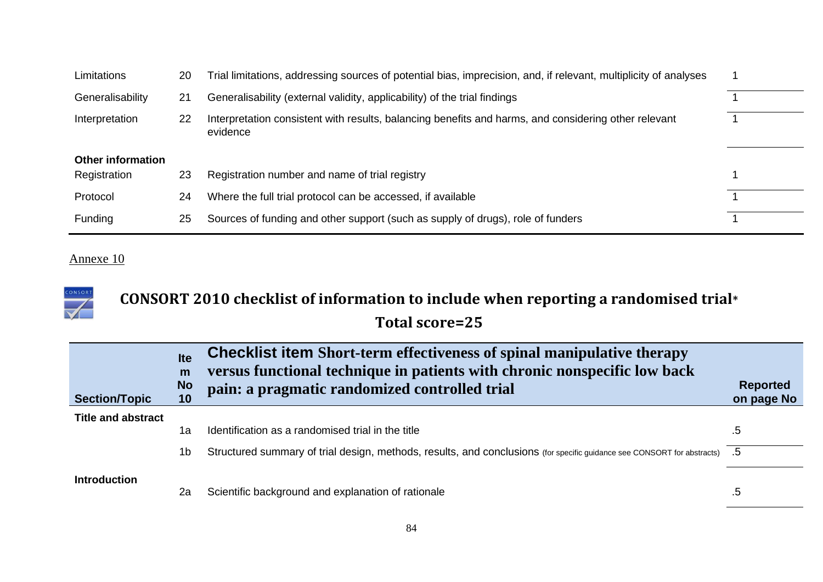| Limitations              | 20 | Trial limitations, addressing sources of potential bias, imprecision, and, if relevant, multiplicity of analyses |  |
|--------------------------|----|------------------------------------------------------------------------------------------------------------------|--|
| Generalisability         | 21 | Generalisability (external validity, applicability) of the trial findings                                        |  |
| Interpretation           | 22 | Interpretation consistent with results, balancing benefits and harms, and considering other relevant<br>evidence |  |
| <b>Other information</b> |    |                                                                                                                  |  |
| Registration             | 23 | Registration number and name of trial registry                                                                   |  |
| Protocol                 | 24 | Where the full trial protocol can be accessed, if available                                                      |  |
| Funding                  | 25 | Sources of funding and other support (such as supply of drugs), role of funders                                  |  |

| CONSORT | CONSORT 2010 checklist of information to include when reporting a randomised trial $*$ |  |
|---------|----------------------------------------------------------------------------------------|--|
|         | Total score=25                                                                         |  |

| <b>Section/Topic</b>      | <b>Ite</b><br>m<br><b>No</b><br>10 | <b>Checklist item Short-term effectiveness of spinal manipulative therapy</b><br>versus functional technique in patients with chronic nonspecific low back<br>pain: a pragmatic randomized controlled trial | <b>Reported</b><br>on page No |
|---------------------------|------------------------------------|-------------------------------------------------------------------------------------------------------------------------------------------------------------------------------------------------------------|-------------------------------|
| <b>Title and abstract</b> |                                    |                                                                                                                                                                                                             |                               |
|                           | 1a                                 | Identification as a randomised trial in the title                                                                                                                                                           | .5                            |
|                           | 1b                                 | 5. Structured summary of trial design, methods, results, and conclusions (for specific guidance see CONSORT for abstracts) 5.                                                                               |                               |
| <b>Introduction</b>       | 2a                                 | Scientific background and explanation of rationale                                                                                                                                                          | .5                            |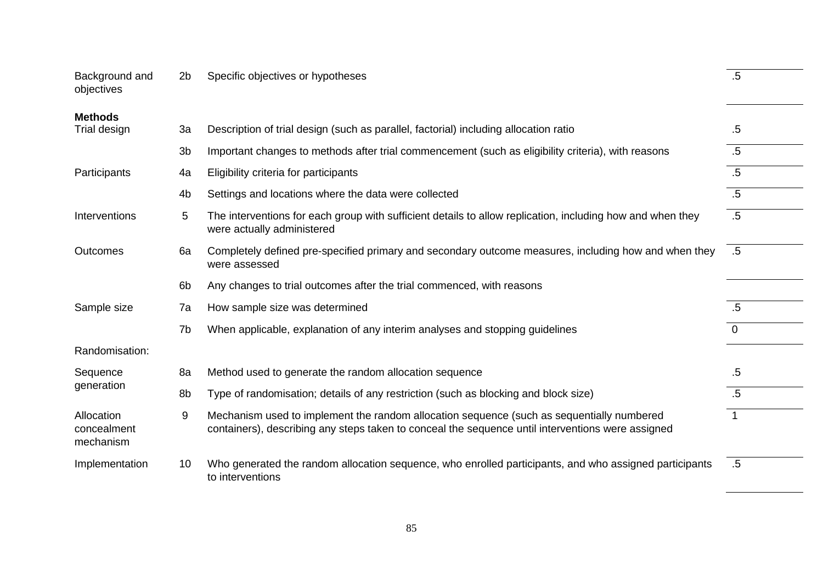| Background and<br>objectives           | 2 <sub>b</sub> | Specific objectives or hypotheses                                                                                                                                                              | $.5\,$       |
|----------------------------------------|----------------|------------------------------------------------------------------------------------------------------------------------------------------------------------------------------------------------|--------------|
| <b>Methods</b><br>Trial design         | 3a             | Description of trial design (such as parallel, factorial) including allocation ratio                                                                                                           | $.5\,$       |
|                                        |                |                                                                                                                                                                                                |              |
|                                        | 3 <sub>b</sub> | Important changes to methods after trial commencement (such as eligibility criteria), with reasons                                                                                             | .5           |
| Participants                           | 4a             | Eligibility criteria for participants                                                                                                                                                          | $.5\,$       |
|                                        | 4b             | Settings and locations where the data were collected                                                                                                                                           | $.5\,$       |
| Interventions                          | 5              | The interventions for each group with sufficient details to allow replication, including how and when they<br>were actually administered                                                       | $.5\,$       |
| <b>Outcomes</b>                        | 6a             | Completely defined pre-specified primary and secondary outcome measures, including how and when they<br>were assessed                                                                          | $.5\,$       |
|                                        | 6 <sub>b</sub> | Any changes to trial outcomes after the trial commenced, with reasons                                                                                                                          |              |
| Sample size                            | 7a             | How sample size was determined                                                                                                                                                                 | $.5\,$       |
|                                        | 7b             | When applicable, explanation of any interim analyses and stopping guidelines                                                                                                                   | $\mathbf{0}$ |
| Randomisation:                         |                |                                                                                                                                                                                                |              |
| Sequence                               | 8a             | Method used to generate the random allocation sequence                                                                                                                                         | $.5\,$       |
| generation                             | 8b             | Type of randomisation; details of any restriction (such as blocking and block size)                                                                                                            | $.5\,$       |
| Allocation<br>concealment<br>mechanism | 9              | Mechanism used to implement the random allocation sequence (such as sequentially numbered<br>containers), describing any steps taken to conceal the sequence until interventions were assigned | $\mathbf{1}$ |
| Implementation                         | 10             | Who generated the random allocation sequence, who enrolled participants, and who assigned participants<br>to interventions                                                                     | $.5\,$       |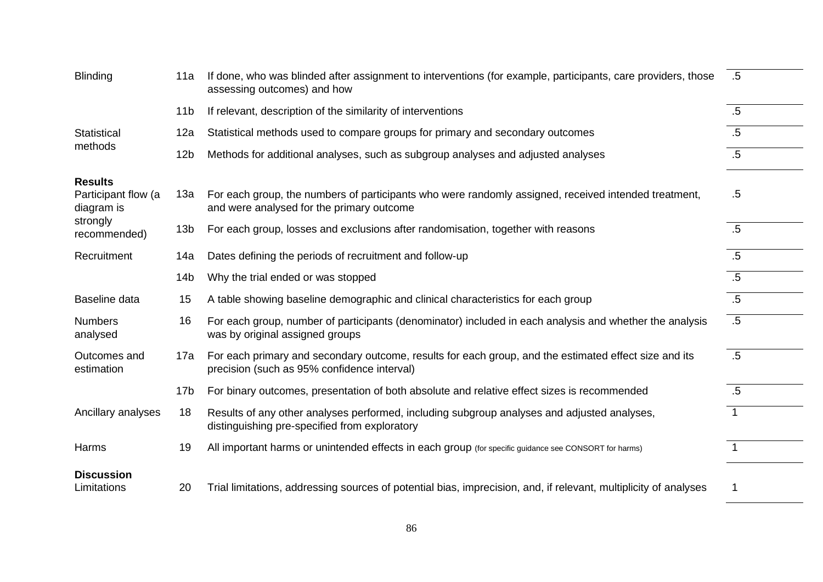| <b>Blinding</b>                                     | 11a             | If done, who was blinded after assignment to interventions (for example, participants, care providers, those<br>assessing outcomes) and how          | $.5\,$         |
|-----------------------------------------------------|-----------------|------------------------------------------------------------------------------------------------------------------------------------------------------|----------------|
|                                                     | 11 <sub>b</sub> | If relevant, description of the similarity of interventions                                                                                          | $.5\,$         |
| Statistical                                         | 12a             | Statistical methods used to compare groups for primary and secondary outcomes                                                                        | $.5\,$         |
| methods                                             | 12 <sub>b</sub> | Methods for additional analyses, such as subgroup analyses and adjusted analyses                                                                     | $.5\,$         |
| <b>Results</b><br>Participant flow (a<br>diagram is | 13a             | For each group, the numbers of participants who were randomly assigned, received intended treatment,<br>and were analysed for the primary outcome    | $.5\,$         |
| strongly<br>recommended)                            | 13 <sub>b</sub> | For each group, losses and exclusions after randomisation, together with reasons                                                                     | $.5\,$         |
| Recruitment                                         | 14a             | Dates defining the periods of recruitment and follow-up                                                                                              | $.5\,$         |
|                                                     | 14 <sub>b</sub> | Why the trial ended or was stopped                                                                                                                   | $.5\,$         |
| Baseline data                                       | 15              | A table showing baseline demographic and clinical characteristics for each group                                                                     | .5             |
| <b>Numbers</b><br>analysed                          | 16              | For each group, number of participants (denominator) included in each analysis and whether the analysis<br>was by original assigned groups           | .5             |
| Outcomes and<br>estimation                          | 17a             | For each primary and secondary outcome, results for each group, and the estimated effect size and its<br>precision (such as 95% confidence interval) | .5             |
|                                                     | 17 <sub>b</sub> | For binary outcomes, presentation of both absolute and relative effect sizes is recommended                                                          | $.5\,$         |
| Ancillary analyses                                  | 18              | Results of any other analyses performed, including subgroup analyses and adjusted analyses,<br>distinguishing pre-specified from exploratory         | $\overline{1}$ |
| Harms                                               | 19              | All important harms or unintended effects in each group (for specific guidance see CONSORT for harms)                                                |                |
| <b>Discussion</b><br>Limitations                    | 20              | Trial limitations, addressing sources of potential bias, imprecision, and, if relevant, multiplicity of analyses                                     | 1              |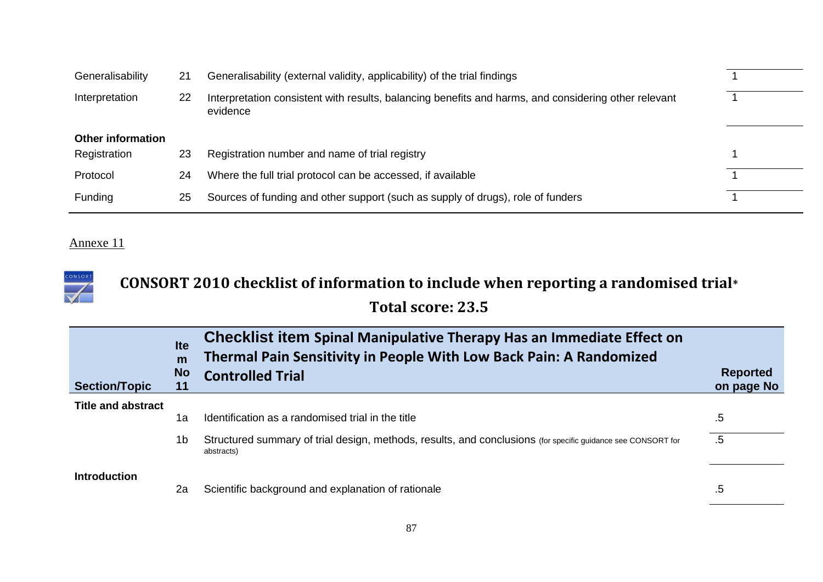| Generalisability         | 21 | Generalisability (external validity, applicability) of the trial findings                                        |  |
|--------------------------|----|------------------------------------------------------------------------------------------------------------------|--|
| Interpretation           | 22 | Interpretation consistent with results, balancing benefits and harms, and considering other relevant<br>evidence |  |
| <b>Other information</b> |    |                                                                                                                  |  |
| Registration             | 23 | Registration number and name of trial registry                                                                   |  |
| Protocol                 | 24 | Where the full trial protocol can be accessed, if available                                                      |  |
| <b>Funding</b>           | 25 | Sources of funding and other support (such as supply of drugs), role of funders                                  |  |

#### CONSORT **CONSORT 2010 checklist of information to include when reporting a randomised trial\***  $\blacktriangledown$ **Total score: 23.5**

| <b>Section/Topic</b>      | <b>Ite</b><br>m<br><b>No</b><br>11 | Checklist item Spinal Manipulative Therapy Has an Immediate Effect on<br>Thermal Pain Sensitivity in People With Low Back Pain: A Randomized<br><b>Controlled Trial</b> | <b>Reported</b><br>on page No |
|---------------------------|------------------------------------|-------------------------------------------------------------------------------------------------------------------------------------------------------------------------|-------------------------------|
| <b>Title and abstract</b> |                                    |                                                                                                                                                                         |                               |
|                           | 1a                                 | Identification as a randomised trial in the title                                                                                                                       | .5                            |
|                           | 1b                                 | Structured summary of trial design, methods, results, and conclusions (for specific guidance see CONSORT for<br>abstracts)                                              | $.5\,$                        |
| <b>Introduction</b>       | 2a                                 | Scientific background and explanation of rationale                                                                                                                      | $.5\,$                        |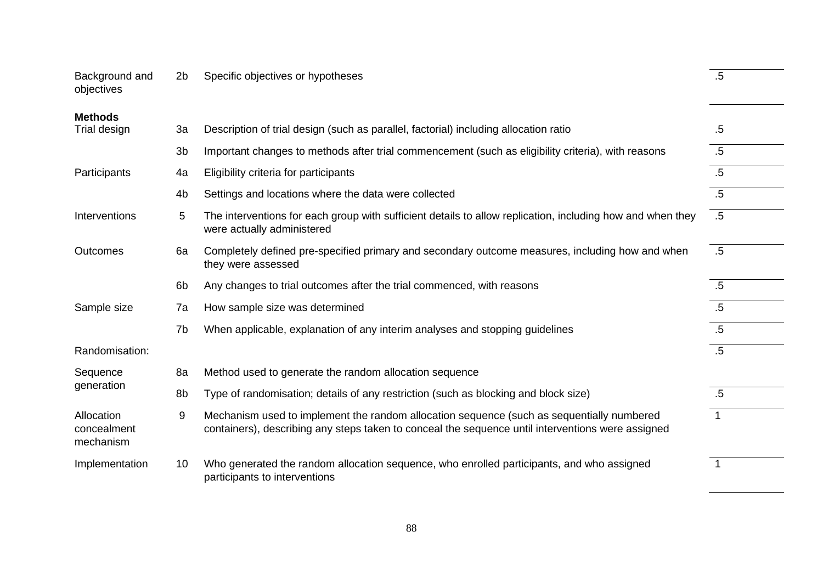| Background and<br>objectives           | 2 <sub>b</sub>  | Specific objectives or hypotheses                                                                                                                                                              | .5             |
|----------------------------------------|-----------------|------------------------------------------------------------------------------------------------------------------------------------------------------------------------------------------------|----------------|
| <b>Methods</b>                         |                 |                                                                                                                                                                                                |                |
| Trial design                           | 3a              | Description of trial design (such as parallel, factorial) including allocation ratio                                                                                                           | $.5\,$         |
|                                        | 3b              | Important changes to methods after trial commencement (such as eligibility criteria), with reasons                                                                                             | $.5\,$         |
| Participants                           | 4a              | Eligibility criteria for participants                                                                                                                                                          | $.5\,$         |
|                                        | 4b              | Settings and locations where the data were collected                                                                                                                                           | $.5\,$         |
| Interventions                          | $5\overline{)}$ | The interventions for each group with sufficient details to allow replication, including how and when they<br>were actually administered                                                       | $.5\,$         |
| Outcomes                               | 6a              | Completely defined pre-specified primary and secondary outcome measures, including how and when<br>they were assessed                                                                          | .5             |
|                                        | 6 <sub>b</sub>  | Any changes to trial outcomes after the trial commenced, with reasons                                                                                                                          | $.5\,$         |
| Sample size                            | 7a              | How sample size was determined                                                                                                                                                                 | $.5\,$         |
|                                        | 7b              | When applicable, explanation of any interim analyses and stopping guidelines                                                                                                                   | $.5\,$         |
| Randomisation:                         |                 |                                                                                                                                                                                                | $.5\,$         |
| Sequence<br>generation                 | 8a              | Method used to generate the random allocation sequence                                                                                                                                         |                |
|                                        | 8b              | Type of randomisation; details of any restriction (such as blocking and block size)                                                                                                            | $.5\,$         |
| Allocation<br>concealment<br>mechanism | 9               | Mechanism used to implement the random allocation sequence (such as sequentially numbered<br>containers), describing any steps taken to conceal the sequence until interventions were assigned | $\overline{1}$ |
| Implementation                         | 10              | Who generated the random allocation sequence, who enrolled participants, and who assigned<br>participants to interventions                                                                     | $\mathbf{1}$   |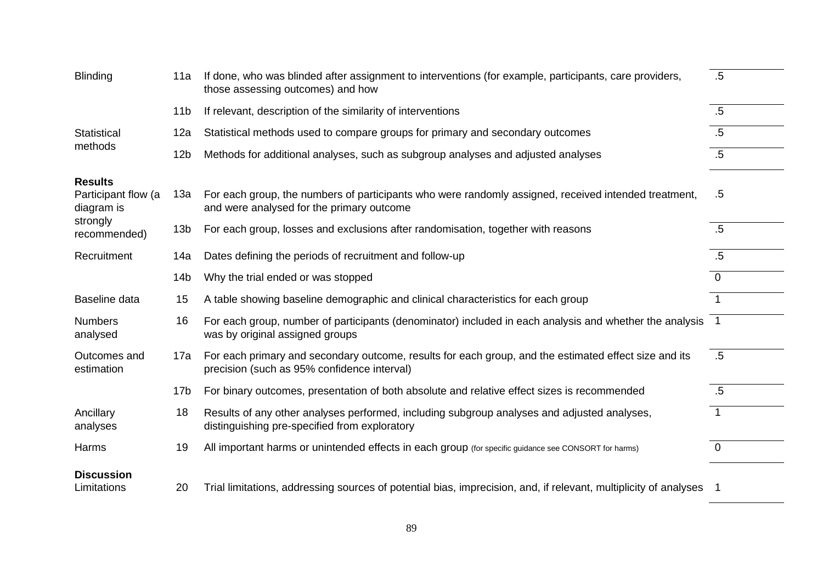| <b>Blinding</b>                                                 | 11a             | If done, who was blinded after assignment to interventions (for example, participants, care providers,<br>those assessing outcomes) and how          | $.5\,$         |
|-----------------------------------------------------------------|-----------------|------------------------------------------------------------------------------------------------------------------------------------------------------|----------------|
|                                                                 | 11 <sub>b</sub> | If relevant, description of the similarity of interventions                                                                                          | .5             |
| <b>Statistical</b><br>methods                                   | 12a             | Statistical methods used to compare groups for primary and secondary outcomes                                                                        | $.5\,$         |
|                                                                 | 12 <sub>b</sub> | Methods for additional analyses, such as subgroup analyses and adjusted analyses                                                                     | $.5\,$         |
| <b>Results</b><br>Participant flow (a<br>diagram is<br>strongly | 13a             | For each group, the numbers of participants who were randomly assigned, received intended treatment,<br>and were analysed for the primary outcome    | $.5\,$         |
| recommended)                                                    | 13 <sub>b</sub> | For each group, losses and exclusions after randomisation, together with reasons                                                                     | $.5\,$         |
| Recruitment                                                     | 14a             | Dates defining the periods of recruitment and follow-up                                                                                              | $.5\,$         |
|                                                                 | 14 <sub>b</sub> | Why the trial ended or was stopped                                                                                                                   | $\mathbf 0$    |
| Baseline data                                                   | 15              | A table showing baseline demographic and clinical characteristics for each group                                                                     | $\mathbf{1}$   |
| <b>Numbers</b><br>analysed                                      | 16              | For each group, number of participants (denominator) included in each analysis and whether the analysis 1<br>was by original assigned groups         |                |
| Outcomes and<br>estimation                                      | 17a             | For each primary and secondary outcome, results for each group, and the estimated effect size and its<br>precision (such as 95% confidence interval) | $.5\,$         |
|                                                                 | 17 <sub>b</sub> | For binary outcomes, presentation of both absolute and relative effect sizes is recommended                                                          | .5             |
| Ancillary<br>analyses                                           | 18              | Results of any other analyses performed, including subgroup analyses and adjusted analyses,<br>distinguishing pre-specified from exploratory         | $\mathbf{1}$   |
| Harms                                                           | 19              | All important harms or unintended effects in each group (for specific guidance see CONSORT for harms)                                                | $\overline{0}$ |
| <b>Discussion</b><br>Limitations                                | 20              | Trial limitations, addressing sources of potential bias, imprecision, and, if relevant, multiplicity of analyses 1                                   |                |